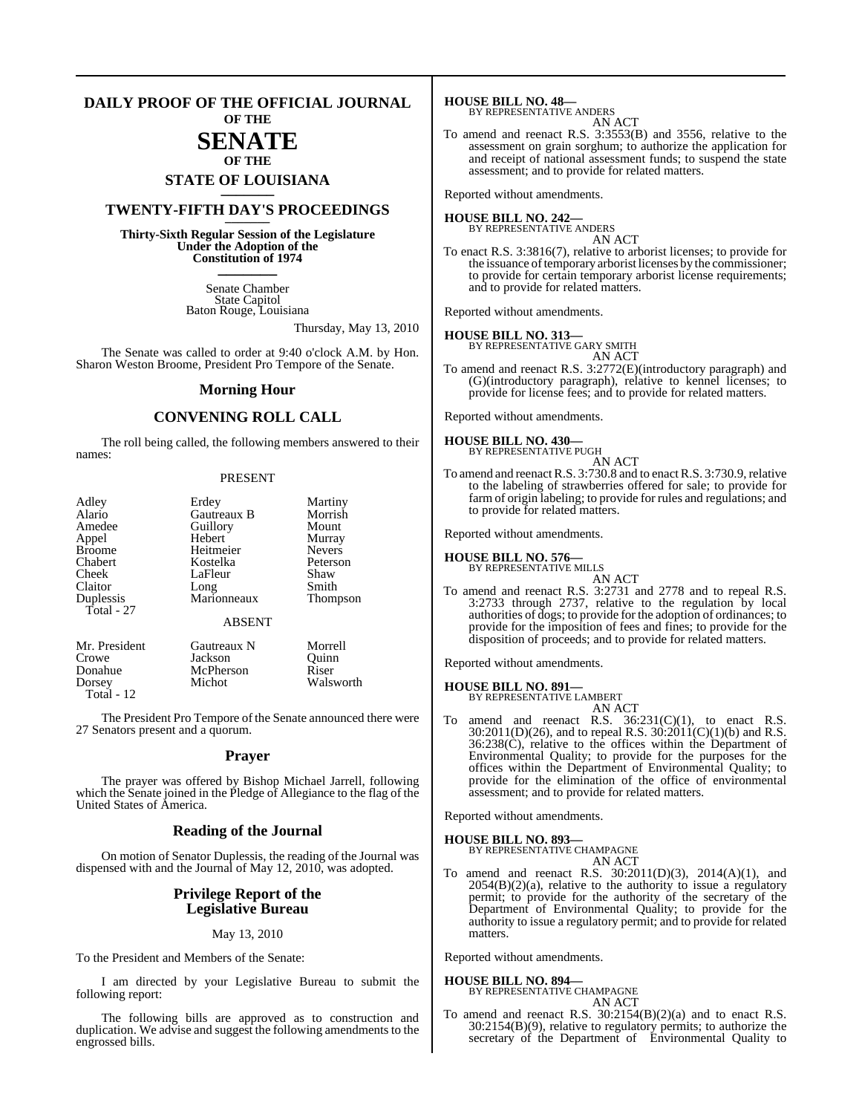#### **DAILY PROOF OF THE OFFICIAL JOURNAL OF THE**

# **SENATE**

# **OF THE STATE OF LOUISIANA \_\_\_\_\_\_\_**

## **TWENTY-FIFTH DAY'S PROCEEDINGS \_\_\_\_\_\_\_**

**Thirty-Sixth Regular Session of the Legislature Under the Adoption of the Constitution of 1974 \_\_\_\_\_\_\_**

> Senate Chamber State Capitol Baton Rouge, Louisiana

> > Thursday, May 13, 2010

The Senate was called to order at 9:40 o'clock A.M. by Hon. Sharon Weston Broome, President Pro Tempore of the Senate.

#### **Morning Hour**

### **CONVENING ROLL CALL**

The roll being called, the following members answered to their names:

#### PRESENT

| Adley         | Erdey         | Martiny         |
|---------------|---------------|-----------------|
| Alario        | Gautreaux B   | Morrish         |
| Amedee        | Guillory      | Mount           |
| Appel         | Hebert        | Murray          |
| <b>Broome</b> | Heitmeier     | <b>Nevers</b>   |
| Chabert       | Kostelka      | Peterson        |
| Cheek         | LaFleur       | Shaw            |
| Claitor       | Long          | Smith           |
| Duplessis     | Marionneaux   | <b>Thompson</b> |
| Total - 27    |               |                 |
|               | <b>ABSENT</b> |                 |
| Mr. President | Gautreaux N   | Morrell         |
| Crowe         | Jackson       | Ouinn           |
| Donahue       | McPherson     | Riser           |
| Dorsey        | Michot        | Walsworth       |

Total - 12

The President Pro Tempore of the Senate announced there were 27 Senators present and a quorum.

#### **Prayer**

The prayer was offered by Bishop Michael Jarrell, following which the Senate joined in the Pledge of Allegiance to the flag of the United States of America.

#### **Reading of the Journal**

On motion of Senator Duplessis, the reading of the Journal was dispensed with and the Journal of May 12, 2010, was adopted.

#### **Privilege Report of the Legislative Bureau**

#### May 13, 2010

To the President and Members of the Senate:

I am directed by your Legislative Bureau to submit the following report:

The following bills are approved as to construction and duplication. We advise and suggest the following amendments to the engrossed bills.

**HOUSE BILL NO. 48—** BY REPRESENTATIVE ANDERS

AN ACT

To amend and reenact R.S. 3:3553(B) and 3556, relative to the assessment on grain sorghum; to authorize the application for and receipt of national assessment funds; to suspend the state assessment; and to provide for related matters.

Reported without amendments.

#### **HOUSE BILL NO. 242—** BY REPRESENTATIVE ANDERS

AN ACT

To enact R.S. 3:3816(7), relative to arborist licenses; to provide for the issuance of temporary arborist licenses by the commissioner; to provide for certain temporary arborist license requirements; and to provide for related matters.

Reported without amendments.

# **HOUSE BILL NO. 313—** BY REPRESENTATIVE GARY SMITH

AN ACT

To amend and reenact R.S. 3:2772(E)(introductory paragraph) and (G)(introductory paragraph), relative to kennel licenses; to provide for license fees; and to provide for related matters.

Reported without amendments.

**HOUSE BILL NO. 430—** BY REPRESENTATIVE PUGH

AN ACT

To amend and reenactR.S. 3:730.8 and to enactR.S. 3:730.9,relative to the labeling of strawberries offered for sale; to provide for farm of origin labeling; to provide for rules and regulations; and to provide for related matters.

Reported without amendments.

**HOUSE BILL NO. 576—**

BY REPRESENTATIVE MILLS

AN ACT

To amend and reenact R.S. 3:2731 and 2778 and to repeal R.S. 3:2733 through 2737, relative to the regulation by local authorities of dogs; to provide for the adoption of ordinances; to provide for the imposition of fees and fines; to provide for the disposition of proceeds; and to provide for related matters.

Reported without amendments.

#### **HOUSE BILL NO. 891—**

BY REPRESENTATIVE LAMBERT AN ACT

To amend and reenact R.S.  $36:231(C)(1)$ , to enact R.S.  $30:2011(D)(26)$ , and to repeal R.S.  $30:2011(C)(1)(b)$  and R.S. 36:238(C), relative to the offices within the Department of Environmental Quality; to provide for the purposes for the offices within the Department of Environmental Quality; to provide for the elimination of the office of environmental assessment; and to provide for related matters.

Reported without amendments.

# **HOUSE BILL NO. 893—** BY REPRESENTATIVE CHAMPAGNE

AN ACT

To amend and reenact R.S. 30:2011(D)(3), 2014(A)(1), and  $2054(B)(2)(a)$ , relative to the authority to issue a regulatory permit; to provide for the authority of the secretary of the Department of Environmental Quality; to provide for the authority to issue a regulatory permit; and to provide for related matters.

Reported without amendments.

#### **HOUSE BILL NO. 894—**

BY REPRESENTATIVE CHAMPAGNE AN ACT

To amend and reenact R.S. 30:2154(B)(2)(a) and to enact R.S. 30:2154(B)(9), relative to regulatory permits; to authorize the secretary of the Department of Environmental Quality to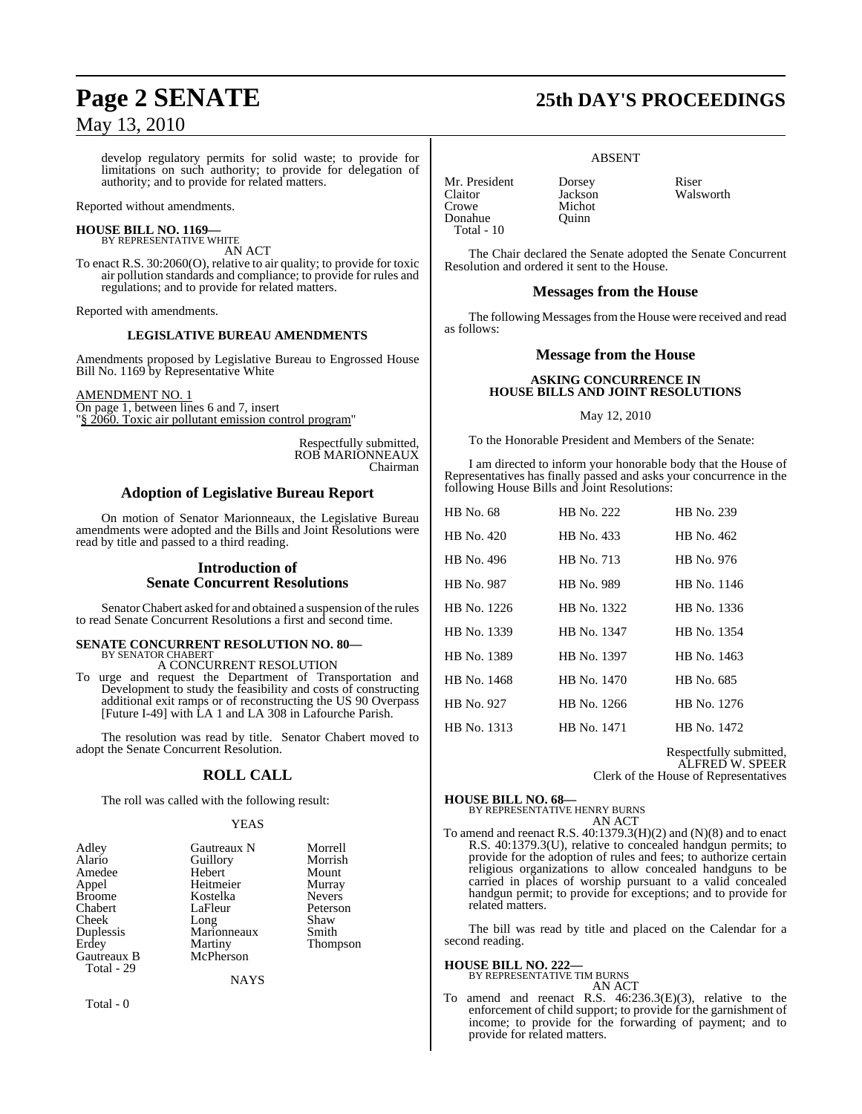develop regulatory permits for solid waste; to provide for limitations on such authority; to provide for delegation of authority; and to provide for related matters.

Reported without amendments.

#### **HOUSE BILL NO. 1169—** BY REPRESENTATIVE WHITE

AN ACT To enact R.S. 30:2060(O), relative to air quality; to provide for toxic air pollution standards and compliance; to provide for rules and regulations; and to provide for related matters.

Reported with amendments.

#### **LEGISLATIVE BUREAU AMENDMENTS**

Amendments proposed by Legislative Bureau to Engrossed House Bill No. 1169 by Representative White

#### AMENDMENT NO. 1

On page 1, between lines 6 and 7, insert "§ 2060. Toxic air pollutant emission control program"

> Respectfully submitted, ROB MARIONNEAUX Chairman

## **Adoption of Legislative Bureau Report**

On motion of Senator Marionneaux, the Legislative Bureau amendments were adopted and the Bills and Joint Resolutions were read by title and passed to a third reading.

## **Introduction of Senate Concurrent Resolutions**

Senator Chabert asked for and obtained a suspension of the rules to read Senate Concurrent Resolutions a first and second time.

#### **SENATE CONCURRENT RESOLUTION NO. 80—** BY SENATOR CHABERT

A CONCURRENT RESOLUTION

To urge and request the Department of Transportation and Development to study the feasibility and costs of constructing additional exit ramps or of reconstructing the US 90 Overpass [Future I-49] with LA 1 and LA 308 in Lafourche Parish.

The resolution was read by title. Senator Chabert moved to adopt the Senate Concurrent Resolution.

## **ROLL CALL**

The roll was called with the following result:

#### YEAS

| Adley<br>Alario<br>Amedee | Gautreaux N<br>Guillory<br>Hebert | Morrell<br>Morrish<br>Mount |
|---------------------------|-----------------------------------|-----------------------------|
| Appel                     | Heitmeier                         | Murray                      |
| <b>Broome</b>             | Kostelka                          | <b>Nevers</b>               |
| Chabert                   | LaFleur                           | Peterson                    |
| Cheek                     | Long                              | Shaw                        |
| Duplessis                 | Marionneaux                       | Smith                       |
| Erdey                     | Martiny                           | Thompson                    |
| Gautreaux B               | McPherson                         |                             |
| Total - 29                |                                   |                             |

**NAYS** 

Total - 0

# **Page 2 SENATE 25th DAY'S PROCEEDINGS**

#### ABSENT

Mr. President Dorsey Riser<br>Claitor Jackson Wals Claitor Jackson Walsworth Donahue Quinn Total - 10

Michot

The Chair declared the Senate adopted the Senate Concurrent Resolution and ordered it sent to the House.

## **Messages from the House**

The following Messages from the House were received and read as follows:

## **Message from the House**

#### **ASKING CONCURRENCE IN HOUSE BILLS AND JOINT RESOLUTIONS**

#### May 12, 2010

To the Honorable President and Members of the Senate:

I am directed to inform your honorable body that the House of Representatives has finally passed and asks your concurrence in the following House Bills and Joint Resolutions:

| HB No. 68   | HB No. 222  | HB No. 239  |
|-------------|-------------|-------------|
| HB No. 420  | HR No. 433  | HB No. 462  |
| HB No. 496  | HB No. 713  | HB No. 976  |
| HB No. 987  | HB No. 989  | HB No. 1146 |
| HB No. 1226 | HB No. 1322 | HB No. 1336 |
| HB No. 1339 | HB No. 1347 | HB No. 1354 |
| HB No. 1389 | HB No. 1397 | HB No. 1463 |
| HB No. 1468 | HB No. 1470 | HB No. 685  |
| HB No. 927  | HB No. 1266 | HB No. 1276 |
| HB No. 1313 | HB No. 1471 | HB No. 1472 |

Respectfully submitted, ALFRED W. SPEER Clerk of the House of Representatives

## **HOUSE BILL NO. 68—** BY REPRESENTATIVE HENRY BURNS AN ACT

To amend and reenact R.S. 40:1379.3(H)(2) and (N)(8) and to enact R.S. 40:1379.3(U), relative to concealed handgun permits; to provide for the adoption of rules and fees; to authorize certain religious organizations to allow concealed handguns to be carried in places of worship pursuant to a valid concealed handgun permit; to provide for exceptions; and to provide for related matters.

The bill was read by title and placed on the Calendar for a second reading.

#### **HOUSE BILL NO. 222— BY REPRE**

| SENTATIVE TIM BURNS |        |
|---------------------|--------|
|                     | AN ACT |

To amend and reenact R.S. 46:236.3(E)(3), relative to the enforcement of child support; to provide for the garnishment of income; to provide for the forwarding of payment; and to provide for related matters.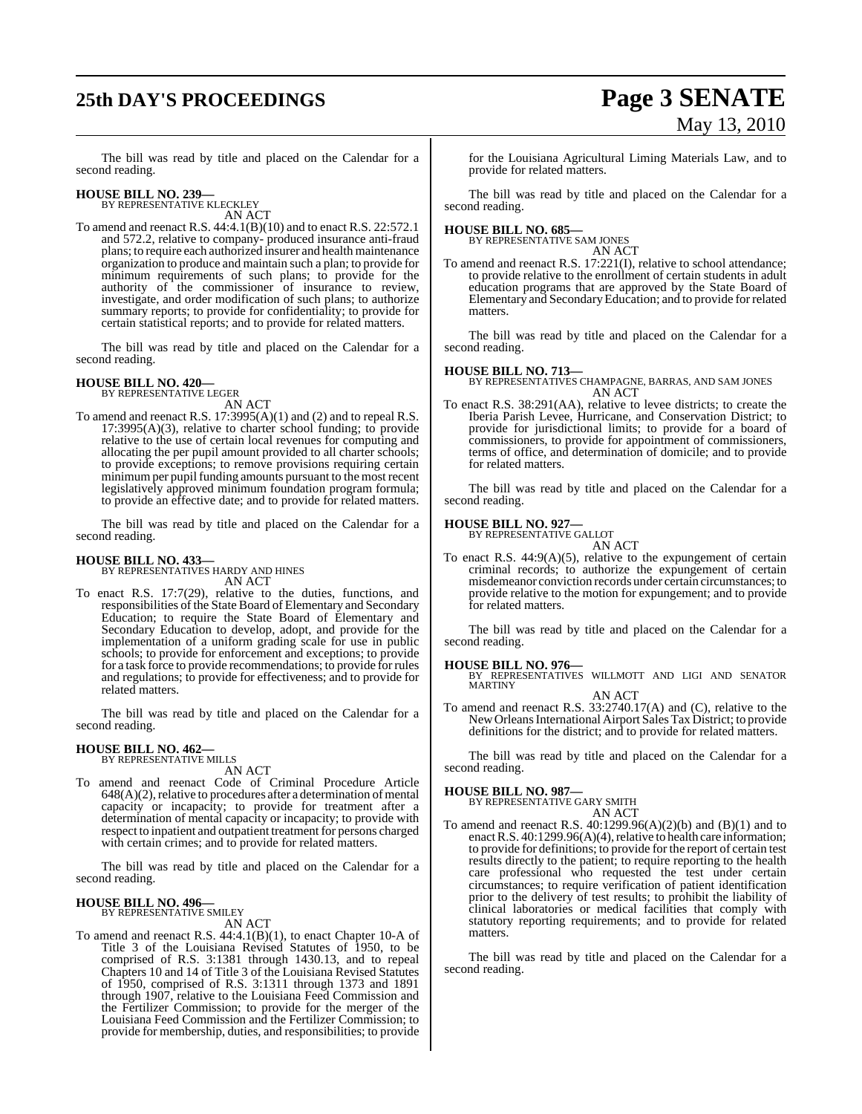# **25th DAY'S PROCEEDINGS Page 3 SENATE**

# May 13, 2010

The bill was read by title and placed on the Calendar for a second reading.

# **HOUSE BILL NO. 239—** BY REPRESENTATIVE KLECKLEY

AN ACT

To amend and reenact R.S. 44:4.1(B)(10) and to enact R.S. 22:572.1 and 572.2, relative to company- produced insurance anti-fraud plans; to require each authorized insurer and health maintenance organization to produce and maintain such a plan; to provide for minimum requirements of such plans; to provide for the authority of the commissioner of insurance to review, investigate, and order modification of such plans; to authorize summary reports; to provide for confidentiality; to provide for certain statistical reports; and to provide for related matters.

The bill was read by title and placed on the Calendar for a second reading.

#### **HOUSE BILL NO. 420—** BY REPRESENTATIVE LEGER

AN ACT

To amend and reenact R.S. 17:3995(A)(1) and (2) and to repeal R.S. 17:3995(A)(3), relative to charter school funding; to provide relative to the use of certain local revenues for computing and allocating the per pupil amount provided to all charter schools; to provide exceptions; to remove provisions requiring certain minimum per pupil funding amounts pursuant to the most recent legislatively approved minimum foundation program formula; to provide an effective date; and to provide for related matters.

The bill was read by title and placed on the Calendar for a second reading.

#### **HOUSE BILL NO. 433—**

BY REPRESENTATIVES HARDY AND HINES AN ACT

To enact R.S. 17:7(29), relative to the duties, functions, and responsibilities of the State Board of Elementary and Secondary Education; to require the State Board of Elementary and Secondary Education to develop, adopt, and provide for the implementation of a uniform grading scale for use in public schools; to provide for enforcement and exceptions; to provide for a task force to provide recommendations; to provide forrules and regulations; to provide for effectiveness; and to provide for related matters.

The bill was read by title and placed on the Calendar for a second reading.

#### **HOUSE BILL NO. 462—** BY REPRESENTATIVE MILLS

AN ACT

To amend and reenact Code of Criminal Procedure Article  $648(A)(2)$ , relative to procedures after a determination of mental capacity or incapacity; to provide for treatment after a determination of mental capacity or incapacity; to provide with respect to inpatient and outpatient treatment for persons charged with certain crimes; and to provide for related matters.

The bill was read by title and placed on the Calendar for a second reading.

# **HOUSE BILL NO. 496—** BY REPRESENTATIVE SMILEY

AN ACT

To amend and reenact R.S. 44:4.1(B)(1), to enact Chapter 10-A of Title 3 of the Louisiana Revised Statutes of 1950, to be comprised of R.S. 3:1381 through 1430.13, and to repeal Chapters 10 and 14 of Title 3 of the Louisiana Revised Statutes of 1950, comprised of R.S. 3:1311 through 1373 and 1891 through 1907, relative to the Louisiana Feed Commission and the Fertilizer Commission; to provide for the merger of the Louisiana Feed Commission and the Fertilizer Commission; to provide for membership, duties, and responsibilities; to provide for the Louisiana Agricultural Liming Materials Law, and to provide for related matters.

The bill was read by title and placed on the Calendar for a second reading.

#### **HOUSE BILL NO. 685—**

BY REPRESENTATIVE SAM JONES AN ACT

To amend and reenact R.S. 17:221(I), relative to school attendance; to provide relative to the enrollment of certain students in adult education programs that are approved by the State Board of Elementary and SecondaryEducation; and to provide forrelated matters.

The bill was read by title and placed on the Calendar for a second reading.

#### **HOUSE BILL NO. 713—**

BY REPRESENTATIVES CHAMPAGNE, BARRAS, AND SAM JONES AN ACT

To enact R.S. 38:291(AA), relative to levee districts; to create the Iberia Parish Levee, Hurricane, and Conservation District; to provide for jurisdictional limits; to provide for a board of commissioners, to provide for appointment of commissioners, terms of office, and determination of domicile; and to provide for related matters.

The bill was read by title and placed on the Calendar for a second reading.

# **HOUSE BILL NO. 927—** BY REPRESENTATIVE GALLOT

AN ACT

To enact R.S.  $44:9(A)(5)$ , relative to the expungement of certain criminal records; to authorize the expungement of certain misdemeanor conviction records under certain circumstances; to provide relative to the motion for expungement; and to provide for related matters.

The bill was read by title and placed on the Calendar for a second reading.

- **HOUSE BILL NO. 976—** BY REPRESENTATIVES WILLMOTT AND LIGI AND SENATOR MARTINY
- AN ACT To amend and reenact R.S. 33:2740.17(A) and (C), relative to the NewOrleansInternational Airport Sales Tax District; to provide definitions for the district; and to provide for related matters.

The bill was read by title and placed on the Calendar for a second reading.

**HOUSE BILL NO. 987—** BY REPRESENTATIVE GARY SMITH

#### AN ACT

To amend and reenact R.S. 40:1299.96(A)(2)(b) and (B)(1) and to enact R.S. 40:1299.96(A)(4), relative to health care information; to provide for definitions; to provide for the report of certain test results directly to the patient; to require reporting to the health care professional who requested the test under certain circumstances; to require verification of patient identification prior to the delivery of test results; to prohibit the liability of clinical laboratories or medical facilities that comply with statutory reporting requirements; and to provide for related matters.

The bill was read by title and placed on the Calendar for a second reading.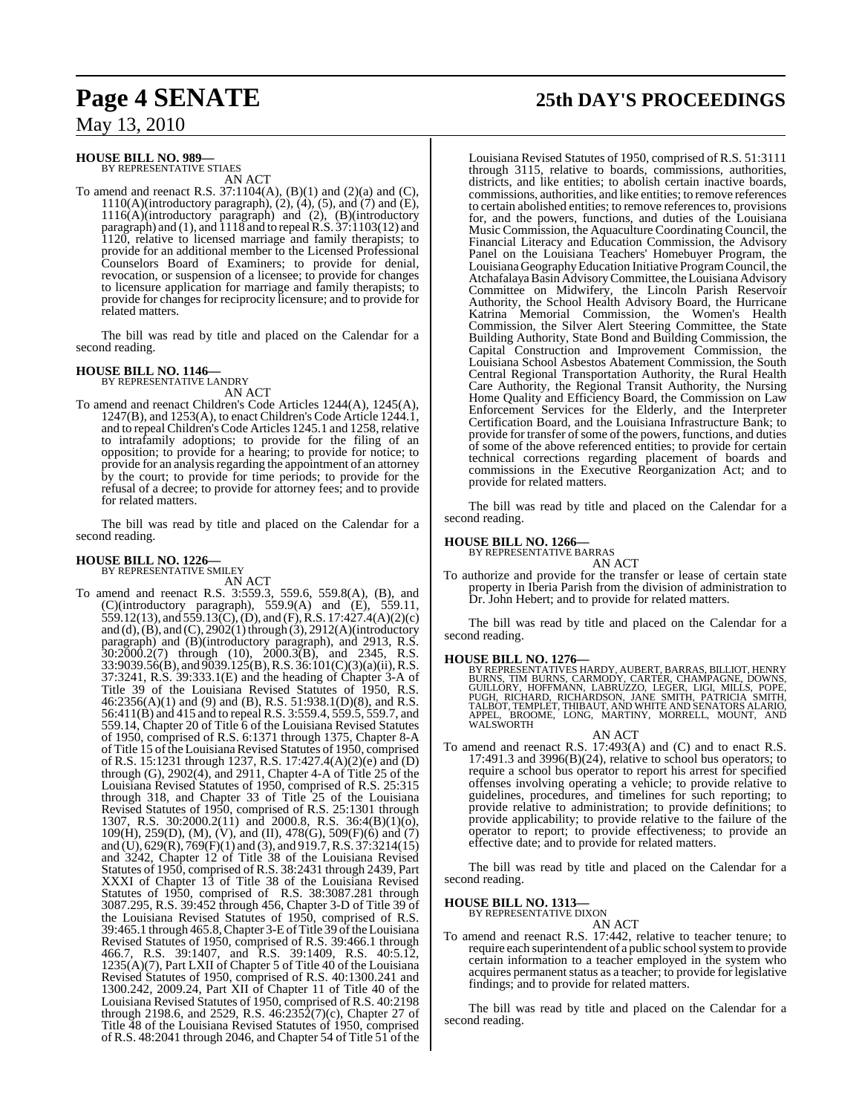# **HOUSE BILL NO. 989—** BY REPRESENTATIVE STIAES

AN ACT

To amend and reenact R.S.  $37:1104(A)$ ,  $(B)(1)$  and  $(2)(a)$  and  $(C)$ ,  $1110(A)$ (introductory paragraph),  $(2)$ ,  $(4)$ ,  $(5)$ , and  $(7)$  and  $(E)$ , 1116(A)(introductory paragraph) and (2), (B)(introductory paragraph) and (1), and 1118 and to repealR.S. 37:1103(12) and 1120, relative to licensed marriage and family therapists; to provide for an additional member to the Licensed Professional Counselors Board of Examiners; to provide for denial, revocation, or suspension of a licensee; to provide for changes to licensure application for marriage and family therapists; to provide for changes for reciprocity licensure; and to provide for related matters.

The bill was read by title and placed on the Calendar for a second reading.

## **HOUSE BILL NO. 1146—**

BY REPRESENTATIVE LANDRY

AN ACT To amend and reenact Children's Code Articles 1244(A), 1245(A), 1247(B), and 1253(A), to enact Children's Code Article 1244.1, and to repeal Children's Code Articles 1245.1 and 1258, relative to intrafamily adoptions; to provide for the filing of an opposition; to provide for a hearing; to provide for notice; to provide for an analysis regarding the appointment of an attorney by the court; to provide for time periods; to provide for the refusal of a decree; to provide for attorney fees; and to provide for related matters.

The bill was read by title and placed on the Calendar for a second reading.

#### **HOUSE BILL NO. 1226—**

BY REPRESENTATIVE SMILEY

AN ACT To amend and reenact R.S. 3:559.3, 559.6, 559.8(A), (B), and (C)(introductory paragraph), 559.9(A) and (E), 559.11, 559.12(13), and 559.13(C), (D), and (F), R.S. 17:427.4(A)(2)(c) and (d), (B), and (C), 2902(1) through (3), 2912(A)(introductory paragraph) and (B)(introductory paragraph), and 2913, R.S.  $30:2000.2(7)$  through (10),  $2000.3(B)$ , and 2345, R.S. 33:9039.56(B), and 9039.125(B),R.S. 36:101(C)(3)(a)(ii), R.S. 37:3241, R.S. 39:333.1(E) and the heading of Chapter 3-A of Title 39 of the Louisiana Revised Statutes of 1950, R.S. 46:2356(A)(1) and (9) and (B), R.S. 51:938.1(D)(8), and R.S. 56:411(B) and 415 and to repeal R.S. 3:559.4, 559.5, 559.7, and 559.14, Chapter 20 of Title 6 of the Louisiana Revised Statutes of 1950, comprised of R.S. 6:1371 through 1375, Chapter 8-A of Title 15 of the Louisiana Revised Statutes of 1950, comprised of R.S. 15:1231 through 1237, R.S. 17:427.4(A)(2)(e) and (D) through (G), 2902(4), and 2911, Chapter 4-A of Title 25 of the Louisiana Revised Statutes of 1950, comprised of R.S. 25:315 through 318, and Chapter 33 of Title 25 of the Louisiana Revised Statutes of 1950, comprised of R.S. 25:1301 through 1307, R.S. 30:2000.2(11) and 2000.8, R.S. 36:4(B)(1)(o), 109(H), 259(D), (M), (V), and (II), 478(G), 509(F)(6) and (7) and (U),  $629(R)$ ,  $769(F)(1)$  and (3), and  $919.7$ , R.S.  $37:3214(15)$ and 3242, Chapter 12 of Title 38 of the Louisiana Revised Statutes of 1950, comprised of R.S. 38:2431 through 2439, Part XXXI of Chapter 13 of Title 38 of the Louisiana Revised Statutes of 1950, comprised of R.S. 38:3087.281 through 3087.295, R.S. 39:452 through 456, Chapter 3-D of Title 39 of the Louisiana Revised Statutes of 1950, comprised of R.S. 39:465.1 through 465.8,Chapter 3-EofTitle 39 oftheLouisiana Revised Statutes of 1950, comprised of R.S. 39:466.1 through 466.7, R.S. 39:1407, and R.S. 39:1409, R.S. 40:5.12,  $1235(A)(7)$ , Part LXII of Chapter 5 of Title 40 of the Louisiana Revised Statutes of 1950, comprised of R.S. 40:1300.241 and 1300.242, 2009.24, Part XII of Chapter 11 of Title 40 of the Louisiana Revised Statutes of 1950, comprised of R.S. 40:2198 through 2198.6, and 2529, R.S.  $46:2352(7)(c)$ , Chapter 27 of Title 48 of the Louisiana Revised Statutes of 1950, comprised of R.S. 48:2041 through 2046, and Chapter 54 of Title 51 of the

# **Page 4 SENATE 25th DAY'S PROCEEDINGS**

Louisiana Revised Statutes of 1950, comprised of R.S. 51:3111 through 3115, relative to boards, commissions, authorities, districts, and like entities; to abolish certain inactive boards, commissions, authorities, and like entities; to remove references to certain abolished entities; to remove references to, provisions for, and the powers, functions, and duties of the Louisiana Music Commission, the Aquaculture Coordinating Council, the Financial Literacy and Education Commission, the Advisory Panel on the Louisiana Teachers' Homebuyer Program, the LouisianaGeographyEducation Initiative ProgramCouncil, the Atchafalaya Basin Advisory Committee, the Louisiana Advisory Committee on Midwifery, the Lincoln Parish Reservoir Authority, the School Health Advisory Board, the Hurricane Katrina Memorial Commission, the Women's Health Commission, the Silver Alert Steering Committee, the State Building Authority, State Bond and Building Commission, the Capital Construction and Improvement Commission, the Louisiana School Asbestos Abatement Commission, the South Central Regional Transportation Authority, the Rural Health Care Authority, the Regional Transit Authority, the Nursing Home Quality and Efficiency Board, the Commission on Law Enforcement Services for the Elderly, and the Interpreter Certification Board, and the Louisiana Infrastructure Bank; to provide for transfer of some of the powers, functions, and duties of some of the above referenced entities; to provide for certain technical corrections regarding placement of boards and commissions in the Executive Reorganization Act; and to provide for related matters.

The bill was read by title and placed on the Calendar for a second reading.

# **HOUSE BILL NO. 1266—** BY REPRESENTATIVE BARRAS AN ACT

To authorize and provide for the transfer or lease of certain state property in Iberia Parish from the division of administration to Dr. John Hebert; and to provide for related matters.

The bill was read by title and placed on the Calendar for a second reading.

**HOUSE BILL NO. 1276**—<br>BY REPRESENTATIVES HARDY, AUBERT, BARRAS, BILLIOT, HENRY<br>BURNS, TIM BURNS, CARMODY, CARTÉR, CHAMPAGNE, DOWNS,<br>GUILLORY, HOFFMANN, LABRUZZO, LEGER, LIGI, MILLS, POPE,<br>PUGH, RICHARD, RICHARDSON, JANE S

AN ACT

To amend and reenact R.S. 17:493(A) and (C) and to enact R.S. 17:491.3 and 3996(B)(24), relative to school bus operators; to require a school bus operator to report his arrest for specified offenses involving operating a vehicle; to provide relative to guidelines, procedures, and timelines for such reporting; to provide relative to administration; to provide definitions; to provide applicability; to provide relative to the failure of the operator to report; to provide effectiveness; to provide an effective date; and to provide for related matters.

The bill was read by title and placed on the Calendar for a second reading.

#### **HOUSE BILL NO. 1313—**

BY REPRESENTATIVE DIXON AN ACT

To amend and reenact R.S. 17:442, relative to teacher tenure; to require each superintendent of a public school system to provide certain information to a teacher employed in the system who acquires permanent status as a teacher; to provide for legislative findings; and to provide for related matters.

The bill was read by title and placed on the Calendar for a second reading.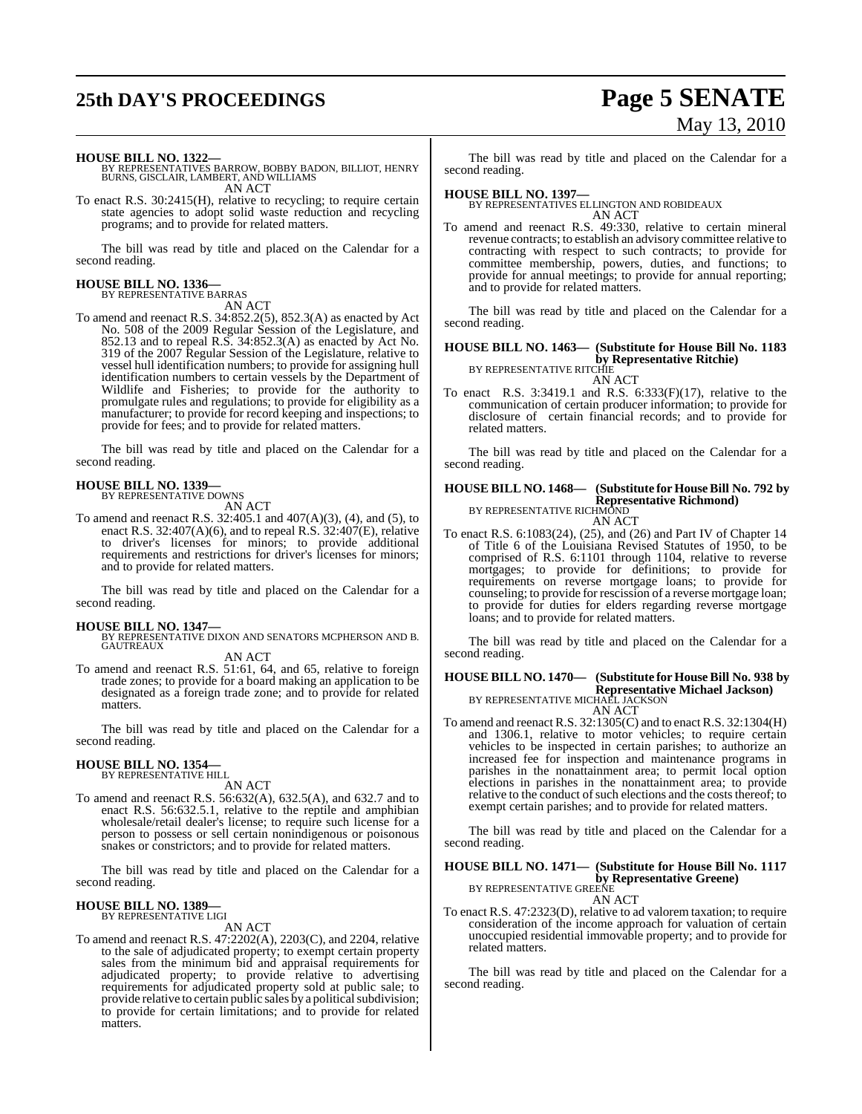# **25th DAY'S PROCEEDINGS Page 5 SENATE**

# May 13, 2010

**HOUSE BILL NO. 1322—** BY REPRESENTATIVES BARROW, BOBBY BADON, BILLIOT, HENRY BURNS, GISCLAIR, LAMBERT, AND WILLIAMS AN ACT

To enact R.S. 30:2415(H), relative to recycling; to require certain state agencies to adopt solid waste reduction and recycling programs; and to provide for related matters.

The bill was read by title and placed on the Calendar for a second reading.

# **HOUSE BILL NO. 1336—** BY REPRESENTATIVE BARRAS

AN ACT

To amend and reenact R.S. 34:852.2(5), 852.3(A) as enacted by Act No. 508 of the 2009 Regular Session of the Legislature, and 852.13 and to repeal R.S. 34:852.3(A) as enacted by Act No. 319 of the 2007 Regular Session of the Legislature, relative to vessel hull identification numbers; to provide for assigning hull identification numbers to certain vessels by the Department of Wildlife and Fisheries; to provide for the authority to promulgate rules and regulations; to provide for eligibility as a manufacturer; to provide for record keeping and inspections; to provide for fees; and to provide for related matters.

The bill was read by title and placed on the Calendar for a second reading.

## **HOUSE BILL NO. 1339—**

BY REPRESENTATIVE DOWNS AN ACT

To amend and reenact R.S. 32:405.1 and 407(A)(3), (4), and (5), to enact R.S. 32:407(A)(6), and to repeal R.S. 32:407(E), relative to driver's licenses for minors; to provide additional requirements and restrictions for driver's licenses for minors; and to provide for related matters.

The bill was read by title and placed on the Calendar for a second reading.

#### **HOUSE BILL NO. 1347—**

BY REPRESENTATIVE DIXON AND SENATORS MCPHERSON AND B. GAUTREAUX AN ACT

To amend and reenact R.S. 51:61, 64, and 65, relative to foreign trade zones; to provide for a board making an application to be designated as a foreign trade zone; and to provide for related matters.

The bill was read by title and placed on the Calendar for a second reading.

# **HOUSE BILL NO. 1354—** BY REPRESENTATIVE HILL

AN ACT

To amend and reenact R.S. 56:632(A), 632.5(A), and 632.7 and to enact R.S. 56:632.5.1, relative to the reptile and amphibian wholesale/retail dealer's license; to require such license for a person to possess or sell certain nonindigenous or poisonous snakes or constrictors; and to provide for related matters.

The bill was read by title and placed on the Calendar for a second reading.

#### **HOUSE BILL NO. 1389—** BY REPRESENTATIVE LIGI

AN ACT

To amend and reenact R.S. 47:2202(A), 2203(C), and 2204, relative to the sale of adjudicated property; to exempt certain property sales from the minimum bid and appraisal requirements for adjudicated property; to provide relative to advertising requirements for adjudicated property sold at public sale; to provide relative to certain public sales by a political subdivision; to provide for certain limitations; and to provide for related matters.

The bill was read by title and placed on the Calendar for a second reading.

**HOUSE BILL NO. 1397—** BY REPRESENTATIVES ELLINGTON AND ROBIDEAUX AN ACT

To amend and reenact R.S. 49:330, relative to certain mineral revenue contracts; to establish an advisory committee relative to contracting with respect to such contracts; to provide for committee membership, powers, duties, and functions; to provide for annual meetings; to provide for annual reporting; and to provide for related matters.

The bill was read by title and placed on the Calendar for a second reading.

## **HOUSE BILL NO. 1463— (Substitute for House Bill No. 1183 by Representative Ritchie)**<br>BY REPRESENTATIVE RITCHIE

AN ACT

To enact R.S. 3:3419.1 and R.S. 6:333(F)(17), relative to the communication of certain producer information; to provide for disclosure of certain financial records; and to provide for related matters.

The bill was read by title and placed on the Calendar for a second reading.

## **HOUSE BILL NO. 1468— (Substitute for HouseBill No. 792 by Representative Richmond)** BY REPRESENTATIVE RICHMOND

AN ACT

To enact R.S. 6:1083(24), (25), and (26) and Part IV of Chapter 14 of Title 6 of the Louisiana Revised Statutes of 1950, to be comprised of R.S. 6:1101 through 1104, relative to reverse mortgages; to provide for definitions; to provide for requirements on reverse mortgage loans; to provide for counseling; to provide for rescission of a reverse mortgage loan; to provide for duties for elders regarding reverse mortgage loans; and to provide for related matters.

The bill was read by title and placed on the Calendar for a second reading.

## **HOUSE BILL NO. 1470— (Substitute for House Bill No. 938 by Representative Michael Jackson)** BY REPRESENTATIVE MICHAEL JACKSON AN ACT

To amend and reenact R.S. 32:1305(C) and to enact R.S. 32:1304(H) and 1306.1, relative to motor vehicles; to require certain vehicles to be inspected in certain parishes; to authorize an increased fee for inspection and maintenance programs in parishes in the nonattainment area; to permit local option elections in parishes in the nonattainment area; to provide relative to the conduct of such elections and the costs thereof; to exempt certain parishes; and to provide for related matters.

The bill was read by title and placed on the Calendar for a second reading.

### **HOUSE BILL NO. 1471— (Substitute for House Bill No. 1117 by Representative Greene)**<br>BY REPRESENTATIVE GREENE AN ACT

To enact R.S. 47:2323(D), relative to ad valorem taxation; to require consideration of the income approach for valuation of certain unoccupied residential immovable property; and to provide for related matters.

The bill was read by title and placed on the Calendar for a second reading.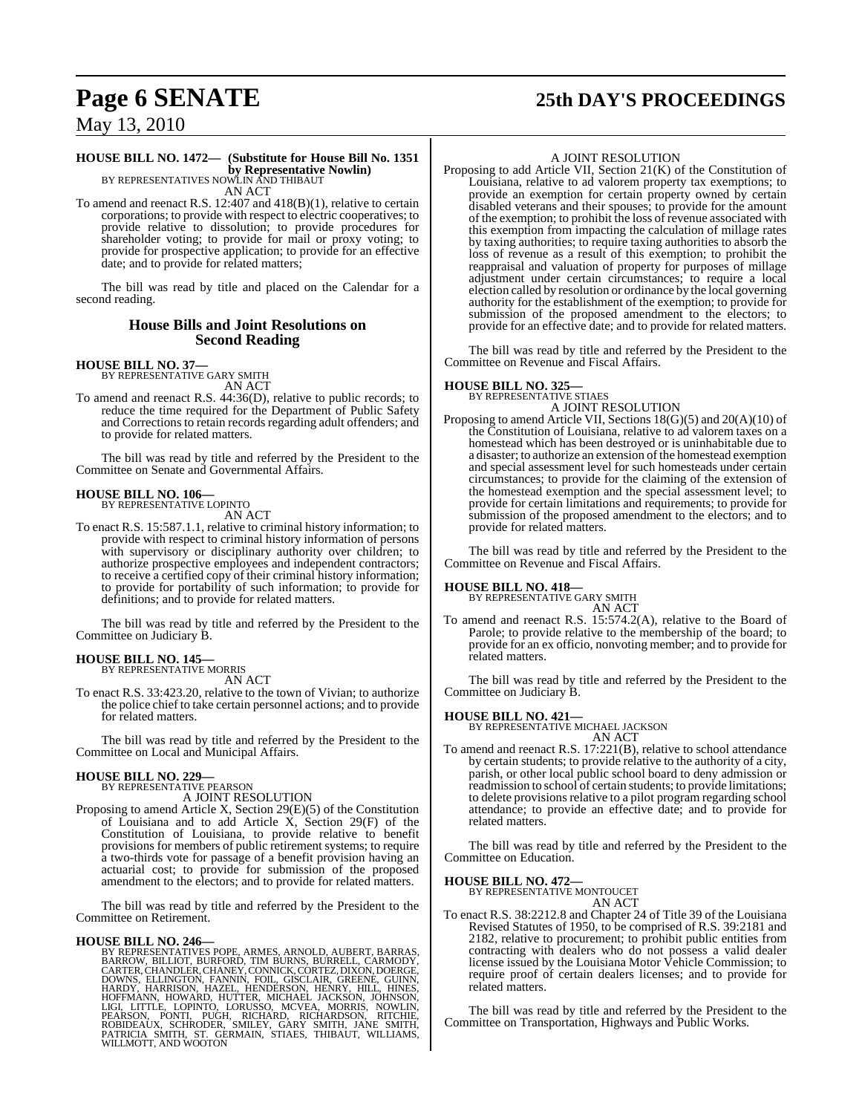## **HOUSE BILL NO. 1472— (Substitute for House Bill No. 1351 by Representative Nowlin)**<br>BY REPRESENTATIVES NOWLIN AND THIBAUT

AN ACT

To amend and reenact R.S. 12:407 and 418(B)(1), relative to certain corporations; to provide with respect to electric cooperatives; to provide relative to dissolution; to provide procedures for shareholder voting; to provide for mail or proxy voting; to provide for prospective application; to provide for an effective date; and to provide for related matters:

The bill was read by title and placed on the Calendar for a second reading.

### **House Bills and Joint Resolutions on Second Reading**

# **HOUSE BILL NO. 37—** BY REPRESENTATIVE GARY SMITH

AN ACT

To amend and reenact R.S. 44:36(D), relative to public records; to reduce the time required for the Department of Public Safety and Corrections to retain records regarding adult offenders; and to provide for related matters.

The bill was read by title and referred by the President to the Committee on Senate and Governmental Affairs.

#### **HOUSE BILL NO. 106—** BY REPRESENTATIVE LOPINTO

AN ACT

To enact R.S. 15:587.1.1, relative to criminal history information; to provide with respect to criminal history information of persons with supervisory or disciplinary authority over children; to authorize prospective employees and independent contractors; to receive a certified copy of their criminal history information; to provide for portability of such information; to provide for definitions; and to provide for related matters.

The bill was read by title and referred by the President to the Committee on Judiciary B.

#### **HOUSE BILL NO. 145—**

BY REPRESENTATIVE MORRIS AN ACT

To enact R.S. 33:423.20, relative to the town of Vivian; to authorize the police chief to take certain personnel actions; and to provide for related matters.

The bill was read by title and referred by the President to the Committee on Local and Municipal Affairs.

#### **HOUSE BILL NO. 229—**

BY REPRESENTATIVE PEARSON

A JOINT RESOLUTION

Proposing to amend Article X, Section 29(E)(5) of the Constitution of Louisiana and to add Article X, Section 29(F) of the Constitution of Louisiana, to provide relative to benefit provisions for members of public retirement systems; to require a two-thirds vote for passage of a benefit provision having an actuarial cost; to provide for submission of the proposed amendment to the electors; and to provide for related matters.

The bill was read by title and referred by the President to the Committee on Retirement.

HOUSE BILL NO. 246—<br>
BY REPRESENTATIVES POPE, ARMES, ARNOLD, AUBERT, BARRAS,<br>
BARROW, BILLIOT, BURFORD, TIM BURNS, BURRELL, CARMODY,<br>
CARTER, CHANDLER, CHANEY, CONNICK, CORTEZ, DIXON, DOERGE,<br>
DOWNS, ELLINGTON, FANNIN, FOI

# **Page 6 SENATE 25th DAY'S PROCEEDINGS**

#### A JOINT RESOLUTION

Proposing to add Article VII, Section 21(K) of the Constitution of Louisiana, relative to ad valorem property tax exemptions; to provide an exemption for certain property owned by certain disabled veterans and their spouses; to provide for the amount of the exemption; to prohibit the loss of revenue associated with this exemption from impacting the calculation of millage rates by taxing authorities; to require taxing authorities to absorb the loss of revenue as a result of this exemption; to prohibit the reappraisal and valuation of property for purposes of millage adjustment under certain circumstances; to require a local election called by resolution or ordinance by the local governing authority for the establishment of the exemption; to provide for submission of the proposed amendment to the electors; to provide for an effective date; and to provide for related matters.

The bill was read by title and referred by the President to the Committee on Revenue and Fiscal Affairs.

#### **HOUSE BILL NO. 325—**

BY REPRESENTATIVE STIAES A JOINT RESOLUTION

Proposing to amend Article VII, Sections 18(G)(5) and 20(A)(10) of the Constitution of Louisiana, relative to ad valorem taxes on a homestead which has been destroyed or is uninhabitable due to a disaster; to authorize an extension of the homestead exemption and special assessment level for such homesteads under certain circumstances; to provide for the claiming of the extension of the homestead exemption and the special assessment level; to provide for certain limitations and requirements; to provide for submission of the proposed amendment to the electors; and to provide for related matters.

The bill was read by title and referred by the President to the Committee on Revenue and Fiscal Affairs.

# **HOUSE BILL NO. 418—** BY REPRESENTATIVE GARY SMITH

AN ACT

To amend and reenact R.S. 15:574.2(A), relative to the Board of Parole; to provide relative to the membership of the board; to provide for an ex officio, nonvoting member; and to provide for related matters.

The bill was read by title and referred by the President to the Committee on Judiciary B.

#### **HOUSE BILL NO. 421—**

BY REPRESENTATIVE MICHAEL JACKSON AN ACT

To amend and reenact R.S. 17:221(B), relative to school attendance by certain students; to provide relative to the authority of a city, parish, or other local public school board to deny admission or readmission to school of certain students; to provide limitations; to delete provisions relative to a pilot program regarding school attendance; to provide an effective date; and to provide for related matters.

The bill was read by title and referred by the President to the Committee on Education.

# **HOUSE BILL NO. 472—** BY REPRESENTATIVE MONTOUCET

AN ACT

To enact R.S. 38:2212.8 and Chapter 24 of Title 39 of the Louisiana Revised Statutes of 1950, to be comprised of R.S. 39:2181 and 2182, relative to procurement; to prohibit public entities from contracting with dealers who do not possess a valid dealer license issued by the Louisiana Motor Vehicle Commission; to require proof of certain dealers licenses; and to provide for related matters.

The bill was read by title and referred by the President to the Committee on Transportation, Highways and Public Works.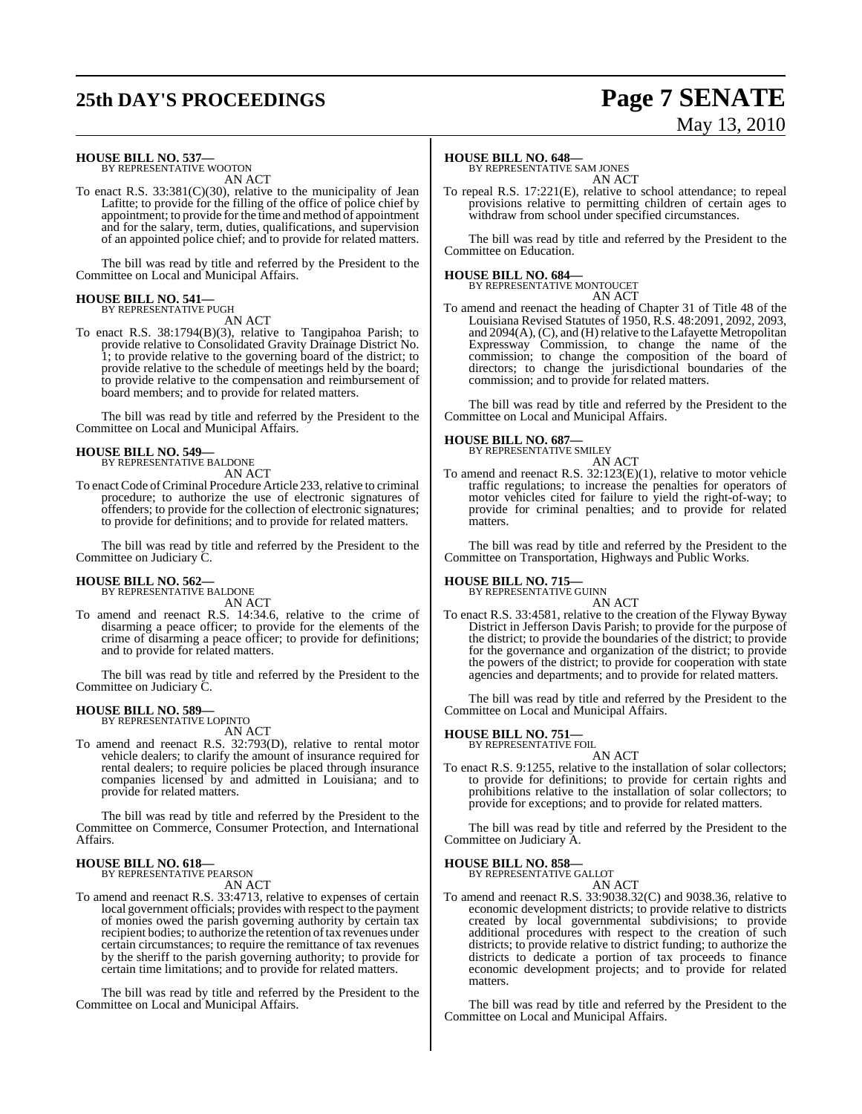# **25th DAY'S PROCEEDINGS Page 7 SENATE**

# May 13, 2010

# **HOUSE BILL NO. 537—** BY REPRESENTATIVE WOOTON

AN ACT

To enact R.S. 33:381(C)(30), relative to the municipality of Jean Lafitte; to provide for the filling of the office of police chief by appointment; to provide for the time and method of appointment and for the salary, term, duties, qualifications, and supervision of an appointed police chief; and to provide for related matters.

The bill was read by title and referred by the President to the Committee on Local and Municipal Affairs.

#### **HOUSE BILL NO. 541—** BY REPRESENTATIVE PUGH

AN ACT

To enact R.S. 38:1794(B)(3), relative to Tangipahoa Parish; to provide relative to Consolidated Gravity Drainage District No. 1; to provide relative to the governing board of the district; to provide relative to the schedule of meetings held by the board; to provide relative to the compensation and reimbursement of board members; and to provide for related matters.

The bill was read by title and referred by the President to the Committee on Local and Municipal Affairs.

## **HOUSE BILL NO. 549—**

BY REPRESENTATIVE BALDONE AN ACT

To enact Code of Criminal Procedure Article 233, relative to criminal procedure; to authorize the use of electronic signatures of offenders; to provide for the collection of electronic signatures; to provide for definitions; and to provide for related matters.

The bill was read by title and referred by the President to the Committee on Judiciary C.

#### **HOUSE BILL NO. 562—**

BY REPRESENTATIVE BALDONE AN ACT

To amend and reenact R.S. 14:34.6, relative to the crime of disarming a peace officer; to provide for the elements of the crime of disarming a peace officer; to provide for definitions; and to provide for related matters.

The bill was read by title and referred by the President to the Committee on Judiciary C.

#### **HOUSE BILL NO. 589—** BY REPRESENTATIVE LOPINTO

AN ACT

To amend and reenact R.S. 32:793(D), relative to rental motor vehicle dealers; to clarify the amount of insurance required for rental dealers; to require policies be placed through insurance companies licensed by and admitted in Louisiana; and to provide for related matters.

The bill was read by title and referred by the President to the Committee on Commerce, Consumer Protection, and International Affairs.

#### **HOUSE BILL NO. 618—** BY REPRESENTATIVE PEARSON

AN ACT

To amend and reenact R.S. 33:4713, relative to expenses of certain local government officials; provides with respect to the payment of monies owed the parish governing authority by certain tax recipient bodies; to authorize the retention of tax revenues under certain circumstances; to require the remittance of tax revenues by the sheriff to the parish governing authority; to provide for certain time limitations; and to provide for related matters.

The bill was read by title and referred by the President to the Committee on Local and Municipal Affairs.

#### **HOUSE BILL NO. 648—**

BY REPRESENTATIVE SAM JONES AN ACT

To repeal R.S. 17:221(E), relative to school attendance; to repeal provisions relative to permitting children of certain ages to withdraw from school under specified circumstances.

The bill was read by title and referred by the President to the Committee on Education.

# **HOUSE BILL NO. 684—** BY REPRESENTATIVE MONTOUCET

AN ACT

To amend and reenact the heading of Chapter 31 of Title 48 of the Louisiana Revised Statutes of 1950, R.S. 48:2091, 2092, 2093, and 2094(A), (C), and (H) relative to the Lafayette Metropolitan Expressway Commission, to change the name of the commission; to change the composition of the board of directors; to change the jurisdictional boundaries of the commission; and to provide for related matters.

The bill was read by title and referred by the President to the Committee on Local and Municipal Affairs.

# **HOUSE BILL NO. 687—** BY REPRESENTATIVE SMILEY

- AN ACT
- To amend and reenact R.S. 32:123(E)(1), relative to motor vehicle traffic regulations; to increase the penalties for operators of motor vehicles cited for failure to yield the right-of-way; to provide for criminal penalties; and to provide for related matters.

The bill was read by title and referred by the President to the Committee on Transportation, Highways and Public Works.

### **HOUSE BILL NO. 715—**

BY REPRESENTATIVE GUINN

- AN ACT
- To enact R.S. 33:4581, relative to the creation of the Flyway Byway District in Jefferson Davis Parish; to provide for the purpose of the district; to provide the boundaries of the district; to provide for the governance and organization of the district; to provide the powers of the district; to provide for cooperation with state agencies and departments; and to provide for related matters.

The bill was read by title and referred by the President to the Committee on Local and Municipal Affairs.

# **HOUSE BILL NO. 751—** BY REPRESENTATIVE FOIL

AN ACT To enact R.S. 9:1255, relative to the installation of solar collectors; to provide for definitions; to provide for certain rights and prohibitions relative to the installation of solar collectors; to provide for exceptions; and to provide for related matters.

The bill was read by title and referred by the President to the Committee on Judiciary A.

#### **HOUSE BILL NO. 858—**

BY REPRESENTATIVE GALLOT AN ACT

To amend and reenact R.S. 33:9038.32(C) and 9038.36, relative to economic development districts; to provide relative to districts created by local governmental subdivisions; to provide additional procedures with respect to the creation of such districts; to provide relative to district funding; to authorize the districts to dedicate a portion of tax proceeds to finance economic development projects; and to provide for related matters.

The bill was read by title and referred by the President to the Committee on Local and Municipal Affairs.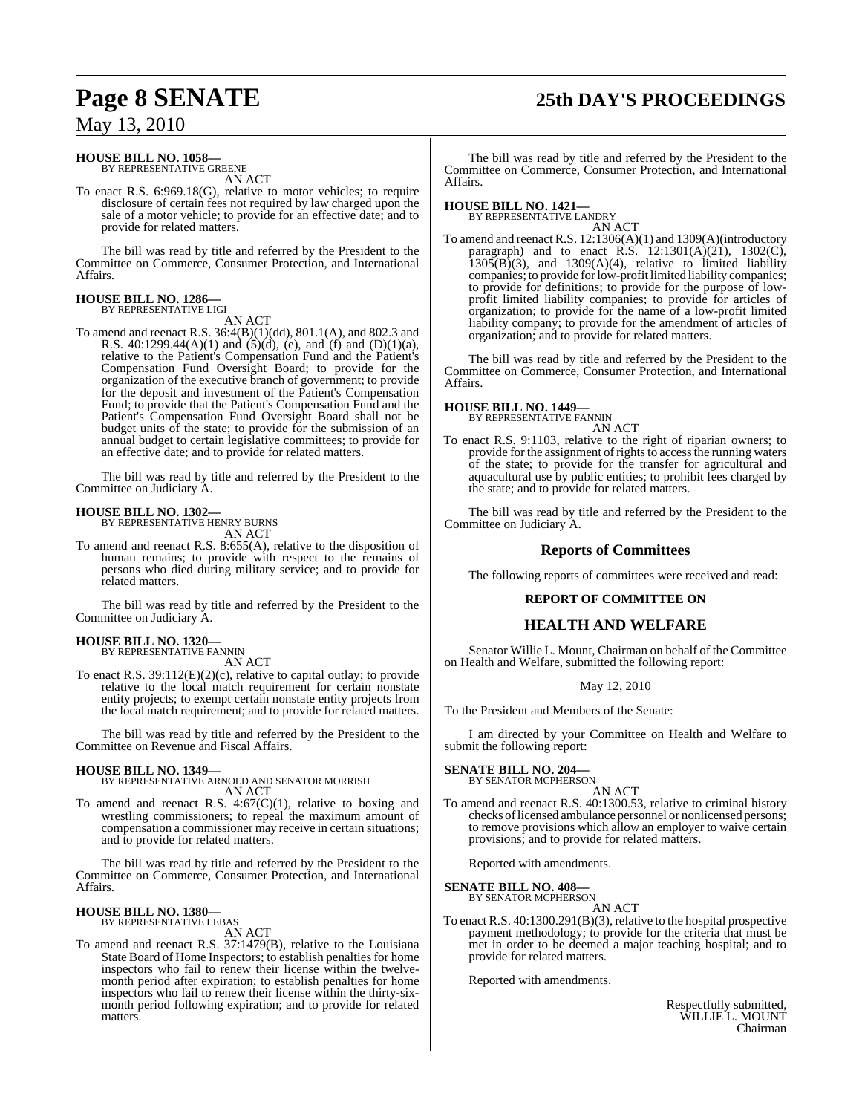# **Page 8 SENATE 25th DAY'S PROCEEDINGS**

## May 13, 2010

#### **HOUSE BILL NO. 1058—** BY REPRESENTATIVE GREENE

AN ACT

To enact R.S. 6:969.18(G), relative to motor vehicles; to require disclosure of certain fees not required by law charged upon the sale of a motor vehicle; to provide for an effective date; and to provide for related matters.

The bill was read by title and referred by the President to the Committee on Commerce, Consumer Protection, and International Affairs.

#### **HOUSE BILL NO. 1286—** BY REPRESENTATIVE LIGI

AN ACT

To amend and reenact R.S. 36:4(B)(1)(dd), 801.1(A), and 802.3 and R.S.  $40:1299.44(A)(1)$  and  $(5)(d)$ , (e), and (f) and (D)(1)(a), relative to the Patient's Compensation Fund and the Patient's Compensation Fund Oversight Board; to provide for the organization of the executive branch of government; to provide for the deposit and investment of the Patient's Compensation Fund; to provide that the Patient's Compensation Fund and the Patient's Compensation Fund Oversight Board shall not be budget units of the state; to provide for the submission of an annual budget to certain legislative committees; to provide for an effective date; and to provide for related matters.

The bill was read by title and referred by the President to the Committee on Judiciary A.

#### **HOUSE BILL NO. 1302—**

BY REPRESENTATIVE HENRY BURNS AN ACT

To amend and reenact R.S. 8:655(A), relative to the disposition of human remains; to provide with respect to the remains of persons who died during military service; and to provide for related matters.

The bill was read by title and referred by the President to the Committee on Judiciary A.

#### **HOUSE BILL NO. 1320—**

BY REPRESENTATIVE FANNIN AN ACT

To enact R.S. 39:112(E)(2)(c), relative to capital outlay; to provide relative to the local match requirement for certain nonstate entity projects; to exempt certain nonstate entity projects from the local match requirement; and to provide for related matters.

The bill was read by title and referred by the President to the Committee on Revenue and Fiscal Affairs.

### **HOUSE BILL NO. 1349—**

BY REPRESENTATIVE ARNOLD AND SENATOR MORRISH AN ACT

To amend and reenact R.S.  $4:67(C)(1)$ , relative to boxing and wrestling commissioners; to repeal the maximum amount of compensation a commissioner may receive in certain situations; and to provide for related matters.

The bill was read by title and referred by the President to the Committee on Commerce, Consumer Protection, and International Affairs.

# **HOUSE BILL NO. 1380—** BY REPRESENTATIVE LEBAS AN ACT

To amend and reenact R.S. 37:1479(B), relative to the Louisiana State Board of Home Inspectors; to establish penalties for home inspectors who fail to renew their license within the twelvemonth period after expiration; to establish penalties for home inspectors who fail to renew their license within the thirty-sixmonth period following expiration; and to provide for related matters.

The bill was read by title and referred by the President to the Committee on Commerce, Consumer Protection, and International Affairs.

# **HOUSE BILL NO. 1421—** BY REPRESENTATIVE LANDRY

AN ACT

To amend and reenact R.S. 12:1306(A)(1) and 1309(A)(introductory paragraph) and to enact R.S.  $12:1301(A)(21)$ ,  $1302(C)$ ,  $1305(B)(3)$ , and  $1309(A)(4)$ , relative to limited liability companies; to provide for low-profit limited liability companies; to provide for definitions; to provide for the purpose of lowprofit limited liability companies; to provide for articles of organization; to provide for the name of a low-profit limited liability company; to provide for the amendment of articles of organization; and to provide for related matters.

The bill was read by title and referred by the President to the Committee on Commerce, Consumer Protection, and International Affairs.

#### **HOUSE BILL NO. 1449—** BY REPRESENTATIVE FANNIN

AN ACT

To enact R.S. 9:1103, relative to the right of riparian owners; to provide for the assignment of rights to access the running waters of the state; to provide for the transfer for agricultural and aquacultural use by public entities; to prohibit fees charged by the state; and to provide for related matters.

The bill was read by title and referred by the President to the Committee on Judiciary A.

## **Reports of Committees**

The following reports of committees were received and read:

#### **REPORT OF COMMITTEE ON**

## **HEALTH AND WELFARE**

Senator Willie L. Mount, Chairman on behalf of the Committee on Health and Welfare, submitted the following report:

#### May 12, 2010

To the President and Members of the Senate:

I am directed by your Committee on Health and Welfare to submit the following report:

**SENATE BILL NO. 204—**

#### BY SENATOR MCPHERSON AN ACT

To amend and reenact R.S. 40:1300.53, relative to criminal history checks of licensed ambulance personnel or nonlicensed persons; to remove provisions which allow an employer to waive certain provisions; and to provide for related matters.

Reported with amendments.

**SENATE BILL NO. 408—** BY SENATOR

AN ACT

To enact R.S. 40:1300.291(B)(3), relative to the hospital prospective payment methodology; to provide for the criteria that must be met in order to be deemed a major teaching hospital; and to provide for related matters.

Reported with amendments.

Respectfully submitted, WILLIE L. MOUNT Chairman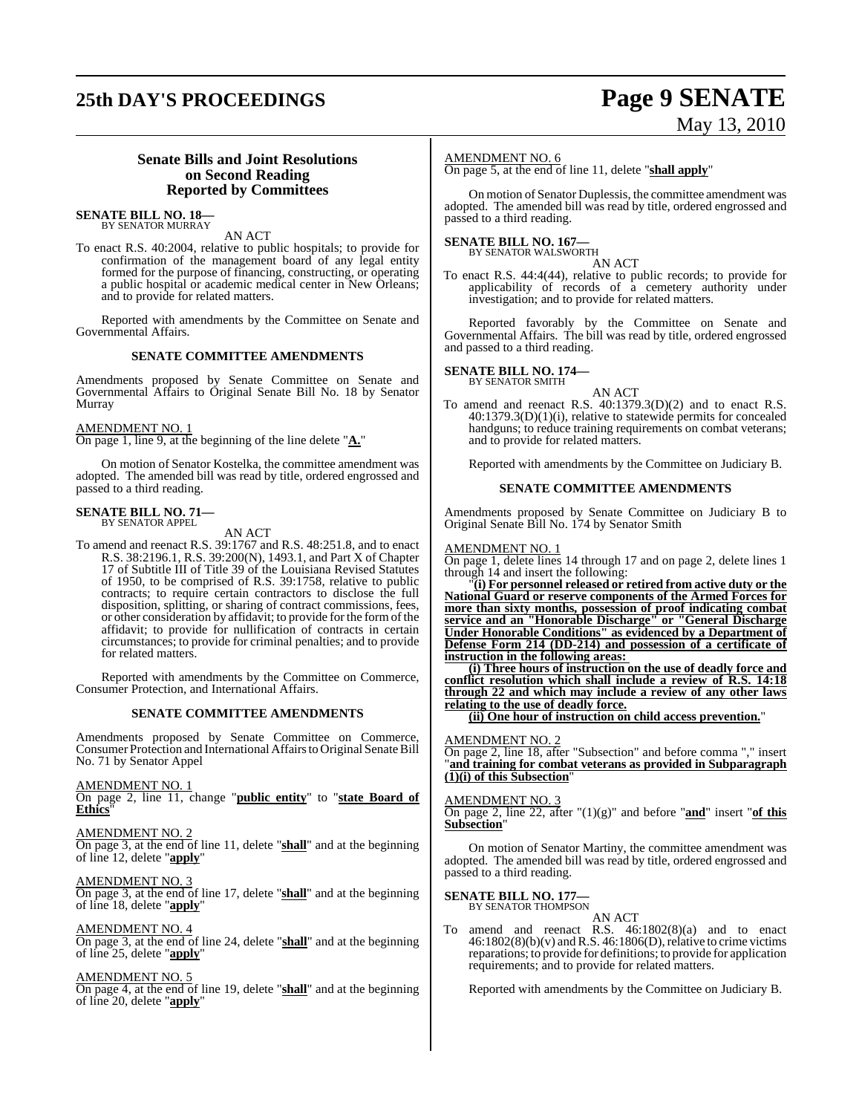# **25th DAY'S PROCEEDINGS Page 9 SENATE**

# May 13, 2010

## **Senate Bills and Joint Resolutions on Second Reading Reported by Committees**

# **SENATE BILL NO. 18—** BY SENATOR MURRAY

AN ACT

To enact R.S. 40:2004, relative to public hospitals; to provide for confirmation of the management board of any legal entity formed for the purpose of financing, constructing, or operating a public hospital or academic medical center in New Orleans; and to provide for related matters.

Reported with amendments by the Committee on Senate and Governmental Affairs.

#### **SENATE COMMITTEE AMENDMENTS**

Amendments proposed by Senate Committee on Senate and Governmental Affairs to Original Senate Bill No. 18 by Senator Murray

#### AMENDMENT NO. 1

On page 1, line 9, at the beginning of the line delete "**A.**"

On motion of Senator Kostelka, the committee amendment was adopted. The amended bill was read by title, ordered engrossed and passed to a third reading.

#### **SENATE BILL NO. 71—** BY SENATOR APPEL

AN ACT

To amend and reenact R.S. 39:1767 and R.S. 48:251.8, and to enact R.S. 38:2196.1, R.S. 39:200(N), 1493.1, and Part X of Chapter 17 of Subtitle III of Title 39 of the Louisiana Revised Statutes of 1950, to be comprised of R.S. 39:1758, relative to public contracts; to require certain contractors to disclose the full disposition, splitting, or sharing of contract commissions, fees, or other consideration by affidavit; to provide for the formofthe affidavit; to provide for nullification of contracts in certain circumstances; to provide for criminal penalties; and to provide for related matters.

Reported with amendments by the Committee on Commerce, Consumer Protection, and International Affairs.

#### **SENATE COMMITTEE AMENDMENTS**

Amendments proposed by Senate Committee on Commerce, Consumer Protection and International Affairs to Original Senate Bill No. 71 by Senator Appel

AMENDMENT NO. 1 On page 2, line 11, change "**public entity**" to "**state Board of** Ethics<sup>"</sup>

AMENDMENT NO. 2 On page 3, at the end of line 11, delete "**shall**" and at the beginning of line 12, delete "**apply**"

AMENDMENT NO. 3 On page 3, at the end of line 17, delete "**shall**" and at the beginning of line 18, delete "**apply**"

AMENDMENT NO. 4 On page 3, at the end of line 24, delete "**shall**" and at the beginning of line 25, delete "**apply**"

#### AMENDMENT NO. 5

On page 4, at the end of line 19, delete "**shall**" and at the beginning of line 20, delete "**apply**"

#### AMENDMENT NO. 6

On page 5, at the end of line 11, delete "**shall apply**"

On motion of Senator Duplessis, the committee amendment was adopted. The amended bill was read by title, ordered engrossed and passed to a third reading.

# **SENATE BILL NO. 167—** BY SENATOR WALSWORTH

AN ACT

To enact R.S. 44:4(44), relative to public records; to provide for applicability of records of a cemetery authority under investigation; and to provide for related matters.

Reported favorably by the Committee on Senate and Governmental Affairs. The bill was read by title, ordered engrossed and passed to a third reading.

#### **SENATE BILL NO. 174—** BY SENATOR SMITH

AN ACT

To amend and reenact R.S. 40:1379.3(D)(2) and to enact R.S. 40:1379.3(D)(1)(i), relative to statewide permits for concealed handguns; to reduce training requirements on combat veterans; and to provide for related matters.

Reported with amendments by the Committee on Judiciary B.

#### **SENATE COMMITTEE AMENDMENTS**

Amendments proposed by Senate Committee on Judiciary B to Original Senate Bill No. 174 by Senator Smith

#### AMENDMENT NO. 1

On page 1, delete lines 14 through 17 and on page 2, delete lines 1 through 14 and insert the following:

"**(i) For personnel released or retired from active duty or the National Guard or reserve components of the Armed Forces for more than sixty months, possession of proof indicating combat service and an "Honorable Discharge" or "General Discharge Under Honorable Conditions" as evidenced by a Department of Defense Form 214 (DD-214) and possession of a certificate of instruction in the following areas:** 

**(i) Three hours of instruction on the use of deadly force and conflict resolution which shall include a review of R.S. 14:18 through 22 and which may include a review of any other laws relating to the use of deadly force.**

**(ii) One hour of instruction on child access prevention.**"

#### AMENDMENT NO. 2

On page 2, line 18, after "Subsection" and before comma "," insert "**and training for combat veterans as provided in Subparagraph (1)(i) of this Subsection**"

#### AMENDMENT NO. 3

On page 2, line 22, after  $(1)(g)$ " and before "**and**" insert "**of this Subsection**"

On motion of Senator Martiny, the committee amendment was adopted. The amended bill was read by title, ordered engrossed and passed to a third reading.

# **SENATE BILL NO. 177—**<br>BY SENATOR THOMPSON

AN ACT

To amend and reenact R.S. 46:1802(8)(a) and to enact  $46:1802(8)(b)(v)$  and R.S.  $46:1806(D)$ , relative to crime victims reparations; to provide for definitions; to provide for application requirements; and to provide for related matters.

Reported with amendments by the Committee on Judiciary B.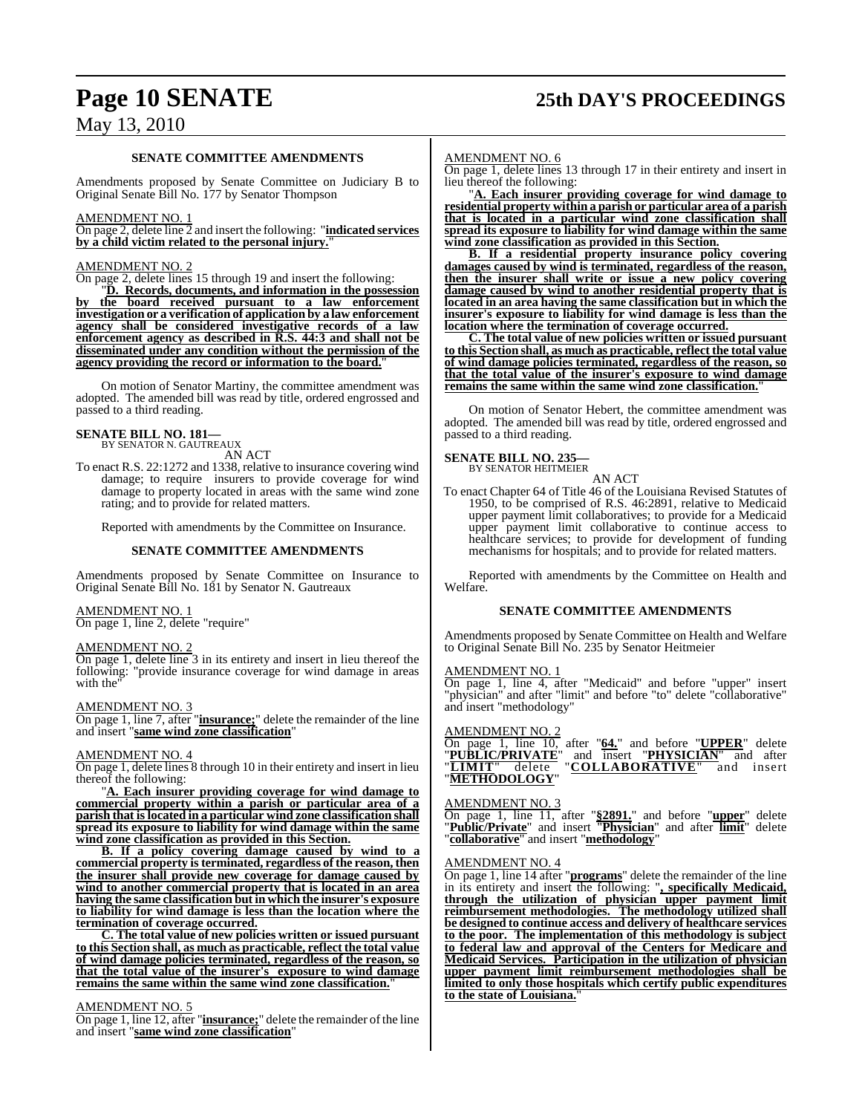# **Page 10 SENATE 25th DAY'S PROCEEDINGS**

## May 13, 2010

#### **SENATE COMMITTEE AMENDMENTS**

Amendments proposed by Senate Committee on Judiciary B to Original Senate Bill No. 177 by Senator Thompson

#### AMENDMENT NO. 1

On page 2, delete line 2 and insert the following: "**indicated services by a child victim related to the personal injury.**"

#### AMENDMENT NO. 2

On page 2, delete lines 15 through 19 and insert the following:

"**D. Records, documents, and information in the possession by the board received pursuant to a law enforcement investigation or a verification of application by a law enforcement agency shall be considered investigative records of a law enforcement agency as described in R.S. 44:3 and shall not be disseminated under any condition without the permission of the agency providing the record or information to the board.**"

On motion of Senator Martiny, the committee amendment was adopted. The amended bill was read by title, ordered engrossed and passed to a third reading.

#### **SENATE BILL NO. 181—** BY SENATOR N. GAUTREAUX

AN ACT

To enact R.S. 22:1272 and 1338, relative to insurance covering wind damage; to require insurers to provide coverage for wind damage to property located in areas with the same wind zone rating; and to provide for related matters.

Reported with amendments by the Committee on Insurance.

#### **SENATE COMMITTEE AMENDMENTS**

Amendments proposed by Senate Committee on Insurance to Original Senate Bill No. 181 by Senator N. Gautreaux

#### AMENDMENT NO. 1

On page 1, line 2, delete "require"

#### AMENDMENT NO. 2

On page 1, delete line 3 in its entirety and insert in lieu thereof the following: "provide insurance coverage for wind damage in areas with the

#### AMENDMENT NO. 3

On page 1, line 7, after "**insurance;**" delete the remainder of the line and insert "**same wind zone classification**"

#### AMENDMENT NO. 4

On page 1, delete lines 8 through 10 in their entirety and insert in lieu thereof the following:

"**A. Each insurer providing coverage for wind damage to commercial property within a parish or particular area of a parish that is located in a particular wind zone classification shall spread its exposure to liability for wind damage within the same wind zone classification as provided in this Section.**

**B. If a policy covering damage caused by wind to a commercial property isterminated, regardless of the reason, then the insurer shall provide new coverage for damage caused by wind to another commercial property that is located in an area having the same classification but in which the insurer's exposure to liability for wind damage is less than the location where the termination of coverage occurred.**

**C. The total value of new policies written or issued pursuant to this Section shall, as much as practicable, reflect the total value of wind damage policies terminated, regardless of the reason, so that the total value of the insurer's exposure to wind damage remains the same within the same wind zone classification.**"

#### AMENDMENT NO. 5

On page 1, line 12, after "**insurance;**" delete the remainder of the line and insert "**same wind zone classification**"

#### AMENDMENT NO. 6

On page 1, delete lines 13 through 17 in their entirety and insert in lieu thereof the following:

"**A. Each insurer providing coverage for wind damage to residential property within a parish or particular area of a parish that is located in a particular wind zone classification shall spread its exposure to liability for wind damage within the same wind zone classification as provided in this Section.**

**B. If a residential property insurance policy covering damages caused by wind is terminated, regardless of the reason, then the insurer shall write or issue a new policy covering damage caused by wind to another residential property that is located in an area having the same classification but in which the insurer's exposure to liability for wind damage is less than the location where the termination of coverage occurred.**

**C. The total value of new policies written or issued pursuant to this Section shall, as much as practicable, reflect the total value of wind damage policies terminated, regardless of the reason, so that the total value of the insurer's exposure to wind damage remains the same within the same wind zone classification.**"

On motion of Senator Hebert, the committee amendment was adopted. The amended bill was read by title, ordered engrossed and passed to a third reading.

# **SENATE BILL NO. 235—** BY SENATOR HEITMEIER

AN ACT

To enact Chapter 64 of Title 46 of the Louisiana Revised Statutes of 1950, to be comprised of R.S. 46:2891, relative to Medicaid upper payment limit collaboratives; to provide for a Medicaid upper payment limit collaborative to continue access to healthcare services; to provide for development of funding mechanisms for hospitals; and to provide for related matters.

Reported with amendments by the Committee on Health and Welfare.

#### **SENATE COMMITTEE AMENDMENTS**

Amendments proposed by Senate Committee on Health and Welfare to Original Senate Bill No. 235 by Senator Heitmeier

#### AMENDMENT NO. 1

On page 1, line 4, after "Medicaid" and before "upper" insert "physician" and after "limit" and before "to" delete "collaborative" and insert "methodology"

#### AMENDMENT NO. 2

On page 1, line 10, after "**64.**" and before "**UPPER**" delete "**PUBLIC/PRIVATE**" and insert "**PHYSICIAN**" and after "**LIMIT**" delete "**COLLABORATIVE**" and insert "**METHODOLOGY**"

#### AMENDMENT NO. 3

On page 1, line 11, after "**§2891.**" and before "**upper**" delete "**Public/Private**" and insert "**Physician**" and after **limit**" delete "**collaborative**" and insert "**methodology**"

### AMENDMENT NO. 4

On page 1, line 14 after "**programs**" delete the remainder of the line in its entirety and insert the following: "**, specifically Medicaid, through the utilization of physician upper payment limit reimbursement methodologies. The methodology utilized shall be designed to continue access and delivery of healthcare services to the poor. The implementation of this methodology is subject to federal law and approval of the Centers for Medicare and Medicaid Services. Participation in the utilization of physician upper payment limit reimbursement methodologies shall be limited to only those hospitals which certify public expenditures to the state of Louisiana.**"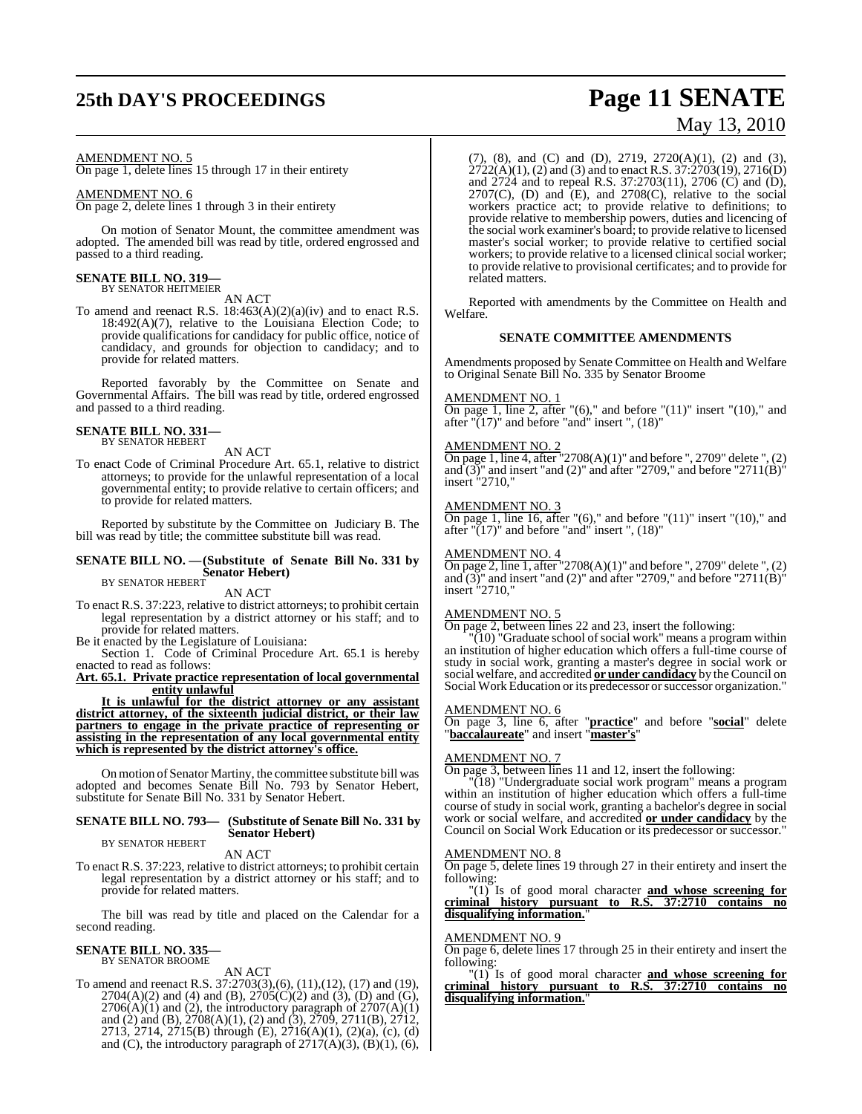# **25th DAY'S PROCEEDINGS Page 11 SENATE**

#### AMENDMENT NO. 5

On page 1, delete lines 15 through 17 in their entirety

#### AMENDMENT NO. 6

On page 2, delete lines 1 through 3 in their entirety

On motion of Senator Mount, the committee amendment was adopted. The amended bill was read by title, ordered engrossed and passed to a third reading.

#### **SENATE BILL NO. 319—** BY SENATOR HEITMEIER

AN ACT

To amend and reenact R.S.  $18:463(A)(2)(a)(iv)$  and to enact R.S. 18:492(A)(7), relative to the Louisiana Election Code; to provide qualifications for candidacy for public office, notice of candidacy, and grounds for objection to candidacy; and to provide for related matters.

Reported favorably by the Committee on Senate and Governmental Affairs. The bill was read by title, ordered engrossed and passed to a third reading.

#### **SENATE BILL NO. 331—** BY SENATOR HEBERT

AN ACT

To enact Code of Criminal Procedure Art. 65.1, relative to district attorneys; to provide for the unlawful representation of a local governmental entity; to provide relative to certain officers; and to provide for related matters.

Reported by substitute by the Committee on Judiciary B. The bill was read by title; the committee substitute bill was read.

## **SENATE BILL NO. —(Substitute of Senate Bill No. 331 by Senator Hebert**)<br>BY SENATOR HEBERT

## AN ACT

To enact R.S. 37:223, relative to district attorneys; to prohibit certain legal representation by a district attorney or his staff; and to provide for related matters.

Be it enacted by the Legislature of Louisiana:

Section 1. Code of Criminal Procedure Art. 65.1 is hereby enacted to read as follows:

**Art. 65.1. Private practice representation of local governmental entity unlawful**

**It is unlawful for the district attorney or any assistant district attorney, of the sixteenth judicial district, or their law partners to engage in the private practice of representing or assisting in the representation of any local governmental entity which is represented by the district attorney's office.**

On motion of Senator Martiny, the committee substitute bill was adopted and becomes Senate Bill No. 793 by Senator Hebert, substitute for Senate Bill No. 331 by Senator Hebert.

#### **SENATE BILL NO. 793— (Substitute of Senate Bill No. 331 by Senator Hebert)** BY SENATOR HEBERT

AN ACT

To enact R.S. 37:223, relative to district attorneys; to prohibit certain legal representation by a district attorney or his staff; and to provide for related matters.

The bill was read by title and placed on the Calendar for a second reading.

#### **SENATE BILL NO. 335** BY SENATOR BROOME

AN ACT

To amend and reenact R.S. 37:2703(3),(6), (11),(12), (17) and (19),  $2704(A)(2)$  and (4) and (B),  $2705(C)(2)$  and (3), (D) and (G),  $2706(A)(1)$  and (2), the introductory paragraph of  $2707(A)(1)$ and (2) and (B), 2708(A)(1), (2) and (3), 2709, 2711(B), 2712, 2713, 2714, 2715(B) through (E), 2716(A)(1), (2)(a), (c), (d) and (C), the introductory paragraph of  $2717(A)(3)$ ,  $(B)(1)$ ,  $(6)$ ,

(7), (8), and (C) and (D), 2719, 2720(A)(1), (2) and (3),  $2722(A)(1)$ , (2) and (3) and to enact R.S.  $37:2703(19)$ ,  $2716(D)$ and 2724 and to repeal R.S. 37:2703(11), 2706 (C) and (D),  $2707(C)$ , (D) and  $(E)$ , and  $2708(C)$ , relative to the social workers practice act; to provide relative to definitions; to provide relative to membership powers, duties and licencing of the social work examiner's board; to provide relative to licensed master's social worker; to provide relative to certified social workers; to provide relative to a licensed clinical social worker; to provide relative to provisional certificates; and to provide for related matters.

Reported with amendments by the Committee on Health and Welfare.

#### **SENATE COMMITTEE AMENDMENTS**

Amendments proposed by Senate Committee on Health and Welfare to Original Senate Bill No. 335 by Senator Broome

#### AMENDMENT NO. 1

On page 1, line 2, after "(6)," and before " $(11)$ " insert " $(10)$ ," and after " $(17)$ " and before "and" insert ",  $(18)$ "

#### AMENDMENT NO. 2

On page 1, line 4, after "2708(A)(1)" and before ", 2709" delete ",  $(2)$ and  $(3)$ " and insert "and  $(2)$ " and after "2709," and before "2711 $(B)$ " insert "2710,

#### AMENDMENT NO. 3

On page 1, line 16, after " $(6)$ ," and before " $(11)$ " insert " $(10)$ ," and after " $(17)$ " and before "and" insert ",  $(18)$ "

#### AMENDMENT NO. 4

On page 2, line 1, after "2708(A)(1)" and before ", 2709" delete ", (2) and  $(3)$ " and insert "and  $(2)$ " and after "2709," and before "2711 $(B)$ " insert "2710,"

#### AMENDMENT NO. 5

On page 2, between lines 22 and 23, insert the following:

 $\sqrt{(10)}$  "Graduate school of social work" means a program within an institution of higher education which offers a full-time course of study in social work, granting a master's degree in social work or social welfare, and accredited **or under candidacy** by the Council on Social Work Education or its predecessor or successor organization."

#### AMENDMENT NO. 6

On page 3, line 6, after "**practice**" and before "**social**" delete "**baccalaureate**" and insert "**master's**"

## AMEN<u>DMENT NO. 7</u>

On page 3, between lines 11 and 12, insert the following:

"(18) "Undergraduate social work program" means a program within an institution of higher education which offers a full-time course of study in social work, granting a bachelor's degree in social work or social welfare, and accredited **or under candidacy** by the Council on Social Work Education or its predecessor or successor.

#### AMENDMENT NO. 8

On page 5, delete lines 19 through 27 in their entirety and insert the following:

"(1) Is of good moral character **and whose screening for criminal history pursuant to R.S. 37:2710 contains no disqualifying information.**"

#### AMENDMENT NO. 9

On page 6, delete lines 17 through 25 in their entirety and insert the following:

"(1) Is of good moral character **and whose screening for criminal history pursuant to R.S. 37:2710 contains no disqualifying information.**"

# May 13, 2010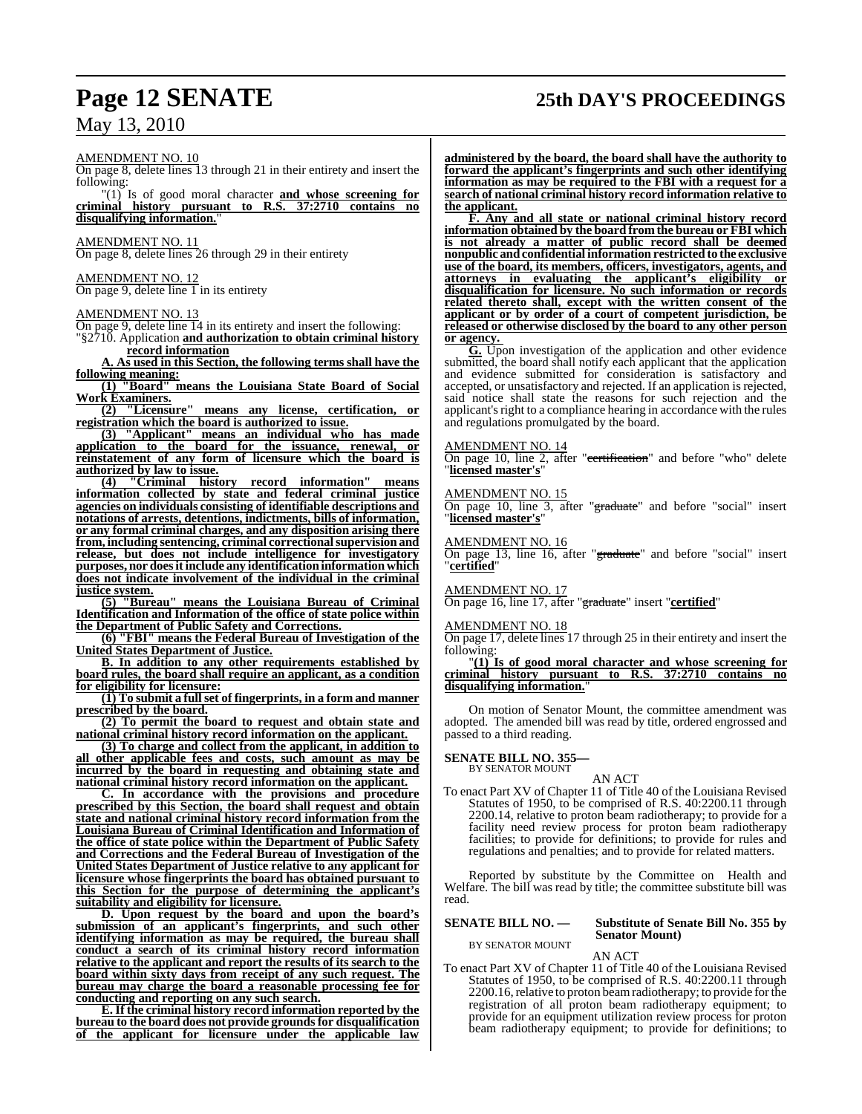# **Page 12 SENATE 25th DAY'S PROCEEDINGS**

AMENDMENT NO. 10

On page 8, delete lines 13 through 21 in their entirety and insert the following:

"(1) Is of good moral character **and whose screening for criminal history pursuant to R.S. 37:2710 contains no disqualifying information.**"

AMENDMENT NO. 11

On page 8, delete lines 26 through 29 in their entirety

#### AMENDMENT NO. 12 On page 9, delete line  $1$  in its entirety

#### AMENDMENT NO. 13

On page 9, delete line 14 in its entirety and insert the following: "§2710. Application **and authorization to obtain criminal history**

**record information A. As used in this Section, the following terms shall have the**

**following meaning: (1) "Board" means the Louisiana State Board of Social Work Examiners.**

**(2) "Licensure" means any license, certification, or registration which the board is authorized to issue.**

**(3) "Applicant" means an individual who has made application to the board for the issuance, renewal, or reinstatement of any form of licensure which the board is authorized by law to issue.**

**(4) "Criminal history record information" means information collected by state and federal criminal justice agencies on individuals consisting of identifiable descriptions and notations of arrests, detentions, indictments, bills of information, or any formal criminal charges, and any disposition arising there from, including sentencing, criminal correctionalsupervision and release, but does not include intelligence for investigatory purposes, nor doesitinclude any identificationinformation which does not indicate involvement of the individual in the criminal justice system.**

**(5) "Bureau" means the Louisiana Bureau of Criminal Identification and Information of the office of state police within the Department of Public Safety and Corrections.**

**(6) "FBI" means the Federal Bureau of Investigation of the United States Department of Justice.**

**B. In addition to any other requirements established by board rules, the board shall require an applicant, as a condition for eligibility for licensure:**

**(1) To submit a fullset of fingerprints, in a form and manner prescribed by the board.**

**(2) To permit the board to request and obtain state and national criminal history record information on the applicant.**

**(3) To charge and collect from the applicant, in addition to all other applicable fees and costs, such amount as may be incurred by the board in requesting and obtaining state and national criminal history record information on the applicant.**

**C. In accordance with the provisions and procedure prescribed by this Section, the board shall request and obtain state and national criminal history record information from the Louisiana Bureau of Criminal Identification and Information of the office of state police within the Department of Public Safety and Corrections and the Federal Bureau of Investigation of the United States Department of Justice relative to any applicant for licensure whose fingerprints the board has obtained pursuant to this Section for the purpose of determining the applicant's suitability and eligibility for licensure.**

**D. Upon request by the board and upon the board's submission of an applicant's fingerprints, and such other identifying information as may be required, the bureau shall conduct a search of its criminal history record information relative to the applicant and report the results of its search to the board within sixty days from receipt of any such request. The bureau may charge the board a reasonable processing fee for conducting and reporting on any such search.**

**E.If the criminal history record information reported by the bureau to the board does not provide groundsfor disqualification of the applicant for licensure under the applicable law** **administered by the board, the board shall have the authority to forward the applicant's fingerprints and such other identifying information as may be required to the FBI with a request for a search of national criminal history record information relative to the applicant.**

**F. Any and all state or national criminal history record information obtained by the board from the bureau or FBI which is not already a matter of public record shall be deemed nonpublic andconfidential information restricted to the exclusive use of the board, its members, officers, investigators, agents, and attorneys in evaluating the applicant's eligibility or disqualification for licensure. No such information or records related thereto shall, except with the written consent of the applicant or by order of a court of competent jurisdiction, be released or otherwise disclosed by the board to any other person or agency.** 

**G.** Upon investigation of the application and other evidence submitted, the board shall notify each applicant that the application and evidence submitted for consideration is satisfactory and accepted, or unsatisfactory and rejected. If an application is rejected, said notice shall state the reasons for such rejection and the applicant's right to a compliance hearing in accordance with the rules and regulations promulgated by the board.

#### AMENDMENT NO. 14

On page 10, line 2, after "certification" and before "who" delete "**licensed master's**"

#### AMENDMENT NO. 15

On page 10, line 3, after "graduate" and before "social" insert "**licensed master's**"

#### AMENDMENT NO. 16

On page 13, line 16, after "graduate" and before "social" insert "**certified**"

#### AMENDMENT NO. 17

On page 16, line 17, after "graduate" insert "**certified**"

#### AMENDMENT NO. 18

On page 17, delete lines 17 through 25 in their entirety and insert the following:

"**(1) Is of good moral character and whose screening for criminal history pursuant to R.S. 37:2710 contains no disqualifying information.**"

On motion of Senator Mount, the committee amendment was adopted. The amended bill was read by title, ordered engrossed and passed to a third reading.

#### **SENATE BILL NO. 355**

BY SENATOR MOUNT

AN ACT To enact Part XV of Chapter 11 of Title 40 of the Louisiana Revised Statutes of 1950, to be comprised of R.S. 40:2200.11 through 2200.14, relative to proton beam radiotherapy; to provide for a facility need review process for proton beam radiotherapy facilities; to provide for definitions; to provide for rules and regulations and penalties; and to provide for related matters.

Reported by substitute by the Committee on Health and Welfare. The bill was read by title; the committee substitute bill was read.

## **SENATE BILL NO. — Substitute of Senate Bill No. 355 by**

BY SENATOR MOUNT

# **Senator Mount)**

AN ACT

To enact Part XV of Chapter 11 of Title 40 of the Louisiana Revised Statutes of 1950, to be comprised of R.S. 40:2200.11 through 2200.16, relative to proton beam radiotherapy; to provide for the registration of all proton beam radiotherapy equipment; to provide for an equipment utilization review process for proton beam radiotherapy equipment; to provide for definitions; to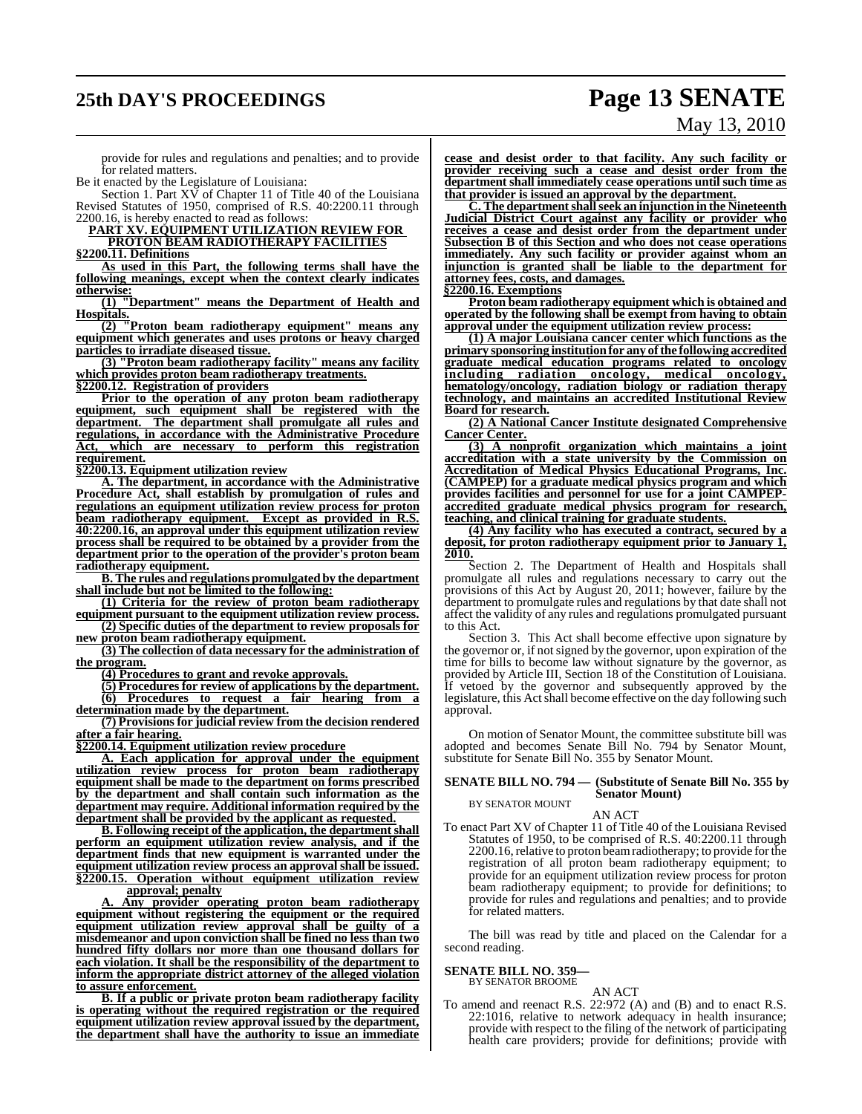# **25th DAY'S PROCEEDINGS Page 13 SENATE**

# May 13, 2010

provide for rules and regulations and penalties; and to provide for related matters.

Be it enacted by the Legislature of Louisiana:

Section 1. Part XV of Chapter 11 of Title 40 of the Louisiana Revised Statutes of 1950, comprised of R.S. 40:2200.11 through 2200.16, is hereby enacted to read as follows:

**PART XV. EQUIPMENT UTILIZATION REVIEW FOR PROTON BEAM RADIOTHERAPY FACILITIES**

**§2200.11. Definitions**

**As used in this Part, the following terms shall have the following meanings, except when the context clearly indicates otherwise:**

**(1) "Department" means the Department of Health and Hospitals.**

**(2) "Proton beam radiotherapy equipment" means any equipment which generates and uses protons or heavy charged particles to irradiate diseased tissue.**

**(3) "Proton beam radiotherapy facility" means any facility which provides proton beam radiotherapy treatments.**

**§2200.12. Registration of providers**

**Prior to the operation of any proton beam radiotherapy equipment, such equipment shall be registered with the department. The department shall promulgate all rules and regulations, in accordance with the Administrative Procedure Act, which are necessary to perform this registration requirement.**

**§2200.13. Equipment utilization review**

**A. The department, in accordance with the Administrative Procedure Act, shall establish by promulgation of rules and regulations an equipment utilization review process for proton beam radiotherapy equipment. Except as provided in R.S. 40:2200.16, an approval under this equipment utilization review process shall be required to be obtained by a provider from the department prior to the operation of the provider's proton beam radiotherapy equipment.**

**B. The rules and regulations promulgated by the department shall include but not be limited to the following:**

**(1) Criteria for the review of proton beam radiotherapy equipment pursuant to the equipment utilization review process. (2) Specific duties of the department to review proposals for**

**new proton beam radiotherapy equipment. (3) The collection of data necessary for the administration of**

**the program.**

**(4) Procedures to grant and revoke approvals.**

**(5) Procedures for review of applications by the department. (6) Procedures to request a fair hearing from a determination made by the department.**

**(7) Provisionsfor judicial review from the decision rendered after a fair hearing.**

**§2200.14. Equipment utilization review procedure**

**A. Each application for approval under the equipment utilization review process for proton beam radiotherapy equipment shall be made to the department on forms prescribed by the department and shall contain such information as the department may require. Additional information required by the department shall be provided by the applicant as requested.**

**B. Following receipt of the application, the department shall perform an equipment utilization review analysis, and if the department finds that new equipment is warranted under the equipment utilization review process an approval shall be issued. §2200.15. Operation without equipment utilization review**

**approval; penalty**

**A. Any provider operating proton beam radiotherapy equipment without registering the equipment or the required equipment utilization review approval shall be guilty of a misdemeanor and upon conviction shall be fined no less than two hundred fifty dollars nor more than one thousand dollars for each violation. It shall be the responsibility of the department to inform the appropriate district attorney of the alleged violation to assure enforcement.**

**B. If a public or private proton beam radiotherapy facility is operating without the required registration or the required equipment utilization review approval issued by the department, the department shall have the authority to issue an immediate**

**cease and desist order to that facility. Any such facility or provider receiving such a cease and desist order from the department shall immediately cease operations until such time as that provider is issued an approval by the department.**

**C. The departmentshallseek an injunction in the Nineteenth Judicial District Court against any facility or provider who receives a cease and desist order from the department under Subsection B of this Section and who does not cease operations immediately. Any such facility or provider against whom an injunction is granted shall be liable to the department for attorney fees, costs, and damages.**

**§2200.16. Exemptions**

**Proton beam radiotherapy equipment which is obtained and operated by the following shall be exempt from having to obtain approval under the equipment utilization review process:**

**(1) A major Louisiana cancer center which functions as the primary sponsoring institutionfor any ofthe following accredited graduate medical education programs related to oncology including radiation oncology, medical oncology, hematology/oncology, radiation biology or radiation therapy technology, and maintains an accredited Institutional Review Board for research.**

**(2) A National Cancer Institute designated Comprehensive Cancer Center.**

**(3) A nonprofit organization which maintains a joint accreditation with a state university by the Commission on Accreditation of Medical Physics Educational Programs, Inc. (CAMPEP) for a graduate medical physics program and which provides facilities and personnel for use for a joint CAMPEPaccredited graduate medical physics program for research, teaching, and clinical training for graduate students.**

**(4) Any facility who has executed a contract, secured by a deposit, for proton radiotherapy equipment prior to January 1, 2010.**

Section 2. The Department of Health and Hospitals shall promulgate all rules and regulations necessary to carry out the provisions of this Act by August 20, 2011; however, failure by the department to promulgate rules and regulations by that date shall not affect the validity of any rules and regulations promulgated pursuant to this Act.

Section 3. This Act shall become effective upon signature by the governor or, if not signed by the governor, upon expiration of the time for bills to become law without signature by the governor, as provided by Article III, Section 18 of the Constitution of Louisiana. If vetoed by the governor and subsequently approved by the legislature, this Act shall become effective on the day following such approval.

On motion of Senator Mount, the committee substitute bill was adopted and becomes Senate Bill No. 794 by Senator Mount, substitute for Senate Bill No. 355 by Senator Mount.

#### **SENATE BILL NO. 794 — (Substitute of Senate Bill No. 355 by Senator Mount)**

BY SENATOR MOUNT

AN ACT

To enact Part XV of Chapter 11 of Title 40 of the Louisiana Revised Statutes of 1950, to be comprised of R.S. 40:2200.11 through 2200.16, relative to proton beam radiotherapy; to provide for the registration of all proton beam radiotherapy equipment; to provide for an equipment utilization review process for proton beam radiotherapy equipment; to provide for definitions; to provide for rules and regulations and penalties; and to provide for related matters.

The bill was read by title and placed on the Calendar for a second reading.

### **SENATE BILL NO. 359—**

BY SENATOR BROOME

AN ACT To amend and reenact R.S. 22:972 (A) and (B) and to enact R.S. 22:1016, relative to network adequacy in health insurance; provide with respect to the filing of the network of participating health care providers; provide for definitions; provide with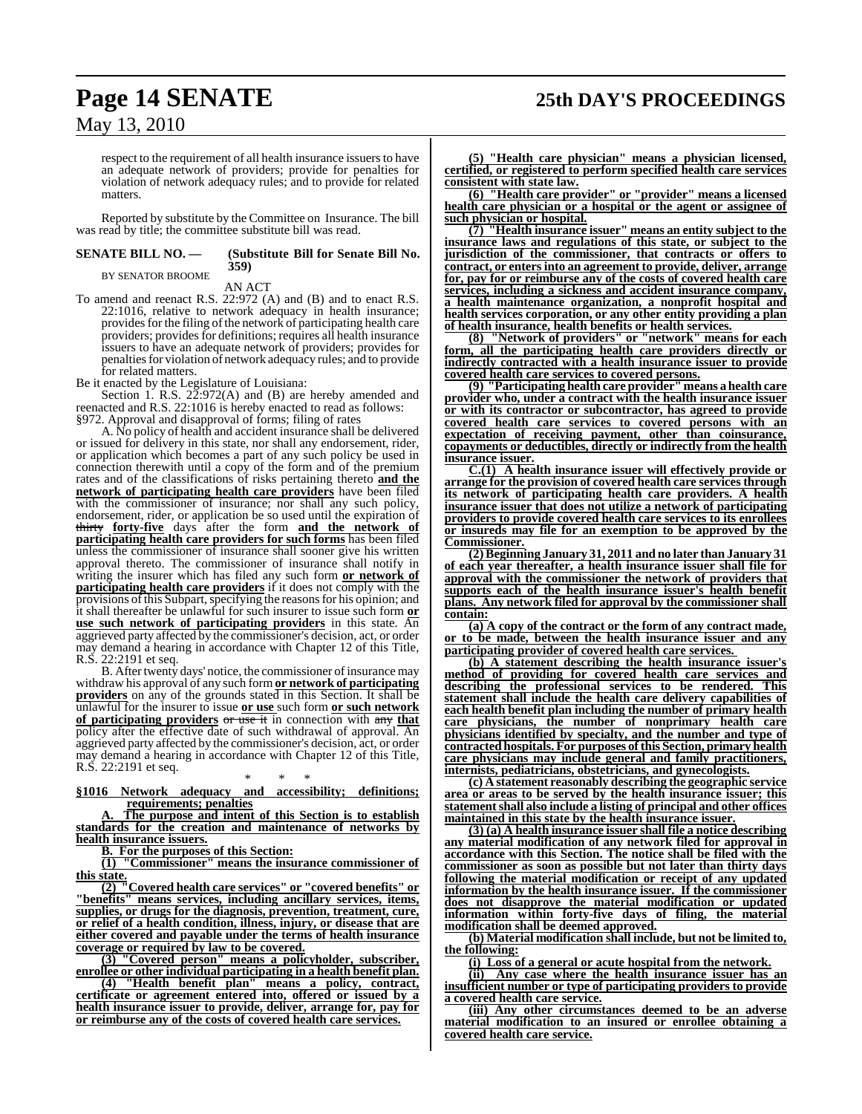# **Page 14 SENATE 25th DAY'S PROCEEDINGS**

May 13, 2010

respect to the requirement of all health insurance issuers to have an adequate network of providers; provide for penalties for violation of network adequacy rules; and to provide for related matters.

Reported by substitute by the Committee on Insurance. The bill was read by title; the committee substitute bill was read.

# BY SENATOR BROOME

#### **SENATE BILL NO. — (Substitute Bill for Senate Bill No. 359)**

AN ACT

To amend and reenact R.S. 22:972 (A) and (B) and to enact R.S. 22:1016, relative to network adequacy in health insurance; provides for the filing of the network of participating health care providers; provides for definitions; requires all health insurance issuers to have an adequate network of providers; provides for penalties for violation of network adequacy rules; and to provide for related matters.

Be it enacted by the Legislature of Louisiana:

Section 1. R.S.  $2\tilde{2}$ :972(A) and (B) are hereby amended and reenacted and R.S. 22:1016 is hereby enacted to read as follows: §972. Approval and disapproval of forms; filing of rates

A. No policy of health and accident insurance shall be delivered or issued for delivery in this state, nor shall any endorsement, rider, or application which becomes a part of any such policy be used in connection therewith until a copy of the form and of the premium rates and of the classifications of risks pertaining thereto **and the network of participating health care providers** have been filed with the commissioner of insurance; nor shall any such policy, endorsement, rider, or application be so used until the expiration of thirty **forty-five** days after the form **and the network of participating health care providers for such forms** has been filed unless the commissioner of insurance shall sooner give his written approval thereto. The commissioner of insurance shall notify in writing the insurer which has filed any such form **or network** of **participating health care providers** if it does not comply with the provisions of this Subpart, specifying the reasons for his opinion; and it shall thereafter be unlawful for such insurer to issue such form **or use such network of participating providers** in this state. An aggrieved party affected by the commissioner's decision, act, or order may demand a hearing in accordance with Chapter 12 of this Title, R.S. 22:2191 et seq.

B. After twenty days' notice, the commissioner of insurance may withdraw his approval of any such form **or network of participating providers** on any of the grounds stated in this Section. It shall be unlawful for the insurer to issue **or use** such form **or such network of participating providers** or use it in connection with any **that** policy after the effective date of such withdrawal of approval. An aggrieved party affected by the commissioner's decision, act, or order may demand a hearing in accordance with Chapter 12 of this Title, R.S. 22:2191 et seq.

\* \* \* **§1016 Network adequacy and accessibility; definitions; requirements; penalties**

The purpose and intent of this Section is to establish **standards for the creation and maintenance of networks by health insurance issuers.**

**B. For the purposes of this Section:**

**(1) "Commissioner" means the insurance commissioner of this state.**

**(2) "Covered health care services" or "covered benefits" or "benefits" means services, including ancillary services, items, supplies, or drugs for the diagnosis, prevention, treatment, cure, or relief of a health condition, illness, injury, or disease that are either covered and payable under the terms of health insurance coverage or required by law to be covered.**

**(3) "Covered person" means a policyholder, subscriber, enrollee or other individual participating in a health benefit plan.**

**(4) "Health benefit plan" means a policy, contract, certificate or agreement entered into, offered or issued by a health insurance issuer to provide, deliver, arrange for, pay for or reimburse any of the costs of covered health care services.**

**(5) "Health care physician" means a physician licensed, certified, or registered to perform specified health care services consistent with state law.**

**(6) "Health care provider" or "provider" means a licensed health care physician or a hospital or the agent or assignee of such physician or hospital.**

**(7) "Health insurance issuer" means an entity subject to the insurance laws and regulations of this state, or subject to the jurisdiction of the commissioner, that contracts or offers to contract, or enters into an agreement to provide, deliver, arrange for, pay for or reimburse any of the costs of covered health care services, including a sickness and accident insurance company, a health maintenance organization, a nonprofit hospital and health services corporation, or any other entity providing a plan of health insurance, health benefits or health services.**

**(8) "Network of providers" or "network" means for each form, all the participating health care providers directly or indirectly contracted with a health insurance issuer to provide covered health care services to covered persons.**

**(9) "Participating health care provider" means a health care provider who, under a contract with the health insurance issuer or with its contractor or subcontractor, has agreed to provide covered health care services to covered persons with an expectation of receiving payment, other than coinsurance, copayments or deductibles, directly or indirectly from the health insurance issuer.**

**C.(1) A health insurance issuer will effectively provide or arrange for the provision of covered health care services through its network of participating health care providers. A health insurance issuer that does not utilize a network of participating providers to provide covered health care services to its enrollees or insureds may file for an exemption to be approved by the Commissioner.**

**(2)Beginning January 31, 2011 and no later than January 31 of each year thereafter, a health insurance issuer shall file for approval with the commissioner the network of providers that supports each of the health insurance issuer's health benefit plans. Any network filed for approval by the commissioner shall contain:**

**(a) A copy of the contract or the form of any contract made, or to be made, between the health insurance issuer and any participating provider of covered health care services.** 

**(b) A statement describing the health insurance issuer's method of providing for covered health care services and describing the professional services to be rendered. This statement shall include the health care delivery capabilities of each health benefit plan including the number of primary health care physicians, the number of nonprimary health care physicians identified by specialty, and the number and type of contracted hospitals. For purposes ofthis Section, primary health care physicians may include general and family practitioners, internists, pediatricians, obstetricians, and gynecologists.**

**(c) A statement reasonably describing the geographic service area or areas to be served by the health insurance issuer; this statementshall also include a listing of principal and other offices maintained in this state by the health insurance issuer.**

**(3) (a) A health insurance issuer shall file a notice describing any material modification of any network filed for approval in accordance with this Section. The notice shall be filed with the commissioner as soon as possible but not later than thirty days following the material modification or receipt of any updated information by the health insurance issuer. If the commissioner does not disapprove the material modification or updated information within forty-five days of filing, the material modification shall be deemed approved.**

**(b) Material modification shall include, but not be limited to, the following:**

**(i) Loss of a general or acute hospital from the network.**

**(ii) Any case where the health insurance issuer has an insufficient number or type of participating providers to provide a covered health care service.**

**(iii) Any other circumstances deemed to be an adverse material modification to an insured or enrollee obtaining a covered health care service.**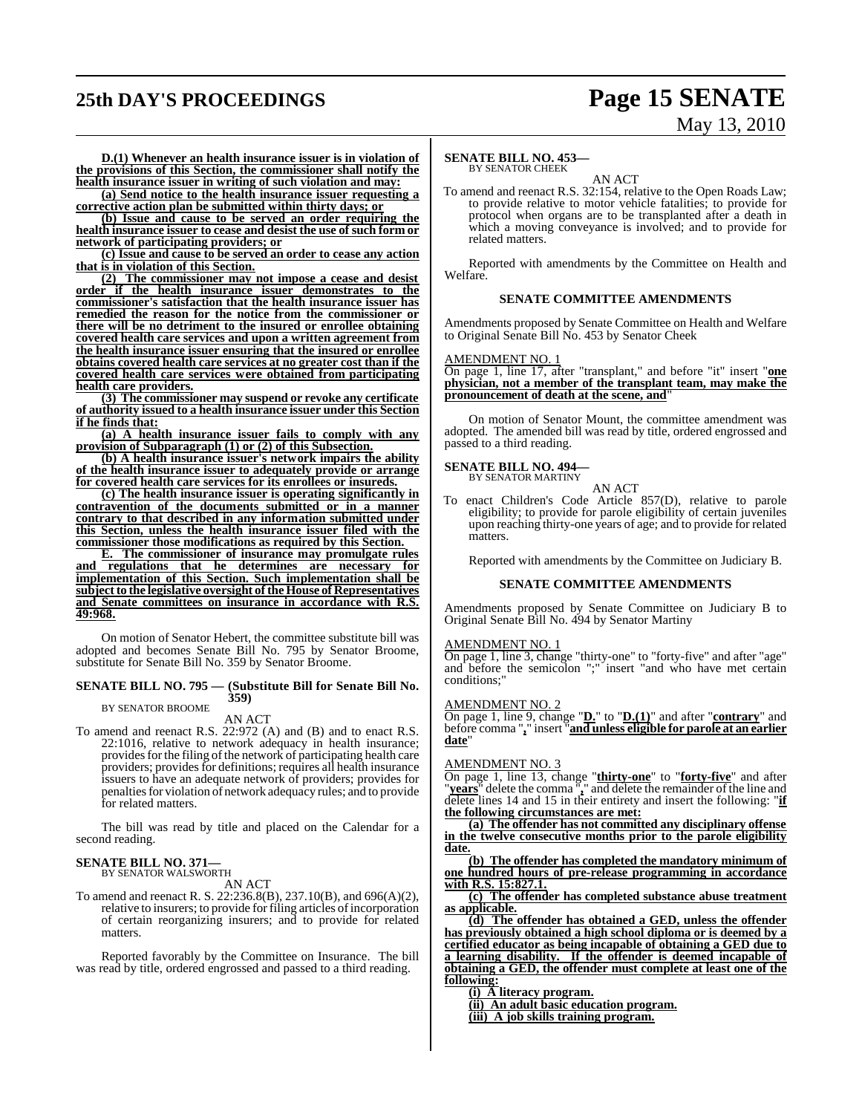# **25th DAY'S PROCEEDINGS Page 15 SENATE**

# May 13, 2010

**D.(1) Whenever an health insurance issuer is in violation of the provisions of this Section, the commissioner shall notify the health insurance issuer in writing of such violation and may:**

**(a) Send notice to the health insurance issuer requesting a corrective action plan be submitted within thirty days; or**

**(b) Issue and cause to be served an order requiring the health insurance issuer to cease and desist the use of such form or network of participating providers; or**

**(c) Issue and cause to be served an order to cease any action that is in violation of this Section.**

**(2) The commissioner may not impose a cease and desist order if the health insurance issuer demonstrates to the commissioner's satisfaction that the health insurance issuer has remedied the reason for the notice from the commissioner or there will be no detriment to the insured or enrollee obtaining covered health care services and upon a written agreement from the health insurance issuer ensuring that the insured or enrollee obtains covered health care services at no greater cost than if the covered health care services were obtained from participating health care providers.**

**(3) The commissioner may suspend or revoke any certificate of authority issued to a health insurance issuer under this Section if he finds that:**

**(a) A health insurance issuer fails to comply with any provision of Subparagraph (1) or (2) of this Subsection.**

**(b) A health insurance issuer's network impairs the ability of the health insurance issuer to adequately provide or arrange for covered health care services for its enrollees or insureds.**

**(c) The health insurance issuer is operating significantly in contravention of the documents submitted or in a manner contrary to that described in any information submitted under this Section, unless the health insurance issuer filed with the commissioner those modifications as required by this Section.**

**E. The commissioner of insurance may promulgate rules and regulations that he determines are necessary for implementation of this Section. Such implementation shall be subject to the legislative oversight of the House of Representatives and Senate committees on insurance in accordance with R.S. 49:968.**

On motion of Senator Hebert, the committee substitute bill was adopted and becomes Senate Bill No. 795 by Senator Broome, substitute for Senate Bill No. 359 by Senator Broome.

#### **SENATE BILL NO. 795 — (Substitute Bill for Senate Bill No. 359)**

BY SENATOR BROOME

#### AN ACT

To amend and reenact R.S. 22:972 (A) and (B) and to enact R.S. 22:1016, relative to network adequacy in health insurance; provides for the filing of the network of participating health care providers; providesfor definitions; requires all health insurance issuers to have an adequate network of providers; provides for penalties for violation of network adequacy rules; and to provide for related matters.

The bill was read by title and placed on the Calendar for a second reading.

#### **SENATE BILL NO. 371—**

BY SENATOR WALSWORTH

AN ACT

To amend and reenact R. S. 22:236.8(B), 237.10(B), and 696(A)(2), relative to insurers; to provide for filing articles of incorporation of certain reorganizing insurers; and to provide for related matters.

Reported favorably by the Committee on Insurance. The bill was read by title, ordered engrossed and passed to a third reading.

#### **SENATE BILL NO. 453—**

#### BY SENATOR CHEEK

AN ACT To amend and reenact R.S. 32:154, relative to the Open Roads Law; to provide relative to motor vehicle fatalities; to provide for protocol when organs are to be transplanted after a death in which a moving conveyance is involved; and to provide for related matters.

Reported with amendments by the Committee on Health and Welfare.

#### **SENATE COMMITTEE AMENDMENTS**

Amendments proposed by Senate Committee on Health and Welfare to Original Senate Bill No. 453 by Senator Cheek

#### AMENDMENT NO. 1

On page 1, line 17, after "transplant," and before "it" insert "**one physician, not a member of the transplant team, may make the pronouncement of death at the scene, and**"

On motion of Senator Mount, the committee amendment was adopted. The amended bill was read by title, ordered engrossed and passed to a third reading.

#### **SENATE BILL NO. 494—**

BY SENATOR MARTINY AN ACT

To enact Children's Code Article 857(D), relative to parole eligibility; to provide for parole eligibility of certain juveniles upon reaching thirty-one years of age; and to provide for related matters.

Reported with amendments by the Committee on Judiciary B.

#### **SENATE COMMITTEE AMENDMENTS**

Amendments proposed by Senate Committee on Judiciary B to Original Senate Bill No. 494 by Senator Martiny

#### AMENDMENT NO. 1

On page 1, line 3, change "thirty-one" to "forty-five" and after "age" and before the semicolon ";" insert "and who have met certain conditions;"

#### AMENDMENT NO. 2

On page 1, line 9, change "**D.**" to "**D.(1)**" and after "**contrary**" and before comma "**,**" insert "**and unless eligible for parole at an earlier date**"

#### AMENDMENT NO. 3

On page 1, line 13, change "**thirty-one**" to "**forty-five**" and after "**years**" delete the comma "**,**" and delete the remainder of the line and delete lines 14 and 15 in their entirety and insert the following: "**if the following circumstances are met:**

**(a) The offender has not committed any disciplinary offense in the twelve consecutive months prior to the parole eligibility date.**

**(b) The offender has completed the mandatory minimum of one hundred hours of pre-release programming in accordance with R.S. 15:827.1.**

**(c) The offender has completed substance abuse treatment as applicable.**

**(d) The offender has obtained a GED, unless the offender has previously obtained a high school diploma or is deemed by a certified educator as being incapable of obtaining a GED due to a learning disability. If the offender is deemed incapable of obtaining a GED, the offender must complete at least one of the following:**

**(i) A literacy program.**

**(ii) An adult basic education program.**

**(iii) A job skills training program.**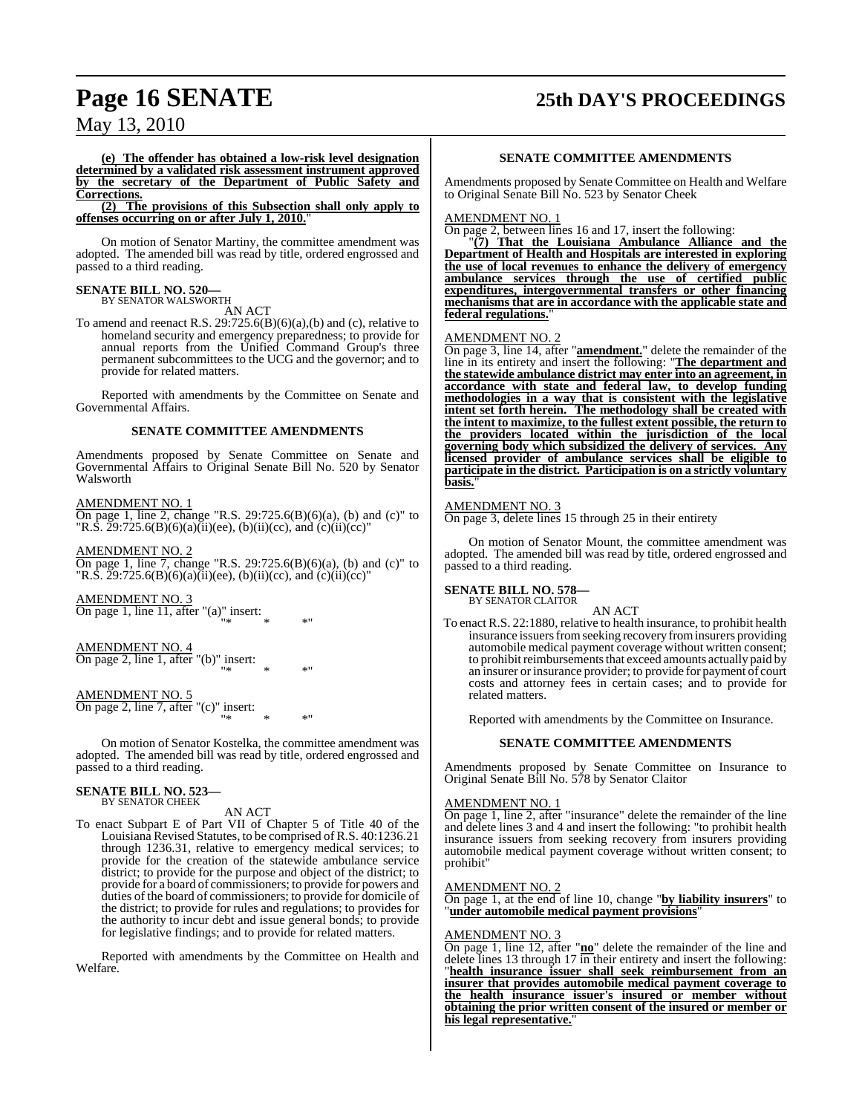# **Page 16 SENATE 25th DAY'S PROCEEDINGS**

## May 13, 2010

**(e) The offender has obtained a low-risk level designation determined by a validated risk assessment instrument approved by the secretary of the Department of Public Safety and Corrections.**

**(2) The provisions of this Subsection shall only apply to offenses occurring on or after July 1, 2010.**"

On motion of Senator Martiny, the committee amendment was adopted. The amended bill was read by title, ordered engrossed and passed to a third reading.

# **SENATE BILL NO. 520—** BY SENATOR WALSWORTH

AN ACT

To amend and reenact R.S.  $29:725.6(B)(6)(a),(b)$  and (c), relative to homeland security and emergency preparedness; to provide for annual reports from the Unified Command Group's three permanent subcommittees to the UCG and the governor; and to provide for related matters.

Reported with amendments by the Committee on Senate and Governmental Affairs.

#### **SENATE COMMITTEE AMENDMENTS**

Amendments proposed by Senate Committee on Senate and Governmental Affairs to Original Senate Bill No. 520 by Senator Walsworth

#### AMENDMENT NO. 1

On page 1, line 2, change "R.S. 29:725.6(B)(6)(a), (b) and (c)" to "R.S.  $29:725.6(B)(6)(a)(ii)(ee)$ , (b)(ii)(cc), and (c)(ii)(cc)"

AMENDMENT NO. 2

On page 1, line 7, change "R.S. 29:725.6(B)(6)(a), (b) and (c)" to "R.S.  $29:725.6(B)(6)(a)(ii)(ee)$ , (b)(ii)(cc), and (c)(ii)(cc)"

 $\mathbb{R}^n$  \* \* \*"

AMENDMENT NO. 3 On page 1, line 11, after "(a)" insert:

AMENDMENT NO. 4 On page 2, line 1, after "(b)" insert:  $\mathbb{R}^n$  \* \* \*"

#### AMENDMENT NO. 5

On page 2, line 7, after "(c)" insert:  $\mathbb{R}^n$  \* \* \*"

On motion of Senator Kostelka, the committee amendment was adopted. The amended bill was read by title, ordered engrossed and passed to a third reading.

#### **SENATE BILL NO. 523—** BY SENATOR CHEEK

#### AN ACT

To enact Subpart E of Part VII of Chapter 5 of Title 40 of the Louisiana Revised Statutes, to be comprised of R.S. 40:1236.21 through 1236.31, relative to emergency medical services; to provide for the creation of the statewide ambulance service district; to provide for the purpose and object of the district; to provide for a board of commissioners; to provide for powers and duties of the board of commissioners; to provide for domicile of the district; to provide for rules and regulations; to provides for the authority to incur debt and issue general bonds; to provide for legislative findings; and to provide for related matters.

Reported with amendments by the Committee on Health and Welfare.

#### **SENATE COMMITTEE AMENDMENTS**

Amendments proposed by Senate Committee on Health and Welfare to Original Senate Bill No. 523 by Senator Cheek

#### AMENDMENT NO. 1

On page 2, between lines 16 and 17, insert the following:

"**(7) That the Louisiana Ambulance Alliance and the Department of Health and Hospitals are interested in exploring the use of local revenues to enhance the delivery of emergency ambulance services through the use of certified public expenditures, intergovernmental transfers or other financing mechanisms that are in accordance with the applicable state and federal regulations.**"

#### AMENDMENT NO. 2

On page 3, line 14, after "**amendment.**" delete the remainder of the line in its entirety and insert the following: "**The department and the statewide ambulance district may enter into an agreement, in accordance with state and federal law, to develop funding methodologies in a way that is consistent with the legislative intent set forth herein. The methodology shall be created with the intent to maximize, to the fullest extent possible, the return to the providers located within the jurisdiction of the local governing body which subsidized the delivery of services. Any licensed provider of ambulance services shall be eligible to participate in the district. Participation is on a strictly voluntary** basis.

### AMEND<u>MENT NO. 3</u>

On page 3, delete lines 15 through 25 in their entirety

On motion of Senator Mount, the committee amendment was adopted. The amended bill was read by title, ordered engrossed and passed to a third reading.

#### **SENATE BILL NO. 578** BY SENATOR CLAITOR

AN ACT

To enact R.S. 22:1880, relative to health insurance, to prohibit health insurance issuers from seeking recovery from insurers providing automobile medical payment coverage without written consent; to prohibit reimbursements that exceed amounts actually paid by an insurer or insurance provider; to provide for payment of court costs and attorney fees in certain cases; and to provide for related matters.

Reported with amendments by the Committee on Insurance.

#### **SENATE COMMITTEE AMENDMENTS**

Amendments proposed by Senate Committee on Insurance to Original Senate Bill No. 578 by Senator Claitor

#### AMENDMENT NO. 1

On page 1, line 2, after "insurance" delete the remainder of the line and delete lines 3 and 4 and insert the following: "to prohibit health insurance issuers from seeking recovery from insurers providing automobile medical payment coverage without written consent; to prohibit"

#### AMENDMENT NO. 2

On page 1, at the end of line 10, change "**by liability insurers**" to "**under automobile medical payment provisions**"

#### AMENDMENT NO. 3

On page 1, line 12, after "**no**" delete the remainder of the line and delete lines 13 through  $17 \overline{\text{in}}$  their entirety and insert the following: "**health insurance issuer shall seek reimbursement from an insurer that provides automobile medical payment coverage to the health insurance issuer's insured or member without obtaining the prior written consent of the insured or member or his legal representative.**"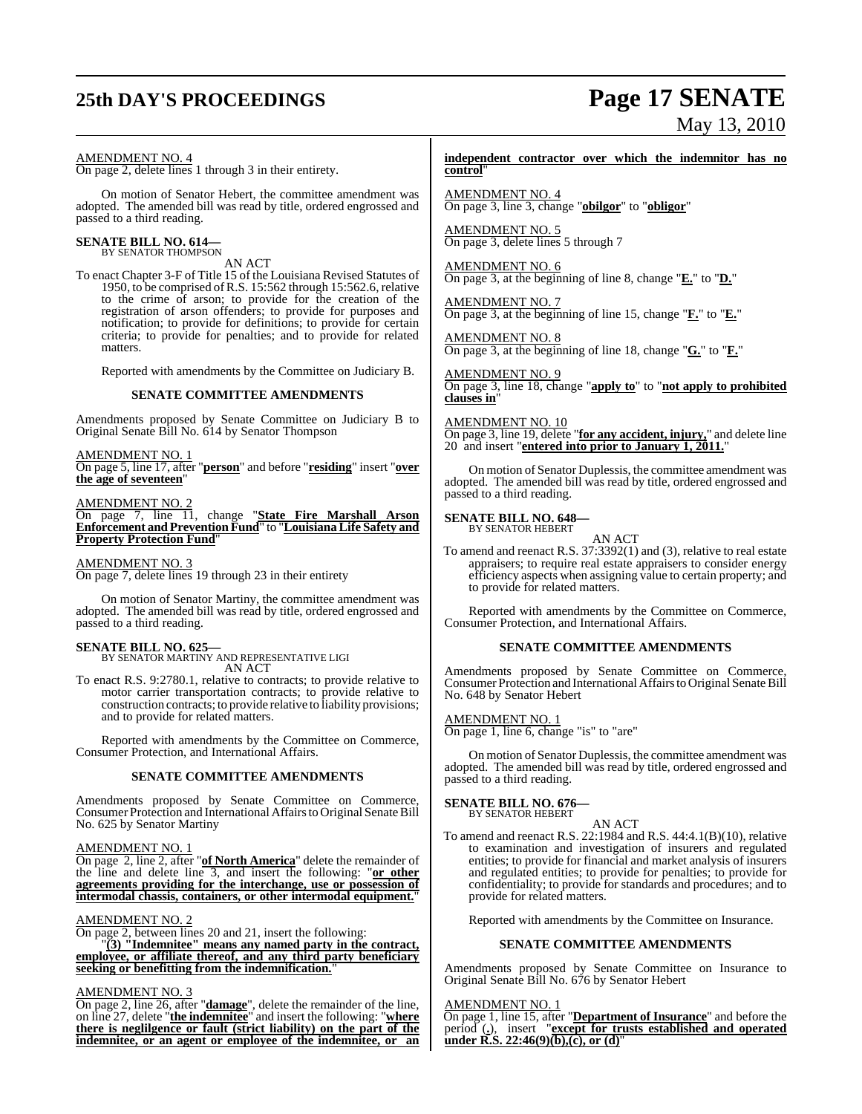# **25th DAY'S PROCEEDINGS Page 17 SENATE**

# May 13, 2010

#### AMENDMENT NO. 4

On page 2, delete lines 1 through 3 in their entirety.

On motion of Senator Hebert, the committee amendment was adopted. The amended bill was read by title, ordered engrossed and passed to a third reading.

# **SENATE BILL NO. 614—** BY SENATOR THOMPSON

AN ACT

To enact Chapter 3-F of Title 15 of the Louisiana Revised Statutes of 1950, to be comprised ofR.S. 15:562 through 15:562.6, relative to the crime of arson; to provide for the creation of the registration of arson offenders; to provide for purposes and notification; to provide for definitions; to provide for certain criteria; to provide for penalties; and to provide for related matters.

Reported with amendments by the Committee on Judiciary B.

#### **SENATE COMMITTEE AMENDMENTS**

Amendments proposed by Senate Committee on Judiciary B to Original Senate Bill No. 614 by Senator Thompson

#### AMENDMENT NO. 1

On page 5, line 17, after "**person**" and before "**residing**" insert "**over the age of seventeen**"

#### AMENDMENT NO.

On page 7, line 11, change "**State Fire Marshall Arson Enforcement and Prevention Fund**" to "**LouisianaLife Safety and Property Protection Fund**"

#### AMENDMENT NO. 3

On page 7, delete lines 19 through 23 in their entirety

On motion of Senator Martiny, the committee amendment was adopted. The amended bill was read by title, ordered engrossed and passed to a third reading.

**SENATE BILL NO. 625—** BY SENATOR MARTINY AND REPRESENTATIVE LIGI AN ACT

To enact R.S. 9:2780.1, relative to contracts; to provide relative to motor carrier transportation contracts; to provide relative to construction contracts; to provide relative to liability provisions; and to provide for related matters.

Reported with amendments by the Committee on Commerce, Consumer Protection, and International Affairs.

#### **SENATE COMMITTEE AMENDMENTS**

Amendments proposed by Senate Committee on Commerce, Consumer Protection and International Affairs to Original Senate Bill No. 625 by Senator Martiny

#### AMENDMENT NO. 1

On page 2, line 2, after "**of North America**" delete the remainder of the line and delete line 3, and insert the following: "**or other agreements providing for the interchange, use or possession of intermodal chassis, containers, or other intermodal equipment.**"

#### AMENDMENT NO. 2

On page 2, between lines 20 and 21, insert the following: "**(3) "Indemnitee" means any named party in the contract, employee, or affiliate thereof, and any third party beneficiary seeking or benefitting from the indemnification.**"

#### AMENDMENT NO. 3

On page 2, line 26, after "**damage**", delete the remainder of the line, on line 27, delete "**the indemnitee**" and insert the following: "**where there is neglilgence or fault (strict liability) on the part of the indemnitee, or an agent or employee of the indemnitee, or an** **independent contractor over which the indemnitor has no control**"

AMENDMENT NO. 4 On page 3, line 3, change "**obilgor**" to "**obligor**"

AMENDMENT NO. 5 On page 3, delete lines 5 through 7

#### AMENDMENT NO. 6

On page 3, at the beginning of line 8, change "**E.**" to "**D.**"

AMENDMENT NO. 7 On page 3, at the beginning of line 15, change "**F.**" to "**E.**"

AMENDMENT NO. 8 On page 3, at the beginning of line 18, change "**G.**" to "**F.**"

#### AMENDMENT NO. 9

On page 3, line 18, change "**apply to**" to "**not apply to prohibited clauses in**"

#### AMENDMENT NO. 10

On page 3, line 19, delete "**for any accident, injury,**" and delete line 20 and insert "**entered into prior to January 1, 2011.**"

On motion of Senator Duplessis, the committee amendment was adopted. The amended bill was read by title, ordered engrossed and passed to a third reading.

#### **SENATE BILL NO. 648—** BY SENATOR HEBERT

AN ACT

To amend and reenact R.S. 37:3392(1) and (3), relative to real estate appraisers; to require real estate appraisers to consider energy efficiency aspects when assigning value to certain property; and to provide for related matters.

Reported with amendments by the Committee on Commerce, Consumer Protection, and International Affairs.

#### **SENATE COMMITTEE AMENDMENTS**

Amendments proposed by Senate Committee on Commerce, Consumer Protection and International Affairs to Original Senate Bill No. 648 by Senator Hebert

#### AMENDMENT NO. 1

On page 1, line 6, change "is" to "are"

On motion of Senator Duplessis, the committee amendment was adopted. The amended bill was read by title, ordered engrossed and passed to a third reading.

# **SENATE BILL NO. 676—** BY SENATOR HEBERT

To amend and reenact R.S. 22:1984 and R.S. 44:4.1(B)(10), relative to examination and investigation of insurers and regulated entities; to provide for financial and market analysis of insurers and regulated entities; to provide for penalties; to provide for confidentiality; to provide for standards and procedures; and to provide for related matters.

AN ACT

Reported with amendments by the Committee on Insurance.

#### **SENATE COMMITTEE AMENDMENTS**

Amendments proposed by Senate Committee on Insurance to Original Senate Bill No. 676 by Senator Hebert

#### AMENDMENT NO. 1

On page 1, line 15, after "**Department of Insurance**" and before the period (**.**), insert "**except for trusts established and operated under R.S. 22:46(9)(b),(c), or (d)**"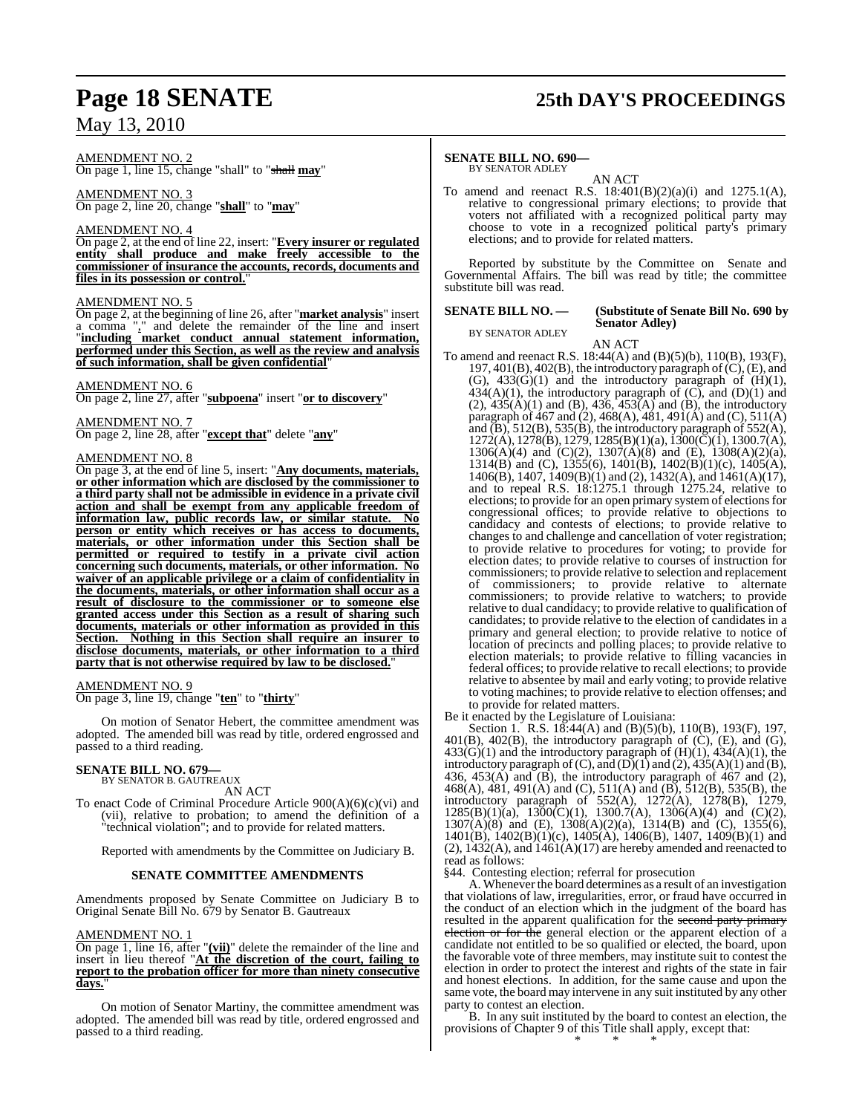# **Page 18 SENATE 25th DAY'S PROCEEDINGS**

AMENDMENT NO. 2

On page 1, line 15, change "shall" to "shall **may**"

AMENDMENT NO. 3 On page 2, line 20, change "**shall**" to "**may**"

#### AMENDMENT NO. 4

On page 2, at the end of line 22, insert: "**Every insurer or regulated entity shall produce and make freely accessible to the commissioner of insurance the accounts, records, documents and files in its possession or control.**"

#### AMENDMENT NO. 5

On page 2, at the beginning of line 26, after "**market analysis**" insert a comma "," and delete the remainder of the line and insert "**including market conduct annual statement information, performed under this Section, as well as the review and analysis of such information, shall be given confidential**"

#### AMENDMENT NO. 6

On page 2, line 27, after "**subpoena**" insert "**or to discovery**"

#### AMENDMENT NO. 7

On page 2, line 28, after "**except that**" delete "**any**"

### AMENDMENT NO. 8

On page 3, at the end of line 5, insert: "**Any documents, materials, or other information which are disclosed by the commissioner to a third party shall not be admissible in evidence in a private civil action and shall be exempt from any applicable freedom of information law, public records law, or similar statute. No person or entity which receives or has access to documents, materials, or other information under this Section shall be permitted or required to testify in a private civil action concerning such documents, materials, or other information. No waiver of an applicable privilege or a claim of confidentiality in the documents, materials, or other information shall occur as a result of disclosure to the commissioner or to someone else granted access under this Section as a result of sharing such documents, materials or other information as provided in this Section. Nothing in this Section shall require an insurer to disclose documents, materials, or other information to a third party that is not otherwise required by law to be disclosed.**"

#### AMENDMENT NO. 9

On page 3, line 19, change "**ten**" to "**thirty**"

On motion of Senator Hebert, the committee amendment was adopted. The amended bill was read by title, ordered engrossed and passed to a third reading.

#### **SENATE BILL NO. 679—** BY SENATOR B. GAUTREAUX

AN ACT

To enact Code of Criminal Procedure Article 900(A)(6)(c)(vi) and (vii), relative to probation; to amend the definition of a "technical violation"; and to provide for related matters.

Reported with amendments by the Committee on Judiciary B.

#### **SENATE COMMITTEE AMENDMENTS**

Amendments proposed by Senate Committee on Judiciary B to Original Senate Bill No. 679 by Senator B. Gautreaux

#### AMENDMENT NO. 1

On page 1, line 16, after "**(vii)**" delete the remainder of the line and insert in lieu thereof "**At the discretion of the court, failing to report to the probation officer for more than ninety consecutive days.**"

On motion of Senator Martiny, the committee amendment was adopted. The amended bill was read by title, ordered engrossed and passed to a third reading.

### **SENATE BILL NO. 690—**

BY SENATOR ADLEY AN ACT

To amend and reenact R.S. 18:401(B)(2)(a)(i) and 1275.1(A), relative to congressional primary elections; to provide that voters not affiliated with a recognized political party may choose to vote in a recognized political party's primary elections; and to provide for related matters.

Reported by substitute by the Committee on Senate and Governmental Affairs. The bill was read by title; the committee substitute bill was read.

#### **SENATE BILL NO. — (Substitute of Senate Bill No. 690 by Senator Adley)**

BY SENATOR ADLEY

AN ACT To amend and reenact R.S. 18:44(A) and (B)(5)(b), 110(B), 193(F), 197, 401(B), 402(B), the introductory paragraph of(C),(E), and (G),  $433(G)(1)$  and the introductory paragraph of  $(H)(1)$ ,  $434(A)(1)$ , the introductory paragraph of  $(C)$ , and  $(D)(1)$  and  $(2)$ ,  $435(A)(1)$  and  $(B)$ ,  $436$ ,  $453(A)$  and  $(B)$ , the introductory paragraph of 467 and (2), 468(A), 481, 491(A) and (C), 511(A) and  $(B)$ , 512(B), 535(B), the introductory paragraph of 552(A),  $1272(A)$ ,  $1278(B)$ ,  $1279$ ,  $1285(B)(1)(a)$ ,  $1300(\overline{C})(1)$ ,  $1300.7(A)$ ,  $1306(A)(4)$  and  $(C)(2)$ ,  $1307(A)(8)$  and  $(E)$ ,  $1308(A)(2)(a)$ , 1314(B) and (C), 1355(6), 1401(B), 1402(B)(1)(c), 1405(A), 1406(B), 1407, 1409(B)(1) and (2), 1432(A), and 1461(A)(17), and to repeal R.S. 18:1275.1 through 1275.24, relative to elections; to provide for an open primary system of elections for congressional offices; to provide relative to objections to candidacy and contests of elections; to provide relative to changes to and challenge and cancellation of voter registration; to provide relative to procedures for voting; to provide for election dates; to provide relative to courses of instruction for commissioners; to provide relative to selection and replacement of commissioners; to provide relative to alternate commissioners; to provide relative to watchers; to provide relative to dual candidacy; to provide relative to qualification of candidates; to provide relative to the election of candidates in a primary and general election; to provide relative to notice of location of precincts and polling places; to provide relative to election materials; to provide relative to filling vacancies in federal offices; to provide relative to recall elections; to provide relative to absentee by mail and early voting; to provide relative to voting machines; to provide relative to election offenses; and to provide for related matters.

Be it enacted by the Legislature of Louisiana:

Section 1. R.S. 18:44(A) and (B)(5)(b), 110(B), 193(F), 197,  $401(B)$ ,  $402(B)$ , the introductory paragraph of  $(C)$ ,  $(E)$ , and  $(G)$ ,  $433(G)(1)$  and the introductory paragraph of  $(H)(1)$ ,  $434(A)(1)$ , the introductory paragraph of (C), and  $(D)(1)$  and  $(2)$ ,  $435(A)(1)$  and  $(B)$ , 436, 453(A) and (B), the introductory paragraph of 467 and (2), 468(A), 481, 491(A) and (C), 511(A) and (B), 512(B), 535(B), the introductory paragraph of 552(A), 1272(A), 1278(B), 1279,  $1285(B)(1)(a)$ ,  $1300(C)(1)$ ,  $1300.7(A)$ ,  $1306(A)(4)$  and  $(C)(2)$ , 1307(A)(8) and (E), 1308(A)(2)(a), 1314(B) and (C), 1355(6), 1401(B), 1402(B)(1)(c), 1405(A), 1406(B), 1407, 1409(B)(1) and  $(2)$ , 1432 $(A)$ , and 1461 $(A)(17)$  are hereby amended and reenacted to read as follows:

§44. Contesting election; referral for prosecution

A. Whenever the board determines as a result of an investigation that violations of law, irregularities, error, or fraud have occurred in the conduct of an election which in the judgment of the board has resulted in the apparent qualification for the second party primary election or for the general election or the apparent election of a candidate not entitled to be so qualified or elected, the board, upon the favorable vote of three members, may institute suit to contest the election in order to protect the interest and rights of the state in fair and honest elections. In addition, for the same cause and upon the same vote, the board may intervene in any suit instituted by any other party to contest an election.

B. In any suit instituted by the board to contest an election, the provisions of Chapter 9 of this Title shall apply, except that: \* \* \*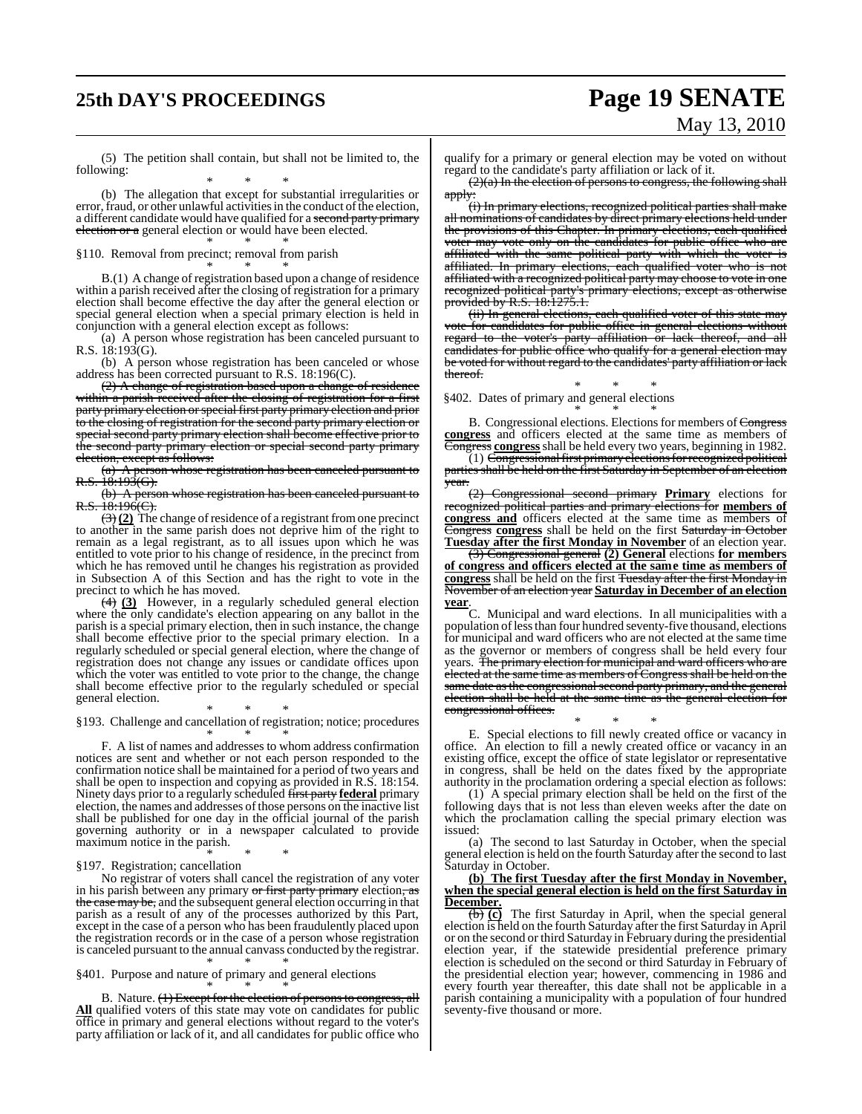# **25th DAY'S PROCEEDINGS Page 19 SENATE**

# May 13, 2010

(5) The petition shall contain, but shall not be limited to, the following:

\* \* \* (b) The allegation that except for substantial irregularities or error, fraud, or other unlawful activities in the conduct of the election, a different candidate would have qualified for a second party primary election or a general election or would have been elected. \* \* \*

§110. Removal from precinct; removal from parish

\* \* \* B.(1) A change of registration based upon a change of residence within a parish received after the closing of registration for a primary election shall become effective the day after the general election or special general election when a special primary election is held in conjunction with a general election except as follows:

(a) A person whose registration has been canceled pursuant to R.S.  $18:193(G)$ .

(b) A person whose registration has been canceled or whose address has been corrected pursuant to R.S. 18:196(C).

(2) A change of registration based upon a change of residence within a parish received after the closing of registration for a first party primary election or special first party primary election and prior to the closing of registration for the second party primary election or special second party primary election shall become effective prior to the second party primary election or special second party primary election, except as follows:

(a) A person whose registration has been canceled pursuant to  $R.S. 18:193(G).$ 

(b) A person whose registration has been canceled pursuant to  $R.S. 18:196(C)$ .

 $\left(\frac{3}{2}\right)$  The change of residence of a registrant from one precinct to another in the same parish does not deprive him of the right to remain as a legal registrant, as to all issues upon which he was entitled to vote prior to his change of residence, in the precinct from which he has removed until he changes his registration as provided in Subsection A of this Section and has the right to vote in the precinct to which he has moved.

(4) **(3)** However, in a regularly scheduled general election where the only candidate's election appearing on any ballot in the parish is a special primary election, then in such instance, the change shall become effective prior to the special primary election. In a regularly scheduled or special general election, where the change of registration does not change any issues or candidate offices upon which the voter was entitled to vote prior to the change, the change shall become effective prior to the regularly scheduled or special general election.

\* \* \* §193. Challenge and cancellation of registration; notice; procedures

\* \* \* F. A list of names and addresses to whom address confirmation notices are sent and whether or not each person responded to the confirmation notice shall be maintained for a period of two years and shall be open to inspection and copying as provided in R.S. 18:154. Ninety days prior to a regularly scheduled first party **federal** primary election, the names and addresses of those persons on the inactive list shall be published for one day in the official journal of the parish governing authority or in a newspaper calculated to provide maximum notice in the parish.

\* \* \* §197. Registration; cancellation

No registrar of voters shall cancel the registration of any voter in his parish between any primary or first party primary election, as the case may be, and the subsequent general election occurring in that parish as a result of any of the processes authorized by this Part, except in the case of a person who has been fraudulently placed upon the registration records or in the case of a person whose registration is canceled pursuant to the annual canvass conducted by the registrar.

\* \* \* §401. Purpose and nature of primary and general elections

\* \* \* B. Nature. (1) Except for the election of persons to congress, all **All** qualified voters of this state may vote on candidates for public office in primary and general elections without regard to the voter's party affiliation or lack of it, and all candidates for public office who

qualify for a primary or general election may be voted on without regard to the candidate's party affiliation or lack of it.

 $(2)(a)$  In the election of persons to congress, the following shall apply:

(i) In primary elections, recognized political parties shall make all nominations of candidates by direct primary elections held under the provisions of this Chapter. In primary elections, each qualified voter may vote only on the candidates for public office who are affiliated with the same political party with which the voter is affiliated. In primary elections, each qualified voter who is not affiliated with a recognized political party may choose to vote in one recognized political party's primary elections, except as otherwise provided by R.S. 18:1275.1.

(ii) In general elections, each qualified voter of this state may vote for candidates for public office in general elections without regard to the voter's party affiliation or lack thereof, and all candidates for public office who qualify for a general election may be voted for without regard to the candidates' party affiliation or lack thereof.

\* \* \* §402. Dates of primary and general elections

\* \* \* B. Congressional elections. Elections for members of Congress **congress** and officers elected at the same time as members of Congress **congress**shall be held every two years, beginning in 1982.

 $\widetilde{C}(1)$  Congressional first primary elections for recognized political parties shall be held on the first Saturday in September of an election year.

(2) Congressional second primary **Primary** elections for recognized political parties and primary elections for **members of congress and** officers elected at the same time as members of Congress **congress** shall be held on the first Saturday in October **Tuesday after the first Monday in November** of an election year.

(3) Congressional general **(2) General** elections **for members of congress and officers elected at the same time as members of congress** shall be held on the first Tuesday after the first Monday in November of an election year **Saturday in December of an election year**.

C. Municipal and ward elections. In all municipalities with a population oflessthan four hundred seventy-five thousand, elections for municipal and ward officers who are not elected at the same time as the governor or members of congress shall be held every four years. The primary election for municipal and ward officers who are elected at the same time as members of Congress shall be held on the same date as the congressional second party primary, and the general election shall be held at the same time as the general election for congressional offices.

\* \* \* E. Special elections to fill newly created office or vacancy in office. An election to fill a newly created office or vacancy in an existing office, except the office of state legislator or representative in congress, shall be held on the dates fixed by the appropriate authority in the proclamation ordering a special election as follows:

(1) A special primary election shall be held on the first of the following days that is not less than eleven weeks after the date on which the proclamation calling the special primary election was issued:

(a) The second to last Saturday in October, when the special general election is held on the fourth Saturday after the second to last Saturday in October.

#### **(b) The first Tuesday after the first Monday in November, when the special general election is held on the first Saturday in December.**

(b) **(c)** The first Saturday in April, when the special general election is held on the fourth Saturday after the first Saturday in April or on the second or third Saturday in February during the presidential election year, if the statewide presidential preference primary election is scheduled on the second or third Saturday in February of the presidential election year; however, commencing in 1986 and every fourth year thereafter, this date shall not be applicable in a parish containing a municipality with a population of four hundred seventy-five thousand or more.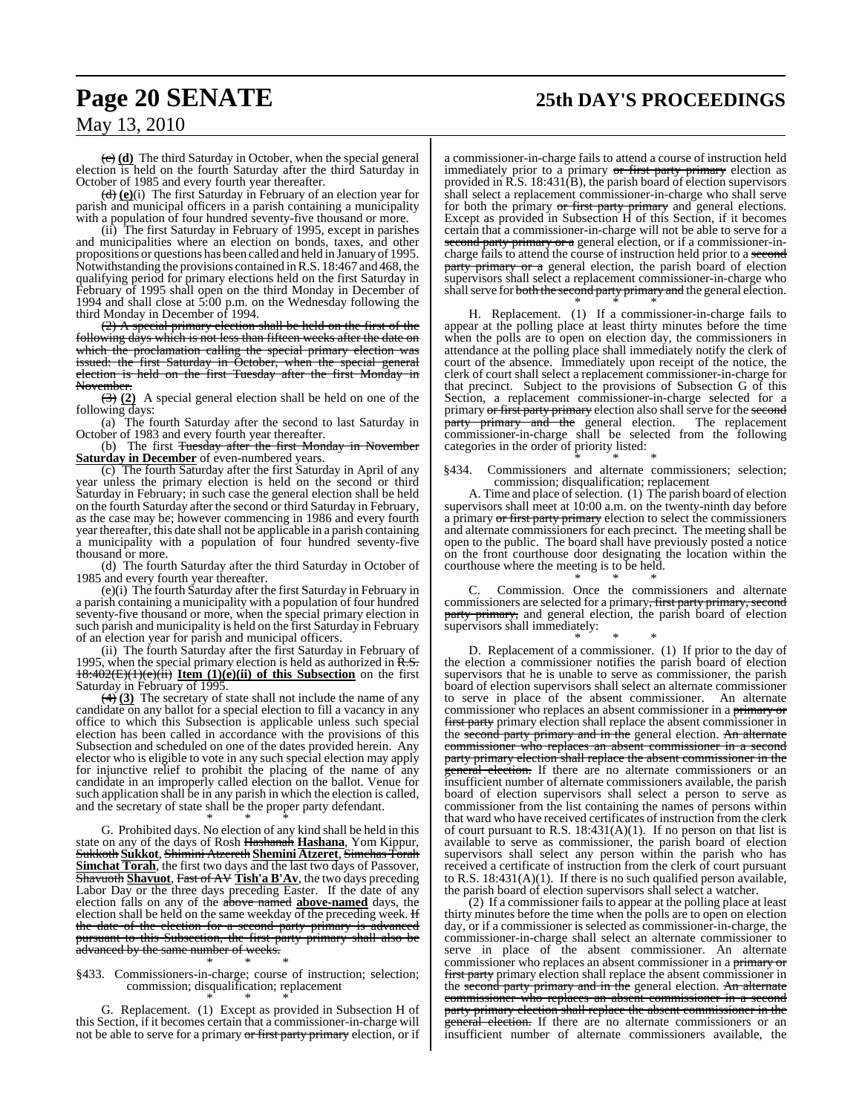# **Page 20 SENATE 25th DAY'S PROCEEDINGS**

## May 13, 2010

(c) **(d)** The third Saturday in October, when the special general election is held on the fourth Saturday after the third Saturday in October of 1985 and every fourth year thereafter.

(d) **(e)**(i) The first Saturday in February of an election year for parish and municipal officers in a parish containing a municipality with a population of four hundred seventy-five thousand or more.

(ii) The first Saturday in February of 1995, except in parishes and municipalities where an election on bonds, taxes, and other propositions or questions has been called and held in January of 1995. Notwithstanding the provisions contained in R.S. 18:467 and 468, the qualifying period for primary elections held on the first Saturday in February of 1995 shall open on the third Monday in December of 1994 and shall close at 5:00 p.m. on the Wednesday following the third Monday in December of 1994.

(2) A special primary election shall be held on the first of the following days which is not less than fifteen weeks after the date on which the proclamation calling the special primary election was issued: the first Saturday in October, when the special general election is held on the first Tuesday after the first Monday in November.

(3) **(2)** A special general election shall be held on one of the following days:

(a) The fourth Saturday after the second to last Saturday in October of 1983 and every fourth year thereafter.

(b) The first Tuesday after the first Monday in November **Saturday in December** of even-numbered years.

(c) The fourth Saturday after the first Saturday in April of any year unless the primary election is held on the second or third Saturday in February; in such case the general election shall be held on the fourth Saturday after the second or third Saturday in February, as the case may be; however commencing in 1986 and every fourth year thereafter, this date shall not be applicable in a parish containing a municipality with a population of four hundred seventy-five thousand or more.

(d) The fourth Saturday after the third Saturday in October of 1985 and every fourth year thereafter.

(e)(i) The fourth Saturday after the first Saturday in February in a parish containing a municipality with a population of four hundred seventy-five thousand or more, when the special primary election in such parish and municipality is held on the first Saturday in February of an election year for parish and municipal officers.

(ii) The fourth Saturday after the first Saturday in February of 1995, when the special primary election is held as authorized in  $R.S.$ 18:402(E)(1)(e)(ii) **Item (1)(e)(ii) of this Subsection** on the first Saturday in February of 1995.

(4) **(3)** The secretary of state shall not include the name of any candidate on any ballot for a special election to fill a vacancy in any office to which this Subsection is applicable unless such special election has been called in accordance with the provisions of this Subsection and scheduled on one of the dates provided herein. Any elector who is eligible to vote in any such special election may apply for injunctive relief to prohibit the placing of the name of any candidate in an improperly called election on the ballot. Venue for such application shall be in any parish in which the election is called, and the secretary of state shall be the proper party defendant.

\* \* \* G. Prohibited days. No election of any kind shall be held in this state on any of the days of Rosh Hashanah **Hashana**, Yom Kippur, Sukkoth **Sukkot**, Shimini Atzereth **Shemini Atzeret**, Simchas Torah **Simchat Torah**, the first two days and the last two days of Passover, Shavuoth **Shavuot**, Fast of AV **Tish'a B'Av**, the two days preceding Labor Day or the three days preceding Easter. If the date of any election falls on any of the above named **above-named** days, the election shall be held on the same weekday of the preceding week. H the date of the election for a second party primary is advanced pursuant to this Subsection, the first party primary shall also be advanced by the same number of weeks.

#### \* \* \* §433. Commissioners-in-charge; course of instruction; selection; commission; disqualification; replacement \* \* \*

G. Replacement. (1) Except as provided in Subsection H of this Section, if it becomes certain that a commissioner-in-charge will not be able to serve for a primary or first party primary election, or if a commissioner-in-charge fails to attend a course of instruction held immediately prior to a primary or first party primary election as provided in R.S. 18:431(B), the parish board of election supervisors shall select a replacement commissioner-in-charge who shall serve for both the primary or first party primary and general elections. Except as provided in Subsection H of this Section, if it becomes certain that a commissioner-in-charge will not be able to serve for a second party primary or a general election, or if a commissioner-incharge fails to attend the course of instruction held prior to a second party primary or a general election, the parish board of election supervisors shall select a replacement commissioner-in-charge who shall serve for both the second party primary and the general election.

\* \* \* H. Replacement. (1) If a commissioner-in-charge fails to appear at the polling place at least thirty minutes before the time when the polls are to open on election day, the commissioners in attendance at the polling place shall immediately notify the clerk of court of the absence. Immediately upon receipt of the notice, the clerk of court shall select a replacement commissioner-in-charge for that precinct. Subject to the provisions of Subsection G of this Section, a replacement commissioner-in-charge selected for a primary or first party primary election also shall serve for the second party primary and the general election. The replacement commissioner-in-charge shall be selected from the following categories in the order of priority listed:

\* \* \* §434. Commissioners and alternate commissioners; selection; commission; disqualification; replacement

A. Time and place of selection. (1) The parish board of election supervisors shall meet at 10:00 a.m. on the twenty-ninth day before a primary or first party primary election to select the commissioners and alternate commissioners for each precinct. The meeting shall be open to the public. The board shall have previously posted a notice on the front courthouse door designating the location within the courthouse where the meeting is to be held. \* \* \*

Commission. Once the commissioners and alternate commissioners are selected for a primary, first party primary, second party primary, and general election, the parish board of election supervisors shall immediately: \* \* \*

D. Replacement of a commissioner. (1) If prior to the day of the election a commissioner notifies the parish board of election supervisors that he is unable to serve as commissioner, the parish board of election supervisors shall select an alternate commissioner to serve in place of the absent commissioner. An alternate commissioner who replaces an absent commissioner in a primary or first party primary election shall replace the absent commissioner in the second party primary and in the general election. An alternate commissioner who replaces an absent commissioner in a second party primary election shall replace the absent commissioner in the general election. If there are no alternate commissioners or an insufficient number of alternate commissioners available, the parish board of election supervisors shall select a person to serve as commissioner from the list containing the names of persons within that ward who have received certificates of instruction from the clerk of court pursuant to R.S. 18:431(A)(1). If no person on that list is available to serve as commissioner, the parish board of election supervisors shall select any person within the parish who has received a certificate of instruction from the clerk of court pursuant to R.S.  $18:431(A)(1)$ . If there is no such qualified person available, the parish board of election supervisors shall select a watcher.

(2) If a commissioner fails to appear at the polling place at least thirty minutes before the time when the polls are to open on election day, or if a commissioner is selected as commissioner-in-charge, the commissioner-in-charge shall select an alternate commissioner to serve in place of the absent commissioner. An alternate commissioner who replaces an absent commissioner in a primary or first party primary election shall replace the absent commissioner in the second party primary and in the general election. An alternate commissioner who replaces an absent commissioner in a second party primary election shall replace the absent commissioner in the general election. If there are no alternate commissioners or an insufficient number of alternate commissioners available, the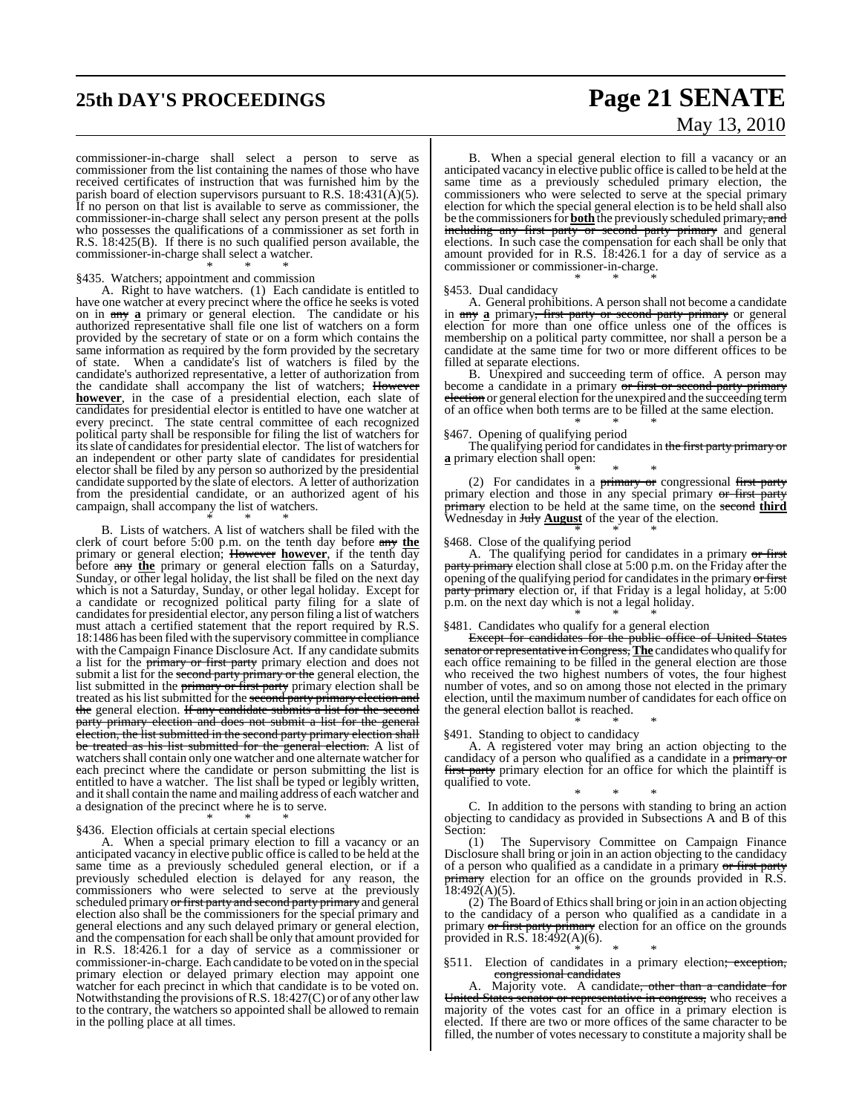# **25th DAY'S PROCEEDINGS Page 21 SENATE**

# May 13, 2010

commissioner-in-charge shall select a person to serve as commissioner from the list containing the names of those who have received certificates of instruction that was furnished him by the parish board of election supervisors pursuant to R.S. 18:431( $\vec{A}$ )(5). If no person on that list is available to serve as commissioner, the commissioner-in-charge shall select any person present at the polls who possesses the qualifications of a commissioner as set forth in R.S. 18:425(B). If there is no such qualified person available, the commissioner-in-charge shall select a watcher.

#### \* \* \* §435. Watchers; appointment and commission

A. Right to have watchers. (1) Each candidate is entitled to have one watcher at every precinct where the office he seeks is voted on in any **a** primary or general election. The candidate or his authorized representative shall file one list of watchers on a form provided by the secretary of state or on a form which contains the same information as required by the form provided by the secretary of state. When a candidate's list of watchers is filed by the candidate's authorized representative, a letter of authorization from the candidate shall accompany the list of watchers; However **however**, in the case of a presidential election, each slate of candidates for presidential elector is entitled to have one watcher at every precinct. The state central committee of each recognized political party shall be responsible for filing the list of watchers for its slate of candidates for presidential elector. The list of watchers for an independent or other party slate of candidates for presidential elector shall be filed by any person so authorized by the presidential candidate supported by the slate of electors. A letter of authorization from the presidential candidate, or an authorized agent of his campaign, shall accompany the list of watchers.

\* \* \* B. Lists of watchers. A list of watchers shall be filed with the clerk of court before 5:00 p.m. on the tenth day before any **the** primary or general election; However **however**, if the tenth day before any the primary or general election falls on a Saturday, Sunday, or other legal holiday, the list shall be filed on the next day which is not a Saturday, Sunday, or other legal holiday. Except for a candidate or recognized political party filing for a slate of candidates for presidential elector, any person filing a list of watchers must attach a certified statement that the report required by R.S. 18:1486 has been filed with the supervisory committee in compliance with the Campaign Finance Disclosure Act. If any candidate submits a list for the primary or first party primary election and does not submit a list for the second party primary or the general election, the list submitted in the *primary or first party* primary election shall be treated as his list submitted for the <del>second party primary election and</del> the general election. If any candidate submits a list for the second party primary election and does not submit a list for the general election, the list submitted in the second party primary election shall

be treated as his list submitted for the general election. A list of watchers shall contain only one watcher and one alternate watcher for each precinct where the candidate or person submitting the list is entitled to have a watcher. The list shall be typed or legibly written, and itshall contain the name and mailing address of each watcher and a designation of the precinct where he is to serve.

#### \* \* \* §436. Election officials at certain special elections

A. When a special primary election to fill a vacancy or an anticipated vacancy in elective public office is called to be held at the same time as a previously scheduled general election, or if a previously scheduled election is delayed for any reason, the commissioners who were selected to serve at the previously scheduled primary <del>or first party and second party primary</del> and general election also shall be the commissioners for the special primary and general elections and any such delayed primary or general election, and the compensation for each shall be only that amount provided for in R.S. 18:426.1 for a day of service as a commissioner or commissioner-in-charge. Each candidate to be voted on in the special primary election or delayed primary election may appoint one watcher for each precinct in which that candidate is to be voted on. Notwithstanding the provisions of R.S.  $18:427(C)$  or of any other law to the contrary, the watchers so appointed shall be allowed to remain in the polling place at all times.

B. When a special general election to fill a vacancy or an anticipated vacancy in elective public office is called to be held at the same time as a previously scheduled primary election, the commissioners who were selected to serve at the special primary election for which the special general election is to be held shall also be the commissioners for **both** the previously scheduled primary, and including any first party or second party primary and general elections. In such case the compensation for each shall be only that amount provided for in R.S. 18:426.1 for a day of service as a commissioner or commissioner-in-charge.

#### §453. Dual candidacy

A. General prohibitions. A person shall not become a candidate in any a primary<del>, first party or second party primary</del> or general election for more than one office unless one of the offices is membership on a political party committee, nor shall a person be a candidate at the same time for two or more different offices to be filled at separate elections.

\* \* \*

B. Unexpired and succeeding term of office. A person may become a candidate in a primary or first or second party primary election or general election for the unexpired and the succeeding term of an office when both terms are to be filled at the same election. \* \* \*

#### §467. Opening of qualifying period

The qualifying period for candidates in the first party primary or **a** primary election shall open:

\* \* \* (2) For candidates in a  $\frac{1}{2}$  primary or congressional first party primary election and those in any special primary or first party primary election to be held at the same time, on the second **third** Wednesday in **July <u>August</u>** of the year of the election.

#### \* \* \* §468. Close of the qualifying period

A. The qualifying period for candidates in a primary or first party primary election shall close at 5:00 p.m. on the Friday after the opening of the qualifying period for candidates in the primary or first party primary election or, if that Friday is a legal holiday, at 5:00 p.m. on the next day which is not a legal holiday.

\* \* \* §481. Candidates who qualify for a general election

Except for candidates for the public office of United States senator or representative in Congress, The candidates who qualify for each office remaining to be filled in the general election are those who received the two highest numbers of votes, the four highest number of votes, and so on among those not elected in the primary election, until the maximum number of candidates for each office on the general election ballot is reached.

#### \* \* \* §491. Standing to object to candidacy

A. A registered voter may bring an action objecting to the candidacy of a person who qualified as a candidate in a primary or first party primary election for an office for which the plaintiff is qualified to vote.

\* \* \* C. In addition to the persons with standing to bring an action objecting to candidacy as provided in Subsections A and B of this Section:

The Supervisory Committee on Campaign Finance Disclosure shall bring or join in an action objecting to the candidacy of a person who qualified as a candidate in a primary or first party **primary** election for an office on the grounds provided in R.S.  $18:492(A)(5)$ .

(2) The Board of Ethics shall bring or join in an action objecting to the candidacy of a person who qualified as a candidate in a primary or first party primary election for an office on the grounds provided in R.S.  $18:492(A)(6)$ .

\* \* \* §511. Election of candidates in a primary election<del>; exception,</del> congressional candidates

Majority vote. A candidate, other than a candidate for United States senator or representative in congress, who receives a majority of the votes cast for an office in a primary election is elected. If there are two or more offices of the same character to be filled, the number of votes necessary to constitute a majority shall be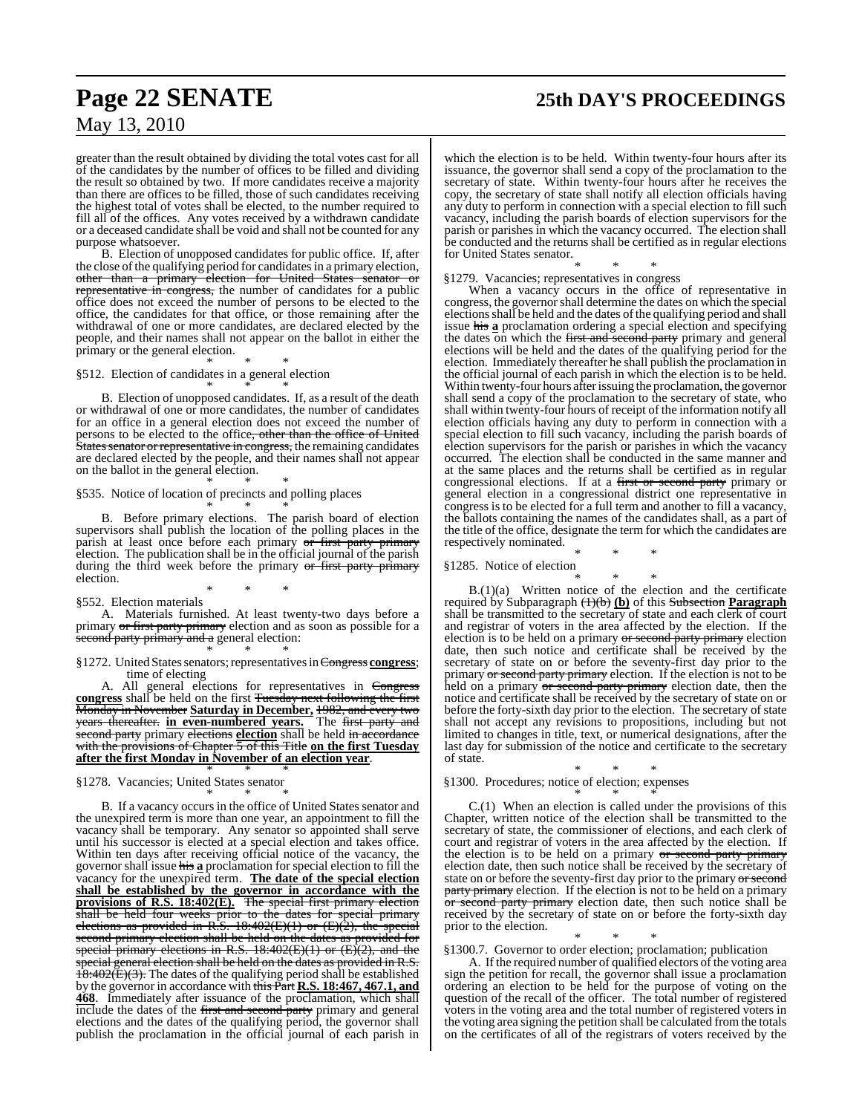# **Page 22 SENATE 25th DAY'S PROCEEDINGS**

## May 13, 2010

greater than the result obtained by dividing the total votes cast for all of the candidates by the number of offices to be filled and dividing the result so obtained by two. If more candidates receive a majority than there are offices to be filled, those of such candidates receiving the highest total of votes shall be elected, to the number required to fill all of the offices. Any votes received by a withdrawn candidate or a deceased candidate shall be void and shall not be counted for any purpose whatsoever.

B. Election of unopposed candidates for public office. If, after the close of the qualifying period for candidates in a primary election, other than a primary election for United States senator or representative in congress, the number of candidates for a public office does not exceed the number of persons to be elected to the office, the candidates for that office, or those remaining after the withdrawal of one or more candidates, are declared elected by the people, and their names shall not appear on the ballot in either the primary or the general election.

\* \* \* §512. Election of candidates in a general election

\* \* \* B. Election of unopposed candidates. If, as a result of the death or withdrawal of one or more candidates, the number of candidates for an office in a general election does not exceed the number of persons to be elected to the office<del>, other than the office of United</del> States senator or representative in congress, the remaining candidates are declared elected by the people, and their names shall not appear on the ballot in the general election. \* \* \*

§535. Notice of location of precincts and polling places

\* \* \* B. Before primary elections. The parish board of election supervisors shall publish the location of the polling places in the parish at least once before each primary or first party primary election. The publication shall be in the official journal of the parish during the third week before the primary or first party primary election.

\* \* \* §552. Election materials

A. Materials furnished. At least twenty-two days before a primary or first party primary election and as soon as possible for a second party primary and a general election: \* \* \*

§1272. United States senators; representatives in Congress **congress**; time of electing

A. All general elections for representatives in Congress **congress** shall be held on the first Tuesday next following the first Monday in November **Saturday in December,** 1982, and every two years thereafter. **in even-numbered years.** The first party and second party primary elections election shall be held in accordance with the provisions of Chapter 5 of this Title **on the first Tuesday after the first Monday in November of an election year**. \* \* \*

§1278. Vacancies; United States senator \* \* \*

B. If a vacancy occurs in the office of United States senator and the unexpired term is more than one year, an appointment to fill the vacancy shall be temporary. Any senator so appointed shall serve until his successor is elected at a special election and takes office. Within ten days after receiving official notice of the vacancy, the governor shall issue his **a** proclamation for special election to fill the vacancy for the unexpired term. **The date of the special election shall be established by the governor in accordance with the provisions of R.S. 18:402(E).** The special first primary election shall be held four weeks prior to the dates for special primary elections as provided in R.S. 18:402(E)(1) or (E)(2), the special second primary election shall be held on the dates as provided for special primary election shall be held on the dates as provided for special primary elections in  $P_1^C$  10.400 (T) (3) special primary elections in R.S. 18:402(E)(1) or (E)(2), and the special general election shall be held on the dates as provided in R.S. special general election shall be held on the dates as provided in R.S.  $18:402(E)(3)$ . The dates of the qualifying period shall be established by the governor in accordance with this Part **R.S. 18:467, 467.1, and 468**. Immediately after issuance of the proclamation, which shall include the dates of the first and second party primary and general elections and the dates of the qualifying period, the governor shall publish the proclamation in the official journal of each parish in which the election is to be held. Within twenty-four hours after its issuance, the governor shall send a copy of the proclamation to the secretary of state. Within twenty-four hours after he receives the copy, the secretary of state shall notify all election officials having any duty to perform in connection with a special election to fill such vacancy, including the parish boards of election supervisors for the parish or parishes in which the vacancy occurred. The election shall be conducted and the returns shall be certified as in regular elections for United States senator.

\* \* \* §1279. Vacancies; representatives in congress

When a vacancy occurs in the office of representative in congress, the governorshall determine the dates on which the special elections shall be held and the dates of the qualifying period and shall issue his **a** proclamation ordering a special election and specifying the dates on which the first and second party primary and general elections will be held and the dates of the qualifying period for the election. Immediately thereafter he shall publish the proclamation in the official journal of each parish in which the election is to be held. Within twenty-four hours afterissuing the proclamation, the governor shall send a copy of the proclamation to the secretary of state, who shall within twenty-four hours of receipt of the information notify all election officials having any duty to perform in connection with a special election to fill such vacancy, including the parish boards of election supervisors for the parish or parishes in which the vacancy occurred. The election shall be conducted in the same manner and at the same places and the returns shall be certified as in regular congressional elections. If at a first or second party primary or general election in a congressional district one representative in congress is to be elected for a full term and another to fill a vacancy, the ballots containing the names of the candidates shall, as a part of the title of the office, designate the term for which the candidates are respectively nominated.

\* \* \* §1285. Notice of election

\* \* \*

B.(1)(a) Written notice of the election and the certificate required by Subparagraph (1)(b) **(b)** of this Subsection **Paragraph** shall be transmitted to the secretary of state and each clerk of court and registrar of voters in the area affected by the election. If the election is to be held on a primary or second party primary election date, then such notice and certificate shall be received by the secretary of state on or before the seventy-first day prior to the primary or second party primary election. If the election is not to be held on a primary or second party primary election date, then the notice and certificate shall be received by the secretary of state on or before the forty-sixth day prior to the election. The secretary of state shall not accept any revisions to propositions, including but not limited to changes in title, text, or numerical designations, after the last day for submission of the notice and certificate to the secretary of state.

\* \* \* §1300. Procedures; notice of election; expenses \* \* \*

C.(1) When an election is called under the provisions of this Chapter, written notice of the election shall be transmitted to the secretary of state, the commissioner of elections, and each clerk of court and registrar of voters in the area affected by the election. If the election is to be held on a primary or second party primary election date, then such notice shall be received by the secretary of state on or before the seventy-first day prior to the primary or second party primary election. If the election is not to be held on a primary or second party primary election date, then such notice shall be received by the secretary of state on or before the forty-sixth day prior to the election.

\* \* \* §1300.7. Governor to order election; proclamation; publication

A. If the required number of qualified electors of the voting area sign the petition for recall, the governor shall issue a proclamation ordering an election to be held for the purpose of voting on the question of the recall of the officer. The total number of registered voters in the voting area and the total number of registered voters in the voting area signing the petition shall be calculated from the totals on the certificates of all of the registrars of voters received by the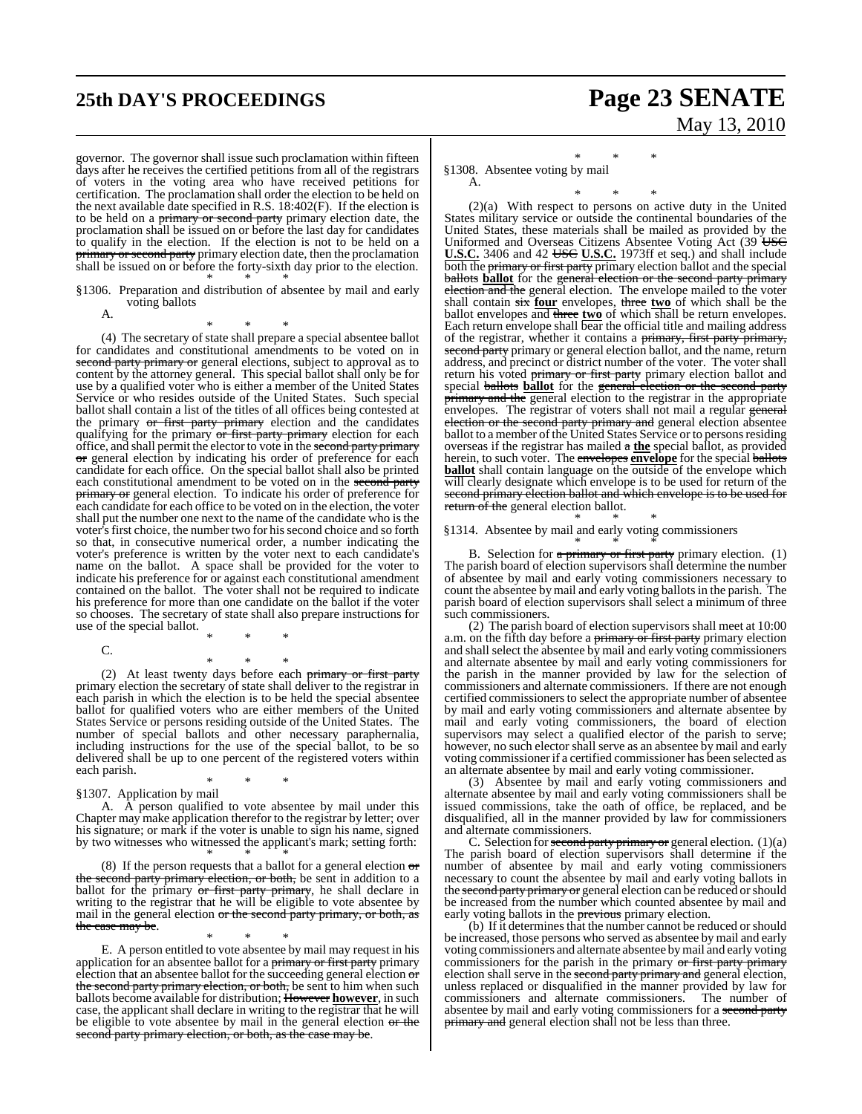governor. The governor shall issue such proclamation within fifteen days after he receives the certified petitions from all of the registrars of voters in the voting area who have received petitions for certification. The proclamation shall order the election to be held on the next available date specified in R.S. 18:402(F). If the election is to be held on a primary or second party primary election date, the proclamation shall be issued on or before the last day for candidates to qualify in the election. If the election is not to be held on a primary or second party primary election date, then the proclamation shall be issued on or before the forty-sixth day prior to the election. \* \* \*

§1306. Preparation and distribution of absentee by mail and early voting ballots

A.

\* \* \*

(4) The secretary of state shall prepare a special absentee ballot for candidates and constitutional amendments to be voted on in second party primary or general elections, subject to approval as to content by the attorney general. This special ballot shall only be for use by a qualified voter who is either a member of the United States Service or who resides outside of the United States. Such special ballot shall contain a list of the titles of all offices being contested at the primary or first party primary election and the candidates qualifying for the primary or first party primary election for each office, and shall permit the elector to vote in the second party primary or general election by indicating his order of preference for each candidate for each office. On the special ballot shall also be printed each constitutional amendment to be voted on in the second party primary or general election. To indicate his order of preference for each candidate for each office to be voted on in the election, the voter shall put the number one next to the name of the candidate who is the voter's first choice, the number two for his second choice and so forth so that, in consecutive numerical order, a number indicating the voter's preference is written by the voter next to each candidate's name on the ballot. A space shall be provided for the voter to indicate his preference for or against each constitutional amendment contained on the ballot. The voter shall not be required to indicate his preference for more than one candidate on the ballot if the voter so chooses. The secretary of state shall also prepare instructions for use of the special ballot.

- C.
- \* \* \*

\* \* \* (2) At least twenty days before each primary or first party primary election the secretary of state shall deliver to the registrar in each parish in which the election is to be held the special absentee ballot for qualified voters who are either members of the United States Service or persons residing outside of the United States. The number of special ballots and other necessary paraphernalia, including instructions for the use of the special ballot, to be so delivered shall be up to one percent of the registered voters within each parish. \* \* \*

§1307. Application by mail

A. A person qualified to vote absentee by mail under this Chapter may make application therefor to the registrar by letter; over his signature; or mark if the voter is unable to sign his name, signed by two witnesses who witnessed the applicant's mark; setting forth: \* \* \*

(8) If the person requests that a ballot for a general election  $\sigma$ the second party primary election, or both, be sent in addition to a ballot for the primary or first party primary, he shall declare in writing to the registrar that he will be eligible to vote absentee by mail in the general election or the second party primary, or both, as the case may be.

\* \* \* E. A person entitled to vote absentee by mail may request in his application for an absentee ballot for a primary or first party primary election that an absentee ballot for the succeeding general election or the second party primary election, or both, be sent to him when such ballots become available for distribution; However **however**, in such case, the applicant shall declare in writing to the registrar that he will be eligible to vote absentee by mail in the general election or the second party primary election, or both, as the case may be.

# **25th DAY'S PROCEEDINGS Page 23 SENATE** May 13, 2010

\* \* \* §1308. Absentee voting by mail A.

\* \* \* (2)(a) With respect to persons on active duty in the United States military service or outside the continental boundaries of the United States, these materials shall be mailed as provided by the Uniformed and Overseas Citizens Absentee Voting Act (39 USC) **U.S.C.** 3406 and 42 USC U.S.C. 1973ff et seq.) and shall include both the primary or first party primary election ballot and the special ballots **ballot** for the general election or the second party primary election and the general election. The envelope mailed to the voter shall contain six **four** envelopes, three two of which shall be the ballot envelopes and three two of which shall be return envelopes. Each return envelope shall bear the official title and mailing address of the registrar, whether it contains a primary, first party primary, second party primary or general election ballot, and the name, return address, and precinct or district number of the voter. The voter shall return his voted primary or first party primary election ballot and special ballots **ballot** for the general election or the second party primary and the general election to the registrar in the appropriate envelopes. The registrar of voters shall not mail a regular general election or the second party primary and general election absentee ballot to a member of the United States Service or to persons residing overseas if the registrar has mailed a **the** special ballot, as provided herein, to such voter. The envelopes **envelope** for the special ballots **ballot** shall contain language on the outside of the envelope which will clearly designate which envelope is to be used for return of the second primary election ballot and which envelope is to be used for return of the general election ballot.

#### \* \* \* §1314. Absentee by mail and early voting commissioners

\* \* \* B. Selection for a primary or first party primary election. (1) The parish board of election supervisors shall determine the number of absentee by mail and early voting commissioners necessary to count the absentee by mail and early voting ballots in the parish. The parish board of election supervisors shall select a minimum of three such commissioners.

(2) The parish board of election supervisors shall meet at 10:00 a.m. on the fifth day before a primary or first party primary election and shall select the absentee by mail and early voting commissioners and alternate absentee by mail and early voting commissioners for the parish in the manner provided by law for the selection of commissioners and alternate commissioners. If there are not enough certified commissioners to select the appropriate number of absentee by mail and early voting commissioners and alternate absentee by mail and early voting commissioners, the board of election supervisors may select a qualified elector of the parish to serve; however, no such elector shall serve as an absentee by mail and early voting commissioner if a certified commissioner has been selected as an alternate absentee by mail and early voting commissioner.

(3) Absentee by mail and early voting commissioners and alternate absentee by mail and early voting commissioners shall be issued commissions, take the oath of office, be replaced, and be disqualified, all in the manner provided by law for commissioners and alternate commissioners.

C. Selection for second party primary or general election.  $(1)(a)$ The parish board of election supervisors shall determine if the number of absentee by mail and early voting commissioners necessary to count the absentee by mail and early voting ballots in the second party primary or general election can be reduced or should be increased from the number which counted absentee by mail and early voting ballots in the **previous** primary election.

(b) If it determines that the number cannot be reduced or should be increased, those persons who served as absentee by mail and early voting commissioners and alternate absentee bymail and early voting commissioners for the parish in the primary or first party primary election shall serve in the second party primary and general election, unless replaced or disqualified in the manner provided by law for commissioners and alternate commissioners. absentee by mail and early voting commissioners for a second party primary and general election shall not be less than three.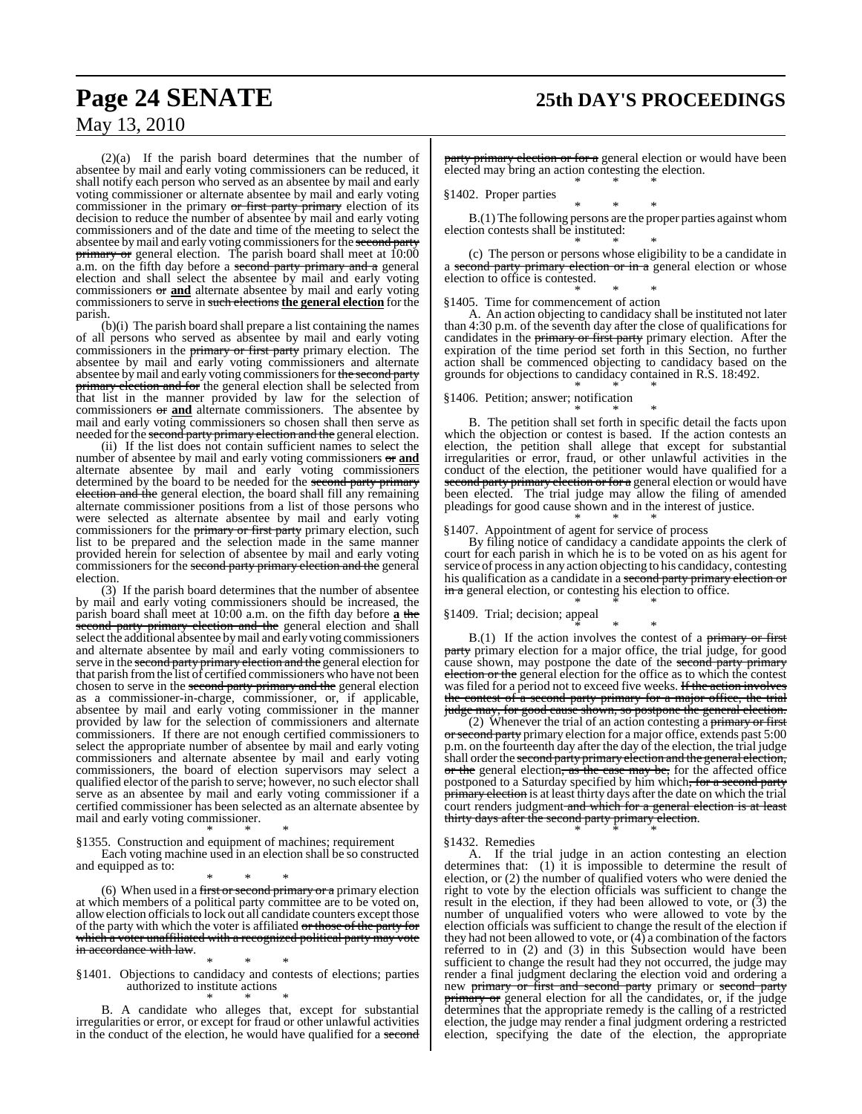# **Page 24 SENATE 25th DAY'S PROCEEDINGS**

## May 13, 2010

(2)(a) If the parish board determines that the number of absentee by mail and early voting commissioners can be reduced, it shall notify each person who served as an absentee by mail and early voting commissioner or alternate absentee by mail and early voting commissioner in the primary or first party primary election of its decision to reduce the number of absentee by mail and early voting commissioners and of the date and time of the meeting to select the absentee by mail and early voting commissioners for the second party **primary or** general election. The parish board shall meet at 10:00 a.m. on the fifth day before a second party primary and a general election and shall select the absentee by mail and early voting commissioners or **and** alternate absentee by mail and early voting commissionersto serve in such elections **the general election** for the parish.

(b)(i) The parish board shall prepare a list containing the names of all persons who served as absentee by mail and early voting commissioners in the primary or first party primary election. The absentee by mail and early voting commissioners and alternate absentee by mail and early voting commissioners for the second party primary election and for the general election shall be selected from that list in the manner provided by law for the selection of commissioners or **and** alternate commissioners. The absentee by mail and early voting commissioners so chosen shall then serve as needed for the second party primary election and the general election.

(ii) If the list does not contain sufficient names to select the number of absentee by mail and early voting commissioners or **and** alternate absentee by mail and early voting commissioners determined by the board to be needed for the second party primary election and the general election, the board shall fill any remaining alternate commissioner positions from a list of those persons who were selected as alternate absentee by mail and early voting commissioners for the primary or first party primary election, such list to be prepared and the selection made in the same manner provided herein for selection of absentee by mail and early voting commissioners for the second party primary election and the general election.

(3) If the parish board determines that the number of absentee by mail and early voting commissioners should be increased, the parish board shall meet at 10:00 a.m. on the fifth day before **a** the second party primary election and the general election and shall select the additional absentee bymail and early voting commissioners and alternate absentee by mail and early voting commissioners to serve in the <del>second party primary election and the</del> general election for that parish fromthe list of certified commissioners who have not been chosen to serve in the second party primary and the general election as a commissioner-in-charge, commissioner, or, if applicable, absentee by mail and early voting commissioner in the manner provided by law for the selection of commissioners and alternate commissioners. If there are not enough certified commissioners to select the appropriate number of absentee by mail and early voting commissioners and alternate absentee by mail and early voting commissioners, the board of election supervisors may select a qualified elector of the parish to serve; however, no such elector shall serve as an absentee by mail and early voting commissioner if a certified commissioner has been selected as an alternate absentee by mail and early voting commissioner.

\* \* \* §1355. Construction and equipment of machines; requirement Each voting machine used in an election shall be so constructed and equipped as to:

\* \* \*

(6) When used in a first or second primary or a primary election at which members of a political party committee are to be voted on, allow election officials to lock out all candidate counters except those of the party with which the voter is affiliated or those of the party for which a voter unaffiliated with a recognized political party may vote in accordance with law.

\* \* \* §1401. Objections to candidacy and contests of elections; parties authorized to institute actions

\* \* \* B. A candidate who alleges that, except for substantial irregularities or error, or except for fraud or other unlawful activities in the conduct of the election, he would have qualified for a second party primary election or for a general election or would have been elected may bring an action contesting the election. \* \* \*

§1402. Proper parties

\* \* \* B.(1) The following persons are the proper parties against whom election contests shall be instituted: \* \* \*

(c) The person or persons whose eligibility to be a candidate in a second party primary election or in a general election or whose election to office is contested.

\* \* \* §1405. Time for commencement of action

A. An action objecting to candidacy shall be instituted not later than 4:30 p.m. of the seventh day after the close of qualifications for candidates in the primary or first party primary election. After the expiration of the time period set forth in this Section, no further action shall be commenced objecting to candidacy based on the grounds for objections to candidacy contained in R.S. 18:492. \* \* \*

§1406. Petition; answer; notification \* \* \*

B. The petition shall set forth in specific detail the facts upon which the objection or contest is based. If the action contests an election, the petition shall allege that except for substantial irregularities or error, fraud, or other unlawful activities in the conduct of the election, the petitioner would have qualified for a second party primary election or for a general election or would have been elected. The trial judge may allow the filing of amended pleadings for good cause shown and in the interest of justice. \* \* \*

§1407. Appointment of agent for service of process

By filing notice of candidacy a candidate appoints the clerk of court for each parish in which he is to be voted on as his agent for service of processin any action objecting to his candidacy, contesting his qualification as a candidate in a second party primary election or in a general election, or contesting his election to office. \* \* \*

§1409. Trial; decision; appeal

\* \* \* B.(1) If the action involves the contest of a primary or first party primary election for a major office, the trial judge, for good cause shown, may postpone the date of the second party primary election or the general election for the office as to which the contest was filed for a period not to exceed five weeks. If the action involves the contest of a second party primary for a major office, the trial judge may, for good cause shown, so postpone the general election.

(2) Whenever the trial of an action contesting a primary or first or second party primary election for a major office, extends past 5:00 p.m. on the fourteenth day after the day of the election, the trial judge shall order the second party primary election and the general election, or the general election, as the case may be, for the affected office postponed to a Saturday specified by him which, for a second party primary election is at least thirty days after the date on which the trial primary discussing and the state and which for a general election is at least thirty days after the second party primary election.

\* \* \*

§1432. Remedies

A. If the trial judge in an action contesting an election determines that: (1) it is impossible to determine the result of election, or (2) the number of qualified voters who were denied the right to vote by the election officials was sufficient to change the result in the election, if they had been allowed to vote, or  $(3)$  the number of unqualified voters who were allowed to vote by the election officials was sufficient to change the result of the election if they had not been allowed to vote, or  $(4)$  a combination of the factors referred to in (2) and (3) in this Subsection would have been sufficient to change the result had they not occurred, the judge may render a final judgment declaring the election void and ordering a new primary or first and second party primary or second party **primary or** general election for all the candidates, or, if the judge determines that the appropriate remedy is the calling of a restricted election, the judge may render a final judgment ordering a restricted election, specifying the date of the election, the appropriate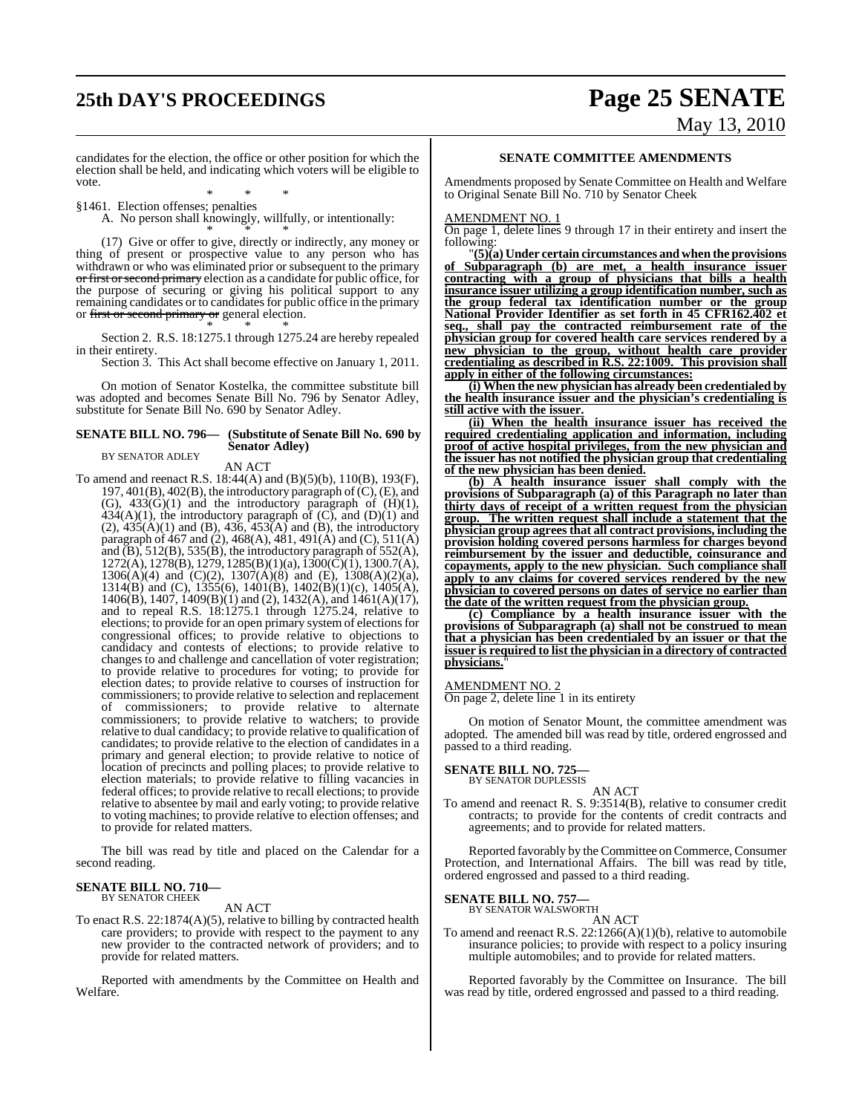# **25th DAY'S PROCEEDINGS Page 25 SENATE** May 13, 2010

candidates for the election, the office or other position for which the election shall be held, and indicating which voters will be eligible to vote.

\* \* \* §1461. Election offenses; penalties

A. No person shall knowingly, willfully, or intentionally:

\* \* \* (17) Give or offer to give, directly or indirectly, any money or thing of present or prospective value to any person who has withdrawn or who was eliminated prior or subsequent to the primary or first or second primary election as a candidate for public office, for the purpose of securing or giving his political support to any remaining candidates or to candidates for public office in the primary or first or second primary or general election.

\* \* \* Section 2. R.S. 18:1275.1 through 1275.24 are hereby repealed in their entirety.

Section 3. This Act shall become effective on January 1, 2011.

On motion of Senator Kostelka, the committee substitute bill was adopted and becomes Senate Bill No. 796 by Senator Adley, substitute for Senate Bill No. 690 by Senator Adley.

#### **SENATE BILL NO. 796— (Substitute of Senate Bill No. 690 by Senator Adley)**

#### BY SENATOR ADLEY

AN ACT

To amend and reenact R.S. 18:44(A) and (B)(5)(b), 110(B), 193(F), 197, 401(B), 402(B), the introductory paragraph of  $(C)$ ,  $(E)$ , and (G),  $433(G)(1)$  and the introductory paragraph of  $(H)(1)$ ,  $434(A)(1)$ , the introductory paragraph of  $(C)$ , and  $(D)(1)$  and  $(2)$ ,  $435(A)(1)$  and  $(B)$ ,  $436$ ,  $453(A)$  and  $(B)$ , the introductory paragraph of 467 and (2), 468(A), 481, 491(A) and (C), 511(A) and  $(B)$ , 512(B), 535(B), the introductory paragraph of 552(A),  $1272(A)$ ,  $1278(B)$ ,  $1279$ ,  $1285(B)(1)(a)$ ,  $1300(\tilde{C})(1)$ ,  $1300.7(A)$ ,  $1306(A)(4)$  and  $(C)(2)$ ,  $1307(A)(8)$  and  $(E)$ ,  $1308(A)(2)(a)$ , 1314(B) and (C), 1355(6), 1401(B), 1402(B)(1)(c), 1405(A), 1406(B), 1407, 1409(B)(1) and (2), 1432(A), and 1461(A)(17), and to repeal R.S. 18:1275.1 through 1275.24, relative to elections; to provide for an open primary system of elections for congressional offices; to provide relative to objections to candidacy and contests of elections; to provide relative to changes to and challenge and cancellation of voter registration; to provide relative to procedures for voting; to provide for election dates; to provide relative to courses of instruction for commissioners; to provide relative to selection and replacement of commissioners; to provide relative to alternate commissioners; to provide relative to watchers; to provide relative to dual candidacy; to provide relative to qualification of candidates; to provide relative to the election of candidates in a primary and general election; to provide relative to notice of location of precincts and polling places; to provide relative to election materials; to provide relative to filling vacancies in federal offices; to provide relative to recall elections; to provide relative to absentee by mail and early voting; to provide relative to voting machines; to provide relative to election offenses; and to provide for related matters.

The bill was read by title and placed on the Calendar for a second reading.

#### **SENATE BILL NO. 710—** BY SENATOR CHEEK

AN ACT

To enact R.S. 22:1874(A)(5), relative to billing by contracted health care providers; to provide with respect to the payment to any new provider to the contracted network of providers; and to provide for related matters.

Reported with amendments by the Committee on Health and Welfare.

#### **SENATE COMMITTEE AMENDMENTS**

Amendments proposed by Senate Committee on Health and Welfare to Original Senate Bill No. 710 by Senator Cheek

#### AMENDMENT NO. 1

On page 1, delete lines 9 through 17 in their entirety and insert the following:

"**(5)(a) Under certain circumstances and when the provisions of Subparagraph (b) are met, a health insurance issuer contracting with a group of physicians that bills a health insurance issuer utilizing a group identification number, such as the group federal tax identification number or the group National Provider Identifier as set forth in 45 CFR162.402 et seq., shall pay the contracted reimbursement rate of the physician group for covered health care services rendered by a new physician to the group, without health care provider credentialing as described in R.S. 22:1009. This provision shall apply in either of the following circumstances:**

**(i) When the new physician has already been credentialed by the health insurance issuer and the physician's credentialing is still active with the issuer.**

**(ii) When the health insurance issuer has received the required credentialing application and information, including proof of active hospital privileges, from the new physician and the issuer has not notified the physician group that credentialing of the new physician has been denied.**

**(b) A health insurance issuer shall comply with the provisions of Subparagraph (a) of this Paragraph no later than thirty days of receipt of a written request from the physician group. The written request shall include a statement that the physician group agrees that all contract provisions, including the provision holding covered persons harmless for charges beyond reimbursement by the issuer and deductible, coinsurance and copayments, apply to the new physician. Such compliance shall apply to any claims for covered services rendered by the new physician to covered persons on dates of service no earlier than the date of the written request from the physician group.**

**(c) Compliance by a health insurance issuer with the provisions of Subparagraph (a) shall not be construed to mean that a physician has been credentialed by an issuer or that the issuer is required to list the physician in a directory of contracted physicians.**"

#### AMENDMENT NO. 2

On page 2, delete line 1 in its entirety

On motion of Senator Mount, the committee amendment was adopted. The amended bill was read by title, ordered engrossed and passed to a third reading.

#### **SENATE BILL NO. 725—** BY SENATOR DUPLESSIS

AN ACT

To amend and reenact R. S. 9:3514(B), relative to consumer credit contracts; to provide for the contents of credit contracts and agreements; and to provide for related matters.

Reported favorably by the Committee on Commerce, Consumer Protection, and International Affairs. The bill was read by title, ordered engrossed and passed to a third reading.

# **SENATE BILL NO. 757—** BY SENATOR WALSWORTH

AN ACT

To amend and reenact R.S. 22:1266(A)(1)(b), relative to automobile insurance policies; to provide with respect to a policy insuring multiple automobiles; and to provide for related matters.

Reported favorably by the Committee on Insurance. The bill was read by title, ordered engrossed and passed to a third reading.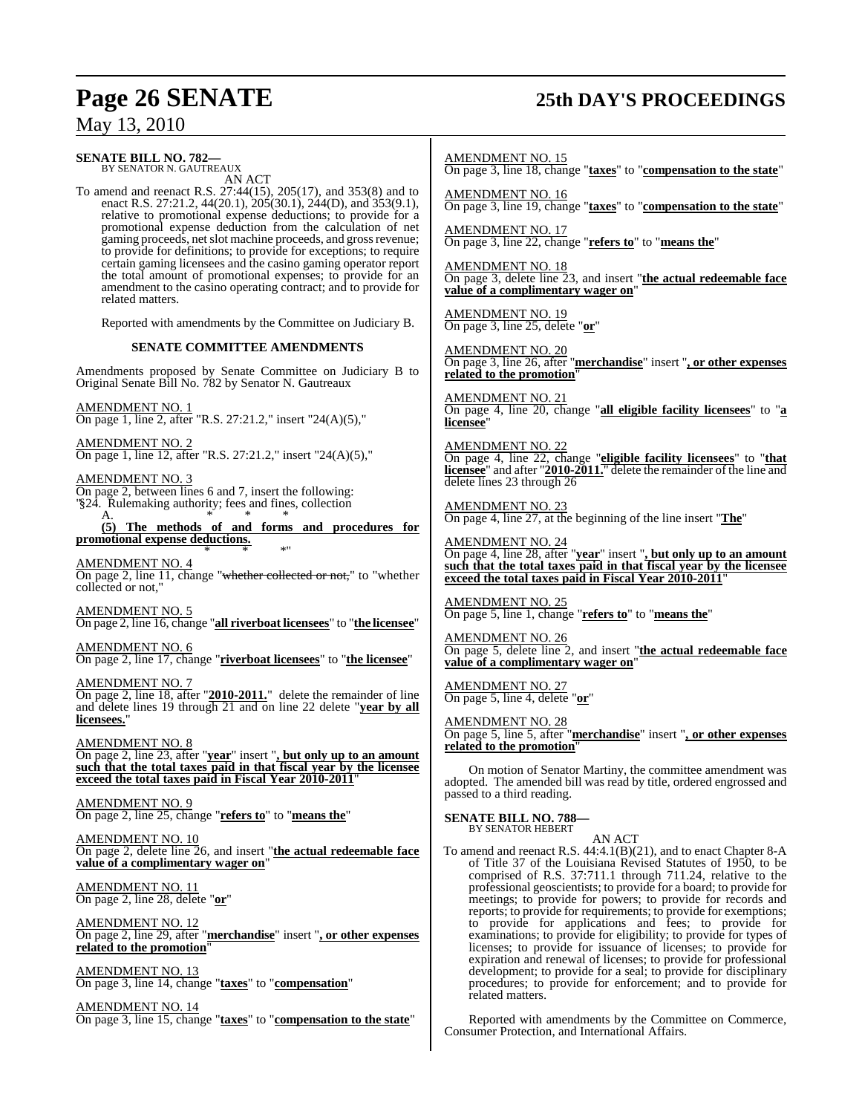# **Page 26 SENATE 25th DAY'S PROCEEDINGS**

## May 13, 2010

### **SENATE BILL NO. 782—**

BY SENATOR N. GAUTREAUX AN ACT

To amend and reenact R.S. 27:44(15), 205(17), and 353(8) and to enact R.S. 27:21.2, 44(20.1), 205(30.1), 244(D), and 353(9.1), relative to promotional expense deductions; to provide for a promotional expense deduction from the calculation of net gaming proceeds, net slot machine proceeds, and gross revenue; to provide for definitions; to provide for exceptions; to require certain gaming licensees and the casino gaming operator report the total amount of promotional expenses; to provide for an amendment to the casino operating contract; and to provide for related matters.

Reported with amendments by the Committee on Judiciary B.

#### **SENATE COMMITTEE AMENDMENTS**

Amendments proposed by Senate Committee on Judiciary B to Original Senate Bill No. 782 by Senator N. Gautreaux

AMENDMENT NO. 1 On page 1, line 2, after "R.S. 27:21.2," insert "24(A)(5),"

AMENDMENT NO. 2

On page 1, line 12, after "R.S. 27:21.2," insert "24(A)(5),"

AMENDMENT NO. 3

On page 2, between lines 6 and 7, insert the following: "\\$24. Rulemaking authority; fees and fines, collection A. \* \* \*

**(5) The methods of and forms and procedures for promotional expense deductions.** \* \* \*"

AMENDMENT NO. 4 On page 2, line 11, change "whether collected or not," to "whether collected or not."

AMENDMENT NO. 5 On page 2, line 16, change "**all riverboat licensees**" to "**the licensee**"

AMENDMENT NO. 6 On page 2, line 17, change "**riverboat licensees**" to "**the licensee**"

AMENDMENT NO. 7 On page 2, line 18, after "**2010-2011.**" delete the remainder of line and delete lines 19 through 21 and on line 22 delete "**year by all licensees.**"

AMENDMENT NO. 8 On page 2, line 23, after "**year**" insert "**, but only up to an amount such that the total taxes paid in that fiscal year by the licensee**

**exceed the total taxes paid in Fiscal Year 2010-2011**" AMENDMENT NO. 9

On page 2, line 25, change "**refers to**" to "**means the**"

AMENDMENT NO. 10 On page 2, delete line 26, and insert "**the actual redeemable face value of a complimentary wager on**"

AMENDMENT NO. 11 On page 2, line 28, delete "**or**"

AMENDMENT NO. 12 On page 2, line 29, after "**merchandise**" insert "**, or other expenses related to the promotion**"

<u>AMENDMENT NO. 13</u> On page 3, line 14, change "**taxes**" to "**compensation**"

AMENDMENT NO. 14 On page 3, line 15, change "**taxes**" to "**compensation to the state**" AMENDMENT NO. 15 On page 3, line 18, change "**taxes**" to "**compensation to the state**"

AMENDMENT NO. 16 On page 3, line 19, change "**taxes**" to "**compensation to the state**"

AMENDMENT NO. 17 On page 3, line 22, change "**refers to**" to "**means the**"

AMENDMENT NO. 18 On page 3, delete line 23, and insert "**the actual redeemable face value of a complimentary wager on**"

AMENDMENT NO. 19 On page 3, line 25, delete "**or**"

AMENDMENT NO. 20 On page 3, line 26, after "**merchandise**" insert "**, or other expenses related to the promotion**"

AMENDMENT NO. 21 On page 4, line 20, change "**all eligible facility licensees**" to "**a licensee**"

AMENDMENT NO. 22 On page 4, line 22, change "**eligible facility licensees**" to "**that licensee**" and after "**2010-2011.**" delete the remainder of the line and delete lines 23 through 26

AMENDMENT NO. 23 On page 4, line 27, at the beginning of the line insert "**The**"

AMENDMENT NO. 24 On page 4, line 28, after "**year**" insert "**, but only up to an amount such that the total taxes paid in that fiscal year by the licensee exceed the total taxes paid in Fiscal Year 2010-2011**"

AMENDMENT NO. 25 On page 5, line 1, change "**refers to**" to "**means the**"

AMENDMENT NO. 26 On page 5, delete line 2, and insert "**the actual redeemable face value of a complimentary wager on**"

AMENDMENT NO. 27 On page 5, line 4, delete "**or**"

AMENDMENT NO. 28 On page 5, line 5, after "**merchandise**" insert "**, or other expenses related to the promotion**"

On motion of Senator Martiny, the committee amendment was adopted. The amended bill was read by title, ordered engrossed and passed to a third reading.

**SENATE BILL NO. 788—** BY SENATOR HEBERT

AN ACT

To amend and reenact R.S. 44:4.1(B)(21), and to enact Chapter 8-A of Title 37 of the Louisiana Revised Statutes of 1950, to be comprised of R.S. 37:711.1 through 711.24, relative to the professional geoscientists; to provide for a board; to provide for meetings; to provide for powers; to provide for records and reports; to provide for requirements; to provide for exemptions; to provide for applications and fees; to provide for examinations; to provide for eligibility; to provide for types of licenses; to provide for issuance of licenses; to provide for expiration and renewal of licenses; to provide for professional development; to provide for a seal; to provide for disciplinary procedures; to provide for enforcement; and to provide for related matters.

Reported with amendments by the Committee on Commerce, Consumer Protection, and International Affairs.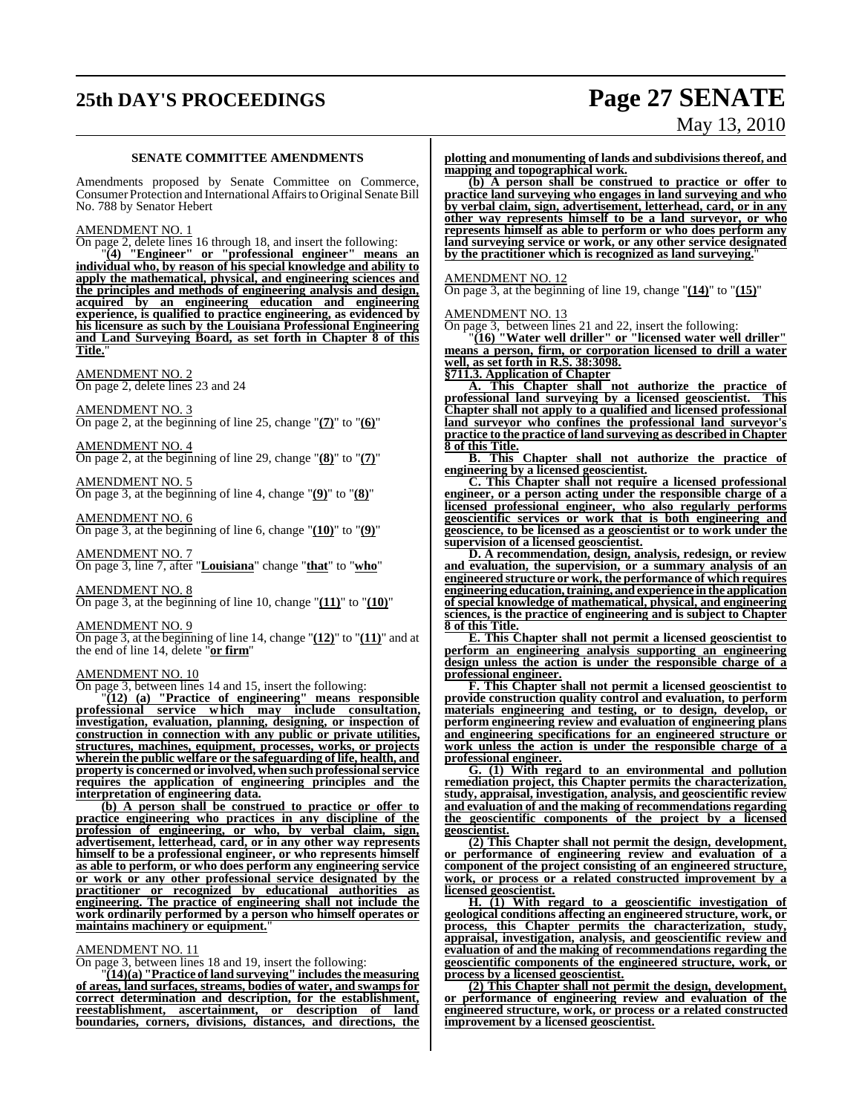# **25th DAY'S PROCEEDINGS Page 27 SENATE**

# May 13, 2010

#### **SENATE COMMITTEE AMENDMENTS**

Amendments proposed by Senate Committee on Commerce, Consumer Protection and International Affairs to Original Senate Bill No. 788 by Senator Hebert

#### AMENDMENT NO. 1

On page 2, delete lines 16 through 18, and insert the following:

"**(4) "Engineer" or "professional engineer" means an individual who, by reason of his special knowledge and ability to apply the mathematical, physical, and engineering sciences and the principles and methods of engineering analysis and design, acquired by an engineering education and engineering experience, is qualified to practice engineering, as evidenced by his licensure as such by the Louisiana Professional Engineering and Land Surveying Board, as set forth in Chapter 8 of this Title.**"

#### AMENDMENT NO. 2

On page 2, delete lines 23 and 24

AMENDMENT NO. 3

On page 2, at the beginning of line 25, change "**(7)**" to "**(6)**"

AMENDMENT NO. 4 On page 2, at the beginning of line 29, change "**(8)**" to "**(7)**"

AMENDMENT NO. 5 On page 3, at the beginning of line 4, change "**(9)**" to "**(8)**"

AMENDMENT NO. 6 On page 3, at the beginning of line 6, change "**(10)**" to "**(9)**"

AMENDMENT NO. 7

On page 3, line 7, after "**Louisiana**" change "**that**" to "**who**"

#### AMENDMENT NO. 8

On page 3, at the beginning of line 10, change "**(11)**" to "**(10)**"

#### AMENDMENT NO. 9

On page 3, at the beginning of line 14, change "**(12)**" to "**(11)**" and at the end of line 14, delete "**or firm**"

#### AMENDMENT NO. 10

On page 3, between lines 14 and 15, insert the following:

"**(12) (a) "Practice of engineering" means responsible professional service w hich may include consultation, investigation, evaluation, planning, designing, or inspection of construction in connection with any public or private utilities, structures, machines, equipment, processes, works, or projects wherein the public welfare or the safeguarding of life, health, and property is concerned or involved, when such professionalservice requires the application of engineering principles and the interpretation of engineering data.**

**(b) A person shall be construed to practice or offer to practice engineering who practices in any discipline of the profession of engineering, or who, by verbal claim, sign, advertisement, letterhead, card, or in any other way represents himself to be a professional engineer, or who represents himself as able to perform, or who does perform any engineering service or work or any other professional service designated by the practitioner or recognized by educational authorities as engineering. The practice of engineering shall not include the work ordinarily performed by a person who himself operates or** maintains machinery or equipment.

#### AMENDMENT NO. 11

On page 3, between lines 18 and 19, insert the following:

"**(14)(a) "Practice of land surveying" includesthe measuring of areas, land surfaces, streams, bodies of water, and swamps for correct determination and description, for the establishment,** reestablishment, ascertainment, **boundaries, corners, divisions, distances, and directions, the**

**plotting and monumenting of lands and subdivisionsthereof, and mapping and topographical work.**

**(b) A person shall be construed to practice or offer to practice land surveying who engages in land surveying and who by verbal claim, sign, advertisement, letterhead, card, or in any other way represents himself to be a land surveyor, or who represents himself as able to perform or who does perform any land surveying service or work, or any other service designated** by the practitioner which is recognized as land surveying.

AMENDMENT NO. 12

On page 3, at the beginning of line 19, change "**(14)**" to "**(15)**"

#### AMENDMENT NO. 13

On page 3, between lines 21 and 22, insert the following:

"**(16) "Water well driller" or "licensed water well driller" means a person, firm, or corporation licensed to drill a water well, as set forth in R.S. 38:3098.**

**§711.3. Application of Chapter**

**A. This Chapter shall not authorize the practice of professional land surveying by a licensed geoscientist. This Chapter shall not apply to a qualified and licensed professional land surveyor who confines the professional land surveyor's practice to the practice of land surveying as described in Chapter 8 of this Title.**

**B. This Chapter shall not authorize the practice of engineering by a licensed geoscientist.**

**C. This Chapter shall not require a licensed professional engineer, or a person acting under the responsible charge of a licensed professional engineer, who also regularly performs geoscientific services or work that is both engineering and geoscience, to be licensed as a geoscientist or to work under the supervision of a licensed geoscientist.**

**D. A recommendation, design, analysis, redesign, or review and evaluation, the supervision, or a summary analysis of an engineered structure or work, the performance of which requires engineering education, training, and experience in the application of special knowledge of mathematical, physical, and engineering sciences, is the practice of engineering and is subject to Chapter 8 of this Title.**

**E. This Chapter shall not permit a licensed geoscientist to perform an engineering analysis supporting an engineering design unless the action is under the responsible charge of a professional engineer.**

**F. This Chapter shall not permit a licensed geoscientist to provide construction quality control and evaluation, to perform materials engineering and testing, or to design, develop, or perform engineering review and evaluation of engineering plans and engineering specifications for an engineered structure or work unless the action is under the responsible charge of a professional engineer.**

**G. (1) With regard to an environmental and pollution remediation project, this Chapter permits the characterization, study, appraisal, investigation, analysis, and geoscientific review and evaluation of and the making of recommendations regarding the geoscientific components of the project by a licensed geoscientist.**

**(2) This Chapter shall not permit the design, development, or performance of engineering review and evaluation of a component of the project consisting of an engineered structure, work, or process or a related constructed improvement by a licensed geoscientist.**

**H. (1) With regard to a geoscientific investigation of geological conditions affecting an engineered structure, work, or process, this Chapter permits the characterization, study, appraisal, investigation, analysis, and geoscientific review and evaluation of and the making of recommendations regarding the geoscientific components of the engineered structure, work, or process by a licensed geoscientist.**

**(2) This Chapter shall not permit the design, development, or performance of engineering review and evaluation of the engineered structure, work, or process or a related constructed improvement by a licensed geoscientist.**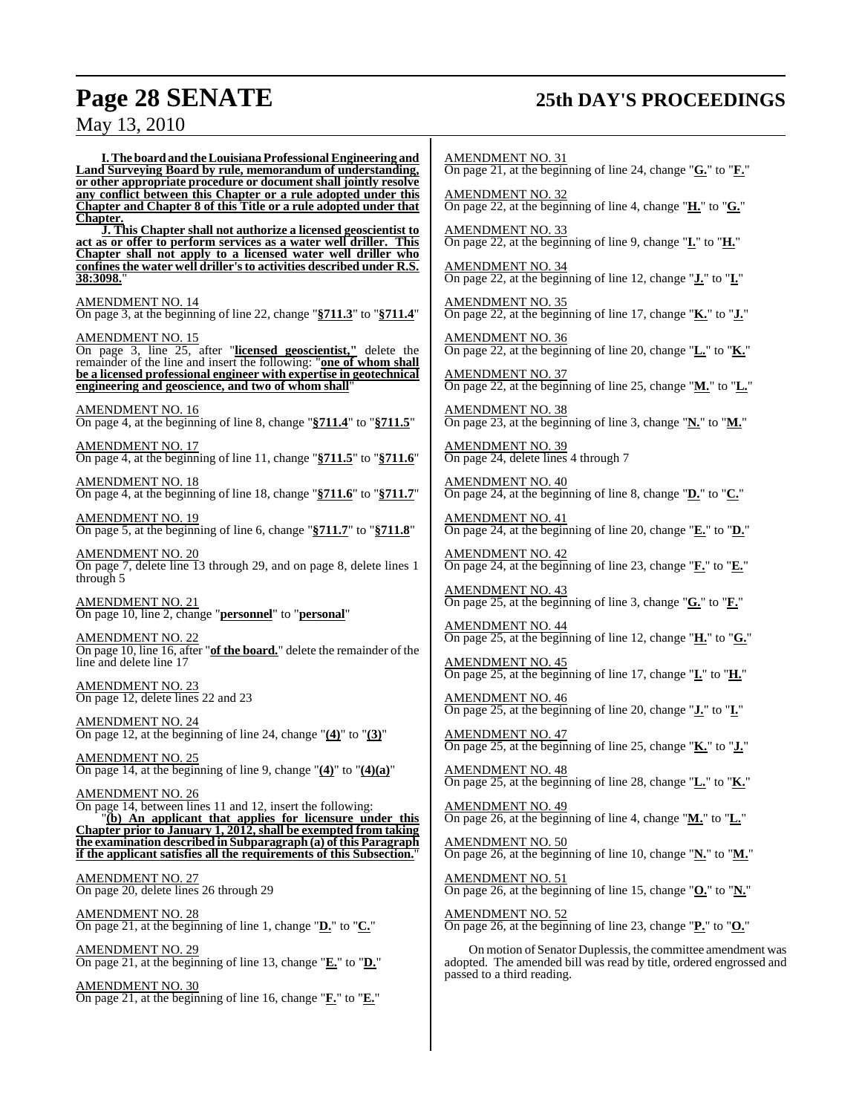# **Page 28 SENATE 25th DAY'S PROCEEDINGS**

## May 13, 2010

**I.The boardandtheLouisiana ProfessionalEngineering and Land Surveying Board by rule, memorandum of understanding, or other appropriate procedure or document shall jointly resolve any conflict between this Chapter or a rule adopted under this Chapter and Chapter 8 of this Title or a rule adopted under that Chapter.**

**J. This Chapter shall not authorize a licensed geoscientist to act as or offer to perform services as a water well driller. This Chapter shall not apply to a licensed water well driller who confines the water well driller'sto activities described under R.S. 38:3098.**"

AMENDMENT NO. 14

On page 3, at the beginning of line 22, change "**§711.3**" to "**§711.4**"

AMENDMENT NO. 15 On page 3, line 25, after "**licensed geoscientist,"** delete the remainder of the line and insert the following: "**one of whom shall be a licensed professional engineer with expertise in geotechnical engineering and geoscience, and two of whom shall**"

AMENDMENT NO. 16 On page 4, at the beginning of line 8, change "**§711.4**" to "**§711.5**"

AMENDMENT NO. 17 On page 4, at the beginning of line 11, change "**§711.5**" to "**§711.6**"

AMENDMENT NO. 18 On page 4, at the beginning of line 18, change "**§711.6**" to "**§711.7**"

AMENDMENT NO. 19 On page 5, at the beginning of line 6, change "**§711.7**" to "**§711.8**"

AMENDMENT NO. 20 On page 7, delete line 13 through 29, and on page 8, delete lines 1 through 5

AMENDMENT NO. 21 On page 10, line 2, change "**personnel**" to "**personal**"

AMENDMENT NO. 22 On page 10, line 16, after "**of the board.**" delete the remainder of the line and delete line 17

AMENDMENT NO. 23 On page 12, delete lines 22 and 23

AMENDMENT NO. 24 On page 12, at the beginning of line 24, change "**(4)**" to "**(3)**"

AMENDMENT NO. 25 On page 14, at the beginning of line 9, change "**(4)**" to "**(4)(a)**"

AMENDMENT NO. 26 On page 14, between lines 11 and 12, insert the following: "**(b) An applicant that applies for licensure under this Chapter prior to January 1, 2012, shall be exempted from taking the examination described in Subparagraph (a) ofthis Paragraph if the applicant satisfies all the requirements of this Subsection.**"

AMENDMENT NO. 27 On page 20, delete lines 26 through 29

AMENDMENT NO. 28 On page 21, at the beginning of line 1, change "**D.**" to "**C.**"

AMENDMENT NO. 29 On page 21, at the beginning of line 13, change "**E.**" to "**D.**"

AMENDMENT NO. 30 On page 21, at the beginning of line 16, change "**F.**" to "**E.**"

AMENDMENT NO. 31 On page 21, at the beginning of line 24, change "**G.**" to "**F.**"

AMENDMENT NO. 32 On page 22, at the beginning of line 4, change "**H.**" to "**G.**"

AMENDMENT NO. 33 On page 22, at the beginning of line 9, change "**I.**" to "**H.**"

AMENDMENT NO. 34 On page 22, at the beginning of line 12, change "**J.**" to "**I.**"

AMENDMENT NO. 35 On page 22, at the beginning of line 17, change "**K.**" to "**J.**"

AMENDMENT NO. 36 On page 22, at the beginning of line 20, change "**L.**" to "**K.**"

AMENDMENT NO. 37 On page 22, at the beginning of line 25, change "**M.**" to "**L.**"

AMEND<u>MENT NO. 38</u> On page 23, at the beginning of line 3, change "**N.**" to "**M.**"

AMENDMENT NO. 39 On page 24, delete lines 4 through 7

AMENDMENT NO. 40 On page 24, at the beginning of line 8, change "**D.**" to "**C.**"

AMENDMENT NO. 41 On page 24, at the beginning of line 20, change "**E.**" to "**D.**"

AMENDMENT NO. 42 On page 24, at the beginning of line 23, change "**F.**" to "**E.**"

AMENDMENT NO. 43 On page 25, at the beginning of line 3, change "**G.**" to "**F.**"

AMENDMENT NO. 44 On page 25, at the beginning of line 12, change "**H.**" to "**G.**"

AMENDMENT NO. 45 On page 25, at the beginning of line 17, change "**I.**" to "**H.**"

AMENDMENT NO. 46 On page 25, at the beginning of line 20, change "**J.**" to "**I.**"

AMENDMENT NO. 47 On page 25, at the beginning of line 25, change "**K.**" to "**J.**"

AMENDMENT NO. 48 On page 25, at the beginning of line 28, change "**L.**" to "**K.**"

AMENDMENT NO. 49 On page 26, at the beginning of line 4, change "**M.**" to "**L.**"

AMENDMENT NO. 50 On page 26, at the beginning of line 10, change "**N.**" to "**M.**"

<u>AMENDMENT NO. 51</u> On page 26, at the beginning of line 15, change "**O.**" to "**N.**"

AMENDMENT NO. 52 On page 26, at the beginning of line 23, change "**P.**" to "**O.**"

On motion of Senator Duplessis, the committee amendment was adopted. The amended bill was read by title, ordered engrossed and passed to a third reading.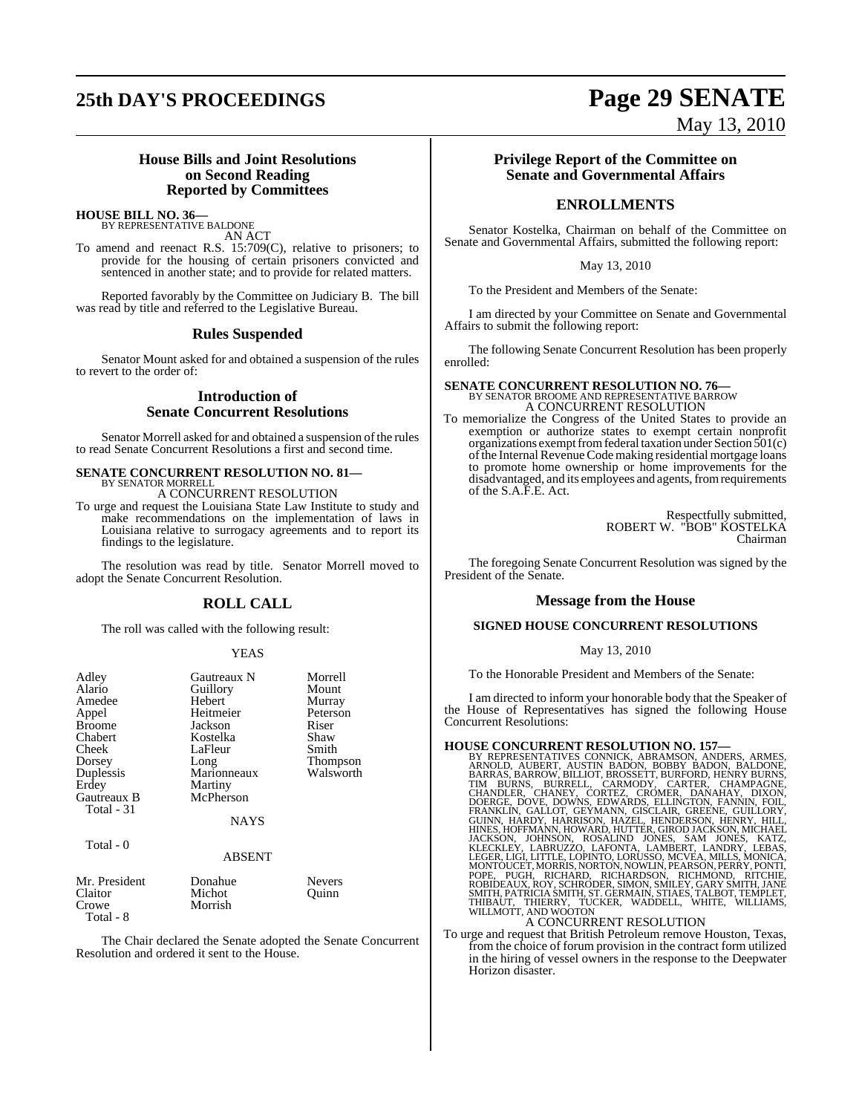# **25th DAY'S PROCEEDINGS Page 29 SENATE**

# May 13, 2010

### **House Bills and Joint Resolutions on Second Reading Reported by Committees**

**HOUSE BILL NO. 36—** BY REPRESENTATIVE BALDONE

AN ACT

To amend and reenact R.S. 15:709(C), relative to prisoners; to provide for the housing of certain prisoners convicted and sentenced in another state; and to provide for related matters.

Reported favorably by the Committee on Judiciary B. The bill was read by title and referred to the Legislative Bureau.

#### **Rules Suspended**

Senator Mount asked for and obtained a suspension of the rules to revert to the order of:

## **Introduction of Senate Concurrent Resolutions**

Senator Morrell asked for and obtained a suspension of the rules to read Senate Concurrent Resolutions a first and second time.

#### **SENATE CONCURRENT RESOLUTION NO. 81—** BY SENATOR MORRELL

A CONCURRENT RESOLUTION

To urge and request the Louisiana State Law Institute to study and make recommendations on the implementation of laws in Louisiana relative to surrogacy agreements and to report its findings to the legislature.

The resolution was read by title. Senator Morrell moved to adopt the Senate Concurrent Resolution.

## **ROLL CALL**

The roll was called with the following result:

#### YEAS

| Adley<br>Alario<br>Amedee<br>Appel<br><b>Broome</b><br>Chabert<br>Cheek<br>Dorsey<br>Duplessis<br>Erdey<br>Gautreaux B<br>Total - 31<br>Total - 0 | Gautreaux N<br>Guillory<br>Hebert<br>Heitmeier<br>Jackson<br>Kostelka<br>LaFleur<br>Long<br>Marionneaux<br>Martiny<br>McPherson<br><b>NAYS</b> | Morrell<br>Mount<br>Murray<br>Peterson<br>Riser<br>Shaw<br>Smith<br><b>Thompson</b><br>Walsworth |
|---------------------------------------------------------------------------------------------------------------------------------------------------|------------------------------------------------------------------------------------------------------------------------------------------------|--------------------------------------------------------------------------------------------------|
|                                                                                                                                                   | <b>ABSENT</b>                                                                                                                                  |                                                                                                  |
| Mr. President<br>Claitor<br>Crowe                                                                                                                 | Donahue<br>Michot<br>Morrish                                                                                                                   | <b>Nevers</b><br>Ouinn                                                                           |

Total - 8

The Chair declared the Senate adopted the Senate Concurrent Resolution and ordered it sent to the House.

### **Privilege Report of the Committee on Senate and Governmental Affairs**

## **ENROLLMENTS**

Senator Kostelka, Chairman on behalf of the Committee on Senate and Governmental Affairs, submitted the following report:

#### May 13, 2010

To the President and Members of the Senate:

I am directed by your Committee on Senate and Governmental Affairs to submit the following report:

The following Senate Concurrent Resolution has been properly enrolled:

## **SENATE CONCURRENT RESOLUTION NO. 76—** BY SENATOR BROOME AND REPRESENTATIVE BARROW A CONCURRENT RESOLUTION

To memorialize the Congress of the United States to provide an exemption or authorize states to exempt certain nonprofit organizations exempt from federal taxation under Section 501(c) of the Internal Revenue Code making residential mortgage loans to promote home ownership or home improvements for the disadvantaged, and its employees and agents, from requirements of the S.A.F.E. Act.

> Respectfully submitted, ROBERT W. "BOB" KOSTELKA Chairman

The foregoing Senate Concurrent Resolution was signed by the President of the Senate.

#### **Message from the House**

#### **SIGNED HOUSE CONCURRENT RESOLUTIONS**

May 13, 2010

To the Honorable President and Members of the Senate:

I am directed to inform your honorable body that the Speaker of the House of Representatives has signed the following House Concurrent Resolutions:

HOUSE CONCURRENT RESOLUTION NO. 157—<br>
BY REPRESENTATIVES CONNICK, ABRAMSON, ANDERS, ARMES,<br>
ARNOLD, AUBERT, AUSTIN BADON, BOBBY BADON, BALDONE,<br>
BARRAS, BARROW, BILLIOT, BROSSETT, BURFORD, HENRY BURNS,<br>
TIM BURNS, BURRELL,

To urge and request that British Petroleum remove Houston, Texas, from the choice of forum provision in the contract form utilized in the hiring of vessel owners in the response to the Deepwater Horizon disaster.